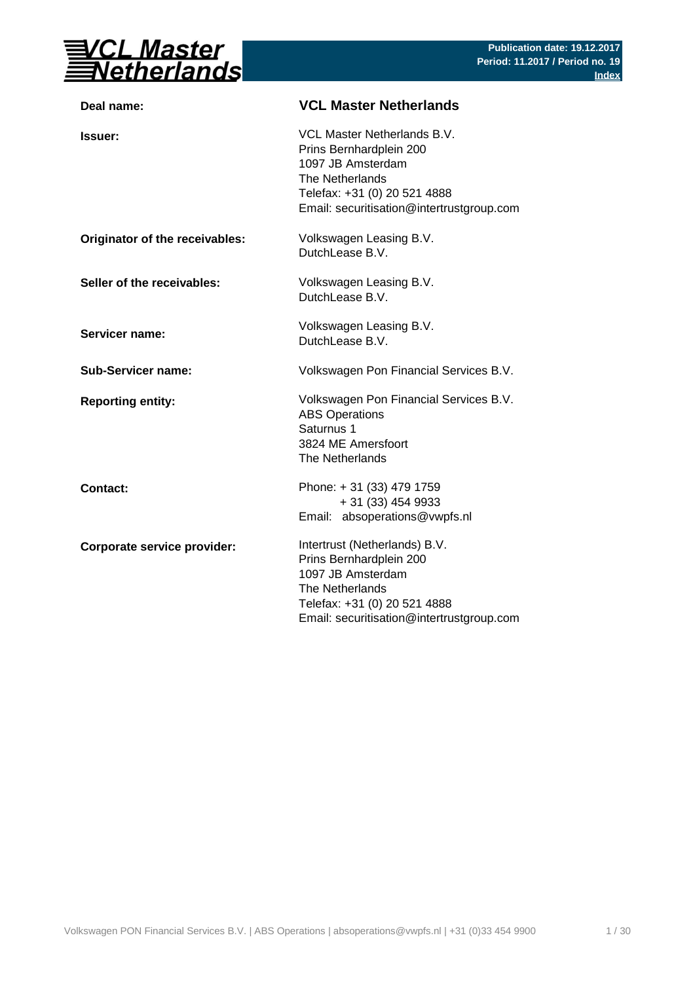

| Deal name:                     | <b>VCL Master Netherlands</b>                                                                                                                                                 |
|--------------------------------|-------------------------------------------------------------------------------------------------------------------------------------------------------------------------------|
| <b>Issuer:</b>                 | VCL Master Netherlands B.V.<br>Prins Bernhardplein 200<br>1097 JB Amsterdam<br>The Netherlands<br>Telefax: +31 (0) 20 521 4888<br>Email: securitisation@intertrustgroup.com   |
| Originator of the receivables: | Volkswagen Leasing B.V.<br>DutchLease B.V.                                                                                                                                    |
| Seller of the receivables:     | Volkswagen Leasing B.V.<br>DutchLease B.V.                                                                                                                                    |
| Servicer name:                 | Volkswagen Leasing B.V.<br>DutchLease B.V.                                                                                                                                    |
| <b>Sub-Servicer name:</b>      | Volkswagen Pon Financial Services B.V.                                                                                                                                        |
| <b>Reporting entity:</b>       | Volkswagen Pon Financial Services B.V.<br><b>ABS Operations</b><br>Saturnus 1<br>3824 ME Amersfoort<br>The Netherlands                                                        |
| <b>Contact:</b>                | Phone: +31 (33) 479 1759<br>+ 31 (33) 454 9933<br>Email: absoperations@vwpfs.nl                                                                                               |
| Corporate service provider:    | Intertrust (Netherlands) B.V.<br>Prins Bernhardplein 200<br>1097 JB Amsterdam<br>The Netherlands<br>Telefax: +31 (0) 20 521 4888<br>Email: securitisation@intertrustgroup.com |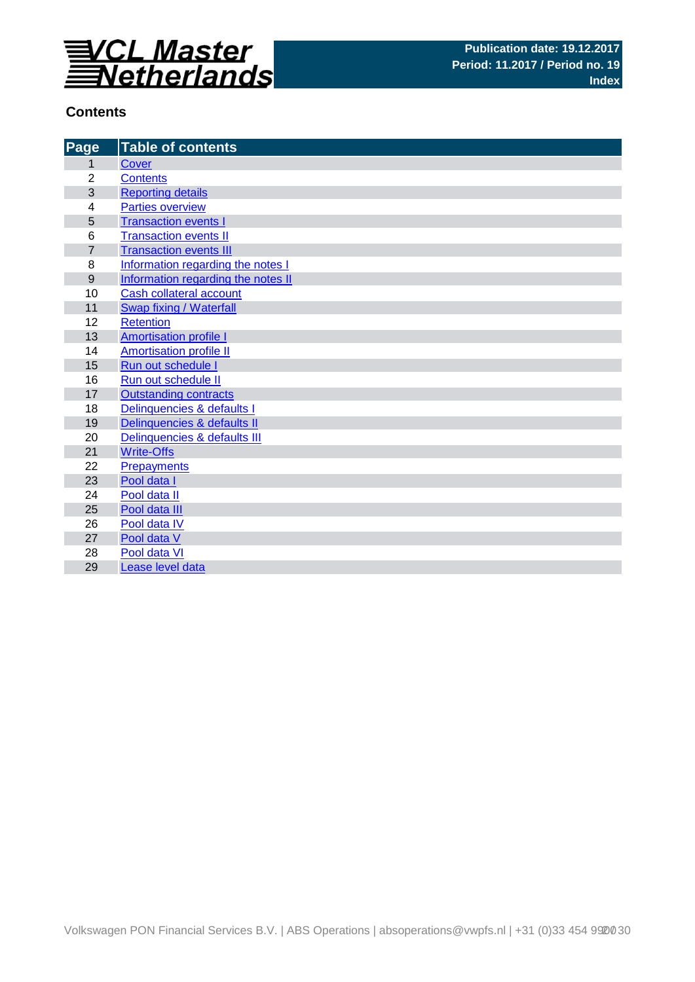

# **Contents**

| Page           | <b>Table of contents</b>           |
|----------------|------------------------------------|
| 1              | Cover                              |
| $\overline{2}$ | <b>Contents</b>                    |
| 3              | <b>Reporting details</b>           |
| 4              | <b>Parties overview</b>            |
| 5              | <b>Transaction events I</b>        |
| 6              | <b>Transaction events II</b>       |
| $\overline{7}$ | <b>Transaction events III</b>      |
| 8              | Information regarding the notes I  |
| 9              | Information regarding the notes II |
| 10             | <b>Cash collateral account</b>     |
| 11             | <b>Swap fixing / Waterfall</b>     |
| 12             | <b>Retention</b>                   |
| 13             | <b>Amortisation profile I</b>      |
| 14             | <b>Amortisation profile II</b>     |
| 15             | Run out schedule I                 |
| 16             | Run out schedule II                |
| 17             | <b>Outstanding contracts</b>       |
| 18             | Delinquencies & defaults I         |
| 19             | Delinquencies & defaults II        |
| 20             | Delinquencies & defaults III       |
| 21             | <b>Write-Offs</b>                  |
| 22             | Prepayments                        |
| 23             | Pool data I                        |
| 24             | Pool data II                       |
| 25             | Pool data III                      |
| 26             | Pool data IV                       |
| 27             | Pool data V                        |
| 28             | Pool data VI                       |
| 29             | Lease level data                   |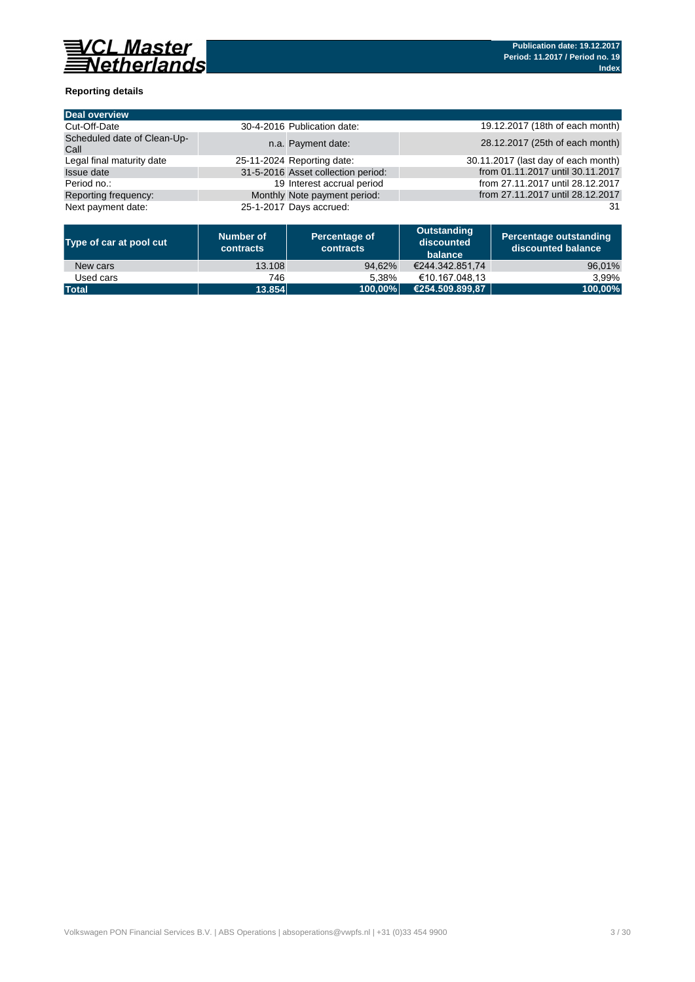

## **Reporting details**

| <b>Deal overview</b>                |                                    |                                     |
|-------------------------------------|------------------------------------|-------------------------------------|
| Cut-Off-Date                        | 30-4-2016 Publication date:        | 19.12.2017 (18th of each month)     |
| Scheduled date of Clean-Up-<br>Call | n.a. Payment date:                 | 28.12.2017 (25th of each month)     |
| Legal final maturity date           | 25-11-2024 Reporting date:         | 30.11.2017 (last day of each month) |
| <b>Issue date</b>                   | 31-5-2016 Asset collection period: | from 01.11.2017 until 30.11.2017    |
| Period no.:                         | 19 Interest accrual period         | from 27.11.2017 until 28.12.2017    |
| Reporting frequency:                | Monthly Note payment period:       | from 27.11.2017 until 28.12.2017    |
| Next payment date:                  | 25-1-2017 Days accrued:            | 31                                  |

| Type of car at pool cut | Number of<br><b>contracts</b> | Percentage of<br>contracts | Outstanding<br>discounted<br>balance | <b>Percentage outstanding</b><br>l discounted balance \ |
|-------------------------|-------------------------------|----------------------------|--------------------------------------|---------------------------------------------------------|
| New cars                | 13.108                        | 94.62%                     | €244.342.851.74                      | 96,01%                                                  |
| Used cars               | 746                           | 5.38%                      | €10.167.048.13                       | 3.99%                                                   |
| <b>Total</b>            | 13.854                        | 100.00%                    | €254.509.899.87                      | 100,00%                                                 |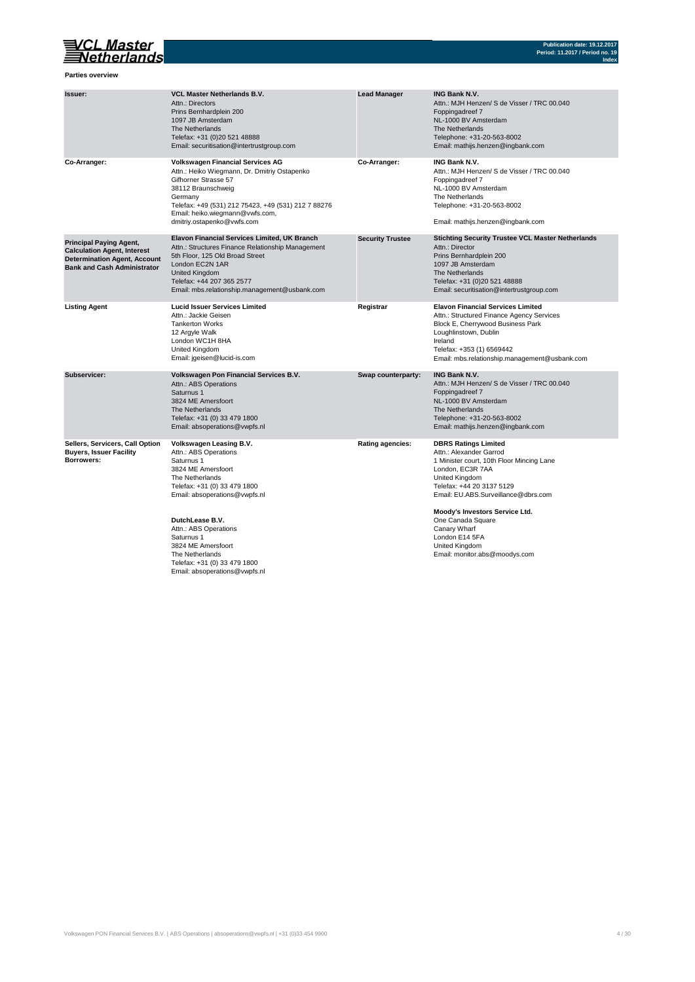# VCL Master<br>Netherlands

**Parties overview**

| Issuer:                                                                                                                                           | <b>VCL Master Netherlands B.V.</b><br>Attn.: Directors<br>Prins Bernhardplein 200<br>1097 JB Amsterdam<br>The Netherlands<br>Telefax: +31 (0)20 521 48888<br>Email: securitisation@intertrustgroup.com                                                                   | <b>Lead Manager</b>     | <b>ING Bank N.V.</b><br>Attn.: MJH Henzen/ S de Visser / TRC 00.040<br>Foppingadreef 7<br>NL-1000 BV Amsterdam<br>The Netherlands<br>Telephone: +31-20-563-8002<br>Email: mathijs.henzen@ingbank.com                                         |
|---------------------------------------------------------------------------------------------------------------------------------------------------|--------------------------------------------------------------------------------------------------------------------------------------------------------------------------------------------------------------------------------------------------------------------------|-------------------------|----------------------------------------------------------------------------------------------------------------------------------------------------------------------------------------------------------------------------------------------|
| Co-Arranger:                                                                                                                                      | <b>Volkswagen Financial Services AG</b><br>Attn.: Heiko Wiegmann, Dr. Dmitriy Ostapenko<br>Gifhorner Strasse 57<br>38112 Braunschweig<br>Germany<br>Telefax: +49 (531) 212 75423, +49 (531) 212 7 88276<br>Email: heiko.wiegmann@vwfs.com,<br>dmitriy.ostapenko@vwfs.com | Co-Arranger:            | ING Bank N.V.<br>Attn.: MJH Henzen/ S de Visser / TRC 00.040<br>Foppingadreef 7<br>NL-1000 BV Amsterdam<br>The Netherlands<br>Telephone: +31-20-563-8002<br>Email: mathijs.henzen@ingbank.com                                                |
| <b>Principal Paying Agent,</b><br><b>Calculation Agent, Interest</b><br><b>Determination Agent, Account</b><br><b>Bank and Cash Administrator</b> | Elavon Financial Services Limited, UK Branch<br>Attn.: Structures Finance Relationship Management<br>5th Floor, 125 Old Broad Street<br>London EC2N 1AR<br>United Kingdom<br>Telefax: +44 207 365 2577<br>Email: mbs.relationship.management@usbank.com                  | <b>Security Trustee</b> | <b>Stichting Security Trustee VCL Master Netherlands</b><br>Attn.: Director<br>Prins Bernhardplein 200<br>1097 JB Amsterdam<br>The Netherlands<br>Telefax: +31 (0)20 521 48888<br>Email: securitisation@intertrustgroup.com                  |
| <b>Listing Agent</b>                                                                                                                              | <b>Lucid Issuer Services Limited</b><br>Attn.: Jackie Geisen<br><b>Tankerton Works</b><br>12 Argyle Walk<br>London WC1H 8HA<br>United Kingdom<br>Email: jgeisen@lucid-is.com                                                                                             | Registrar               | <b>Elavon Financial Services Limited</b><br>Attn.: Structured Finance Agency Services<br>Block E, Cherrywood Business Park<br>Loughlinstown, Dublin<br>Ireland<br>Telefax: +353 (1) 6569442<br>Email: mbs.relationship.management@usbank.com |
| Subservicer:                                                                                                                                      | Volkswagen Pon Financial Services B.V.<br>Attn.: ABS Operations<br>Saturnus 1<br>3824 ME Amersfoort<br>The Netherlands<br>Telefax: +31 (0) 33 479 1800<br>Email: absoperations@vwpfs.nl                                                                                  | Swap counterparty:      | <b>ING Bank N.V.</b><br>Attn.: MJH Henzen/ S de Visser / TRC 00.040<br>Foppingadreef 7<br>NL-1000 BV Amsterdam<br>The Netherlands<br>Telephone: +31-20-563-8002<br>Email: mathijs.henzen@ingbank.com                                         |
| Sellers, Servicers, Call Option<br><b>Buyers, Issuer Facility</b><br>Borrowers:                                                                   | Volkswagen Leasing B.V.<br>Attn.: ABS Operations<br>Saturnus 1<br>3824 ME Amersfoort<br>The Netherlands<br>Telefax: +31 (0) 33 479 1800<br>Email: absoperations@vwpfs.nl                                                                                                 | Rating agencies:        | <b>DBRS Ratings Limited</b><br>Attn.: Alexander Garrod<br>1 Minister court, 10th Floor Mincing Lane<br>London, EC3R 7AA<br>United Kingdom<br>Telefax: +44 20 3137 5129<br>Email: EU.ABS.Surveillance@dbrs.com                                |
|                                                                                                                                                   | DutchLease B.V.<br>Attn.: ABS Operations<br>Saturnus 1<br>3824 ME Amersfoort<br>The Netherlands<br>Telefax: +31 (0) 33 479 1800<br>Email: absoperations@vwpfs.nl                                                                                                         |                         | Moody's Investors Service Ltd.<br>One Canada Square<br>Canary Wharf<br>London E14 5FA<br>United Kingdom<br>Email: monitor.abs@moodys.com                                                                                                     |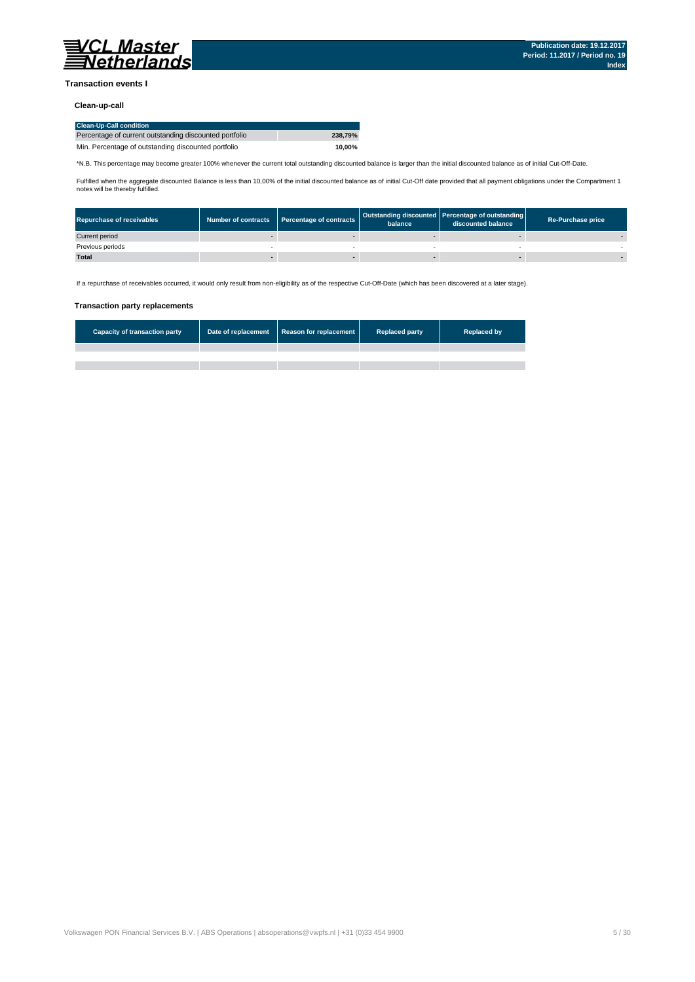

### **Transaction events I**

### **Clean-up-call**

| <b>Clean-Up-Call condition</b>                         |         |
|--------------------------------------------------------|---------|
| Percentage of current outstanding discounted portfolio | 238.79% |
| Min. Percentage of outstanding discounted portfolio    | 10.00%  |

\*N.B. This percentage may become greater 100% whenever the current total outstanding discounted balance is larger than the initial discounted balance as of initial Cut-Off-Date.

Fulfilled when the aggregate discounted Balance is less than 10,00% of the initial discounted balance as of initial Cut-Off date provided that all payment obligations under the Compartment 1 notes will be thereby fulfilled.

| <b>Repurchase of receivables</b> | Number of contracts   Percentage of contracts | balance | Outstanding discounted Percentage of outstanding<br>discounted balance | <b>Re-Purchase price</b> |
|----------------------------------|-----------------------------------------------|---------|------------------------------------------------------------------------|--------------------------|
| Current period                   |                                               |         |                                                                        |                          |
| Previous periods                 |                                               |         |                                                                        |                          |
| <b>Total</b>                     |                                               |         |                                                                        |                          |

If a repurchase of receivables occurred, it would only result from non-eligibility as of the respective Cut-Off-Date (which has been discovered at a later stage).

#### **Transaction party replacements**

| <b>Capacity of transaction party</b> | Date of replacement Reason for replacement | <b>Replaced party</b> | <b>Replaced by</b> |
|--------------------------------------|--------------------------------------------|-----------------------|--------------------|
|                                      |                                            |                       |                    |
|                                      |                                            |                       |                    |
|                                      |                                            |                       |                    |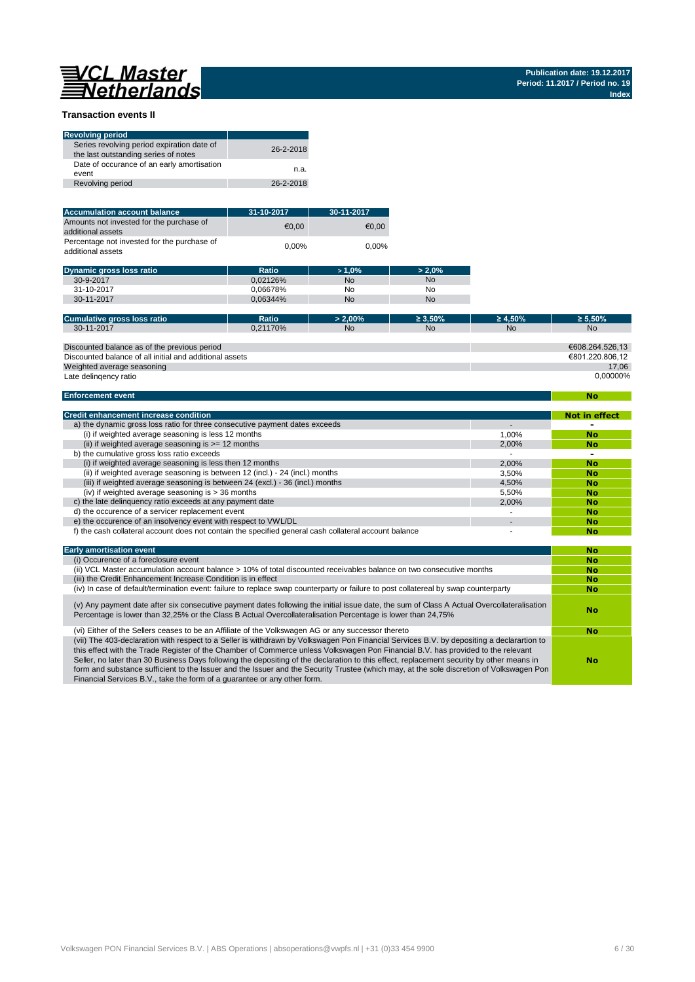# 

**No**

### **Transaction events II**

| <b>Revolving period</b>                                                            |           |
|------------------------------------------------------------------------------------|-----------|
| Series revolving period expiration date of<br>the last outstanding series of notes | 26-2-2018 |
| Date of occurance of an early amortisation<br>event                                | n.a.      |
| Revolving period                                                                   | 26-2-2018 |

| <b>Accumulation account balance</b>                              | 31-10-2017 | 30-11-2017 |
|------------------------------------------------------------------|------------|------------|
| Amounts not invested for the purchase of<br>additional assets    | €0.00      | €0.00      |
| Percentage not invested for the purchase of<br>additional assets | $0.00\%$   | $0.00\%$   |

| <b>Dynamic gross loss ratio</b> | Ratio    | $>1.0\%$  | $> 2.0\%$ |
|---------------------------------|----------|-----------|-----------|
| 30-9-2017                       | 0.02126% | <b>No</b> | <b>No</b> |
| 31-10-2017                      | 0.06678% | No        | No        |
| 30-11-2017                      | 0.06344% | <b>No</b> | No        |
|                                 |          |           |           |

| Cumulative gross loss ratio                             | Ratio    | $> 2.00\%$ | $\geq 3.50\%$ | $\geq 4.50\%$ | $\geq 5.50\%$   |
|---------------------------------------------------------|----------|------------|---------------|---------------|-----------------|
| 30-11-2017                                              | 0.21170% | <b>No</b>  | <b>No</b>     | <b>No</b>     | <b>No</b>       |
|                                                         |          |            |               |               |                 |
| Discounted balance as of the previous period            |          |            |               |               | €608.264.526.13 |
| Discounted balance of all initial and additional assets |          |            |               |               | €801.220.806.12 |
| Weighted average seasoning                              |          |            |               |               | 17.06           |
| Late delingency ratio                                   |          |            |               |               | 0.00000%        |

#### **Enforcement event**

| <b>Credit enhancement increase condition</b>                                                          |       | <b>Not in effect</b> |
|-------------------------------------------------------------------------------------------------------|-------|----------------------|
| a) the dynamic gross loss ratio for three consecutive payment dates exceeds                           |       |                      |
| (i) if weighted average seasoning is less 12 months                                                   | 1.00% | <b>No</b>            |
| (ii) if weighted average seasoning is $>= 12$ months                                                  | 2.00% | <b>No</b>            |
| b) the cumulative gross loss ratio exceeds                                                            |       | -                    |
| (i) if weighted average seasoning is less then 12 months                                              | 2.00% | <b>No</b>            |
| (ii) if weighted average seasoning is between 12 (incl.) - 24 (incl.) months                          | 3.50% | <b>No</b>            |
| (iii) if weighted average seasoning is between 24 (excl.) - 36 (incl.) months                         | 4.50% | <b>No</b>            |
| (iv) if weighted average seasoning is $>$ 36 months                                                   | 5.50% | <b>No</b>            |
| c) the late delinguency ratio exceeds at any payment date                                             | 2.00% | <b>No</b>            |
| d) the occurence of a servicer replacement event                                                      |       | <b>No</b>            |
| e) the occurence of an insolvency event with respect to VWL/DL                                        |       | <b>No</b>            |
| f) the cash collateral account does not contain the specified general cash collateral account balance |       | No                   |

| <b>Early amortisation event</b>                                                                                                                                                                                                                                                                                                                                                                                                                                                                                                                                                                                                                    | No        |
|----------------------------------------------------------------------------------------------------------------------------------------------------------------------------------------------------------------------------------------------------------------------------------------------------------------------------------------------------------------------------------------------------------------------------------------------------------------------------------------------------------------------------------------------------------------------------------------------------------------------------------------------------|-----------|
| (i) Occurence of a foreclosure event                                                                                                                                                                                                                                                                                                                                                                                                                                                                                                                                                                                                               | <b>No</b> |
| (ii) VCL Master accumulation account balance > 10% of total discounted receivables balance on two consecutive months                                                                                                                                                                                                                                                                                                                                                                                                                                                                                                                               | <b>No</b> |
| (iii) the Credit Enhancement Increase Condition is in effect                                                                                                                                                                                                                                                                                                                                                                                                                                                                                                                                                                                       | <b>No</b> |
| (iv) In case of default/termination event: failure to replace swap counterparty or failure to post collatereal by swap counterparty                                                                                                                                                                                                                                                                                                                                                                                                                                                                                                                | <b>No</b> |
| (v) Any payment date after six consecutive payment dates following the initial issue date, the sum of Class A Actual Overcollateralisation<br>Percentage is lower than 32,25% or the Class B Actual Overcollateralisation Percentage is lower than 24,75%                                                                                                                                                                                                                                                                                                                                                                                          | No        |
| (vi) Either of the Sellers ceases to be an Affiliate of the Volkswagen AG or any successor thereto                                                                                                                                                                                                                                                                                                                                                                                                                                                                                                                                                 | <b>No</b> |
| (vii) The 403-declaration with respect to a Seller is withdrawn by Volkswagen Pon Financial Services B.V. by depositing a declarartion to<br>this effect with the Trade Register of the Chamber of Commerce unless Volkswagen Pon Financial B.V. has provided to the relevant<br>Seller, no later than 30 Business Days following the depositing of the declaration to this effect, replacement security by other means in<br>form and substance sufficient to the Issuer and the Issuer and the Security Trustee (which may, at the sole discretion of Volkswagen Pon<br>Financial Services B.V., take the form of a quarantee or any other form. | No        |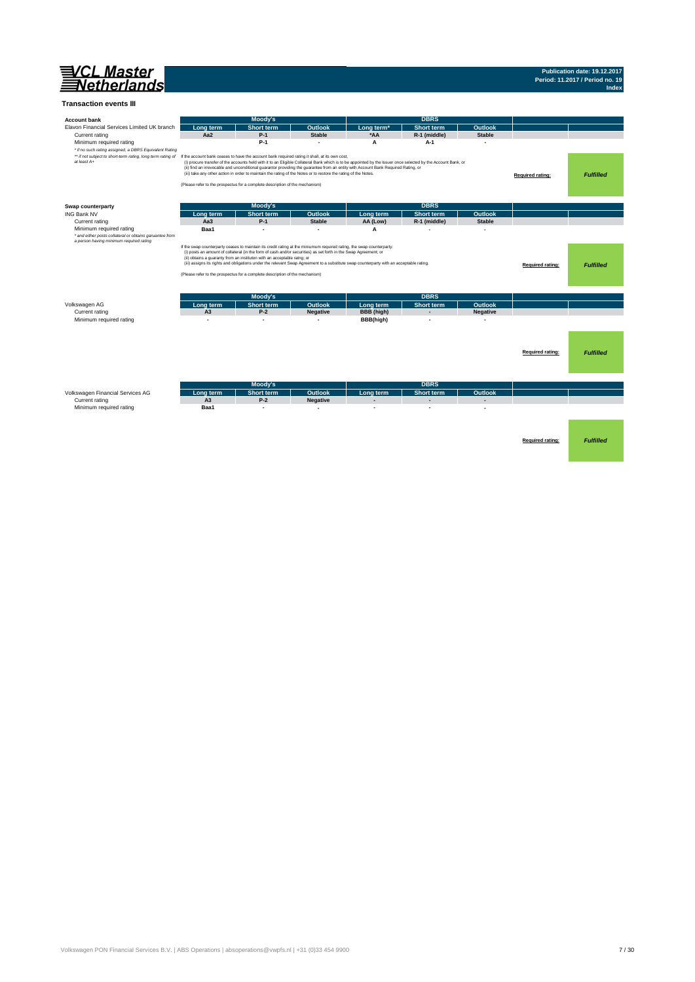

# **Publication date: 19.12.2017 Period: 11.2017 / Period no. 19 Index**

#### **Transaction events III**

| <b>Account bank</b>                                                                |                                                                                                                                                                                | <b>Moody's</b>                                                                                                                                                                              |                          |                                                                                                                                                                                                                                                                                                    | <b>DBRS</b>              |                 |                         |                  |
|------------------------------------------------------------------------------------|--------------------------------------------------------------------------------------------------------------------------------------------------------------------------------|---------------------------------------------------------------------------------------------------------------------------------------------------------------------------------------------|--------------------------|----------------------------------------------------------------------------------------------------------------------------------------------------------------------------------------------------------------------------------------------------------------------------------------------------|--------------------------|-----------------|-------------------------|------------------|
| Elavon Financial Services Limited UK branch                                        | Long term                                                                                                                                                                      | <b>Short term</b>                                                                                                                                                                           | Outlook                  | Long term <sup>*</sup>                                                                                                                                                                                                                                                                             | Short term               | <b>Outlook</b>  |                         |                  |
| Current rating                                                                     | Aa2                                                                                                                                                                            | $P-1$                                                                                                                                                                                       | <b>Stable</b>            | *AA                                                                                                                                                                                                                                                                                                | R-1 (middle)             | <b>Stable</b>   |                         |                  |
| Minimum required rating<br>* if no such rating assigned, a DBRS Equivalent Rating  |                                                                                                                                                                                | $P-1$                                                                                                                                                                                       |                          | A                                                                                                                                                                                                                                                                                                  | A-1                      |                 |                         |                  |
| ** if not subject to short-term rating, long term rating of<br>at least A+         | If the account bank ceases to have the account bank required rating it shall, at its own cost,<br>(Please refer to the prospectus for a complete description of the mechanism) | (iii) take any other action in order to maintain the rating of the Notes or to restore the rating of the Notes.                                                                             |                          | (i) procure transfer of the accounts held with it to an Eligible Collateral Bank which is to be appointed by the Issuer once selected by the Account Bank, or<br>(ii) find an irrevocable and unconditional guarantor providing the guarantee from an entity with Account Bank Required Rating, or |                          |                 | Required rating:        | <b>Fulfilled</b> |
|                                                                                    |                                                                                                                                                                                |                                                                                                                                                                                             |                          |                                                                                                                                                                                                                                                                                                    |                          |                 |                         |                  |
| Swap counterparty                                                                  |                                                                                                                                                                                | <b>Moody's</b>                                                                                                                                                                              |                          |                                                                                                                                                                                                                                                                                                    | <b>DBRS</b>              |                 |                         |                  |
| <b>ING Bank NV</b>                                                                 | Long term                                                                                                                                                                      | <b>Short term</b>                                                                                                                                                                           | Outlook                  | Long term                                                                                                                                                                                                                                                                                          | <b>Short term</b>        | Outlook         |                         |                  |
| Current rating                                                                     | Aa <sub>3</sub>                                                                                                                                                                | $P-1$                                                                                                                                                                                       | <b>Stable</b>            | AA (Low)                                                                                                                                                                                                                                                                                           | R-1 (middle)             | <b>Stable</b>   |                         |                  |
| Minimum required rating<br>* and either posts collateral or obtains garuantee from | Baa1                                                                                                                                                                           | ٠                                                                                                                                                                                           | $\blacksquare$           | A                                                                                                                                                                                                                                                                                                  |                          |                 |                         |                  |
| a person having minimum required rating                                            | If the swap counterparty ceases to maintain its credit rating at the miniumum required rating, the swap counterparty:                                                          | (i) posts an amount of collateral (in the form of cash and/or securities) as set forth in the Swap Agreement; or<br>(ii) obtains a guaranty from an instituton with an acceptable ratng; or |                          |                                                                                                                                                                                                                                                                                                    |                          |                 |                         |                  |
|                                                                                    |                                                                                                                                                                                |                                                                                                                                                                                             |                          | (iii) assigns its rights and obligations under the relevant Swap Agreement to a substitute swap counterparty with an acceptable rating.                                                                                                                                                            |                          |                 | Required rating:        | <b>Fulfilled</b> |
|                                                                                    | (Please refer to the prospectus for a complete description of the mechanism)                                                                                                   |                                                                                                                                                                                             |                          |                                                                                                                                                                                                                                                                                                    |                          |                 |                         |                  |
|                                                                                    |                                                                                                                                                                                |                                                                                                                                                                                             |                          |                                                                                                                                                                                                                                                                                                    |                          |                 |                         |                  |
|                                                                                    |                                                                                                                                                                                |                                                                                                                                                                                             |                          |                                                                                                                                                                                                                                                                                                    |                          |                 |                         |                  |
|                                                                                    |                                                                                                                                                                                |                                                                                                                                                                                             |                          |                                                                                                                                                                                                                                                                                                    |                          |                 |                         |                  |
|                                                                                    |                                                                                                                                                                                | Moody's                                                                                                                                                                                     |                          |                                                                                                                                                                                                                                                                                                    | <b>DBRS</b>              |                 |                         |                  |
| Volkswagen AG                                                                      | Long term                                                                                                                                                                      | <b>Short term</b>                                                                                                                                                                           | Outlook                  | Long term                                                                                                                                                                                                                                                                                          | <b>Short term</b>        | <b>Outlook</b>  |                         |                  |
| Current rating                                                                     | A <sub>3</sub>                                                                                                                                                                 | $P-2$                                                                                                                                                                                       | <b>Negative</b>          | BBB (high)                                                                                                                                                                                                                                                                                         | $\overline{\phantom{0}}$ | <b>Negative</b> |                         |                  |
| Minimum required rating                                                            | $\overline{a}$                                                                                                                                                                 | $\overline{a}$                                                                                                                                                                              | $\overline{\phantom{a}}$ | BBB(high)                                                                                                                                                                                                                                                                                          | $\overline{\phantom{a}}$ |                 |                         |                  |
|                                                                                    |                                                                                                                                                                                |                                                                                                                                                                                             |                          |                                                                                                                                                                                                                                                                                                    |                          |                 |                         |                  |
|                                                                                    |                                                                                                                                                                                |                                                                                                                                                                                             |                          |                                                                                                                                                                                                                                                                                                    |                          |                 |                         |                  |
|                                                                                    |                                                                                                                                                                                |                                                                                                                                                                                             |                          |                                                                                                                                                                                                                                                                                                    |                          |                 |                         |                  |
|                                                                                    |                                                                                                                                                                                |                                                                                                                                                                                             |                          |                                                                                                                                                                                                                                                                                                    |                          |                 |                         |                  |
|                                                                                    |                                                                                                                                                                                |                                                                                                                                                                                             |                          |                                                                                                                                                                                                                                                                                                    |                          |                 | Required rating:        | <b>Fulfilled</b> |
|                                                                                    |                                                                                                                                                                                |                                                                                                                                                                                             |                          |                                                                                                                                                                                                                                                                                                    |                          |                 |                         |                  |
|                                                                                    |                                                                                                                                                                                |                                                                                                                                                                                             |                          |                                                                                                                                                                                                                                                                                                    |                          |                 |                         |                  |
|                                                                                    |                                                                                                                                                                                |                                                                                                                                                                                             |                          |                                                                                                                                                                                                                                                                                                    |                          |                 |                         |                  |
|                                                                                    |                                                                                                                                                                                | <b>Moody's</b>                                                                                                                                                                              |                          |                                                                                                                                                                                                                                                                                                    | <b>DBRS</b>              |                 |                         |                  |
| Volkswagen Financial Services AG                                                   | Long term                                                                                                                                                                      | <b>Short term</b>                                                                                                                                                                           | Outlook                  | Long term                                                                                                                                                                                                                                                                                          | <b>Short term</b>        | Outlook         |                         |                  |
| Current rating                                                                     | A <sub>3</sub>                                                                                                                                                                 | $P-2$                                                                                                                                                                                       | <b>Negative</b>          |                                                                                                                                                                                                                                                                                                    | $\overline{a}$           |                 |                         |                  |
| Minimum required rating                                                            | Baa1                                                                                                                                                                           | ٠                                                                                                                                                                                           | $\overline{a}$           |                                                                                                                                                                                                                                                                                                    |                          |                 |                         |                  |
|                                                                                    |                                                                                                                                                                                |                                                                                                                                                                                             |                          |                                                                                                                                                                                                                                                                                                    |                          |                 |                         |                  |
|                                                                                    |                                                                                                                                                                                |                                                                                                                                                                                             |                          |                                                                                                                                                                                                                                                                                                    |                          |                 |                         |                  |
|                                                                                    |                                                                                                                                                                                |                                                                                                                                                                                             |                          |                                                                                                                                                                                                                                                                                                    |                          |                 |                         |                  |
|                                                                                    |                                                                                                                                                                                |                                                                                                                                                                                             |                          |                                                                                                                                                                                                                                                                                                    |                          |                 |                         |                  |
|                                                                                    |                                                                                                                                                                                |                                                                                                                                                                                             |                          |                                                                                                                                                                                                                                                                                                    |                          |                 | <b>Required rating:</b> | <b>Fulfilled</b> |
|                                                                                    |                                                                                                                                                                                |                                                                                                                                                                                             |                          |                                                                                                                                                                                                                                                                                                    |                          |                 |                         |                  |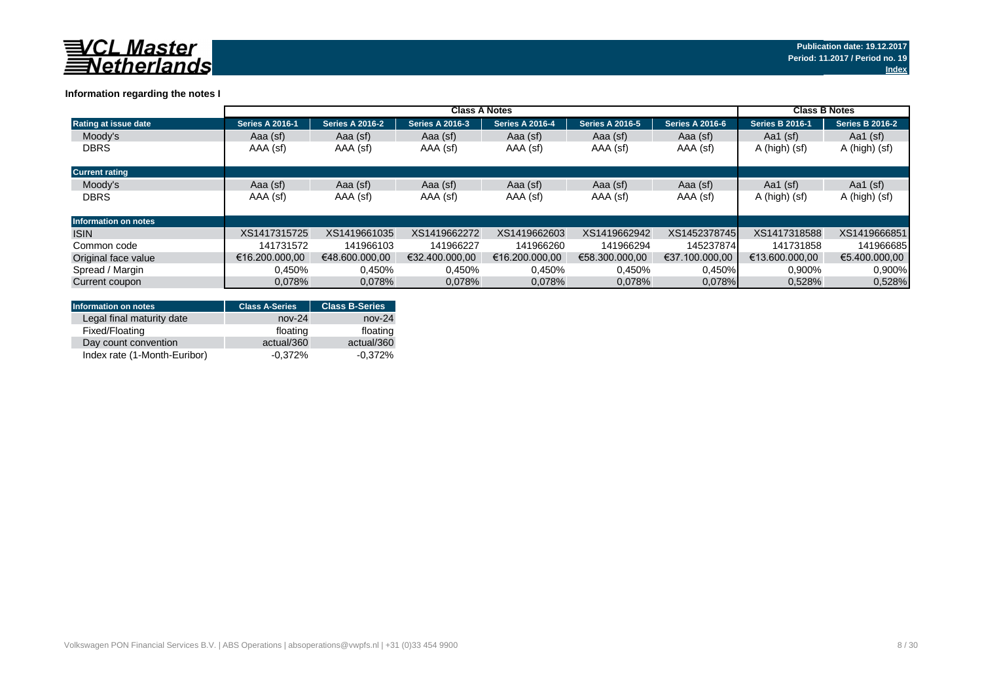

## **Information regarding the notes I**

|                             |                        | <b>Class B Notes</b>   |                        |                        |                        |                        |                        |                        |
|-----------------------------|------------------------|------------------------|------------------------|------------------------|------------------------|------------------------|------------------------|------------------------|
| Rating at issue date        | <b>Series A 2016-1</b> | <b>Series A 2016-2</b> | <b>Series A 2016-3</b> | <b>Series A 2016-4</b> | <b>Series A 2016-5</b> | <b>Series A 2016-6</b> | <b>Series B 2016-1</b> | <b>Series B 2016-2</b> |
| Moody's                     | Aaa (sf)               | Aaa (sf)               | Aaa (sf)               | Aaa (sf)               | Aaa (sf)               | Aaa (sf)               | Aa1 $(sf)$             | Aa1 $(sf)$             |
| <b>DBRS</b>                 | AAA (sf)               | AAA (sf)               | AAA (sf)               | AAA (sf)               | AAA (sf)               | AAA (sf)               | A (high) (sf)          | A (high) (sf)          |
| <b>Current rating</b>       |                        |                        |                        |                        |                        |                        |                        |                        |
| Moody's                     | Aaa (sf)               | Aaa (sf)               | Aaa (sf)               | Aaa (sf)               | Aaa (sf)               | Aaa (sf)               | Aa1 $(sf)$             | Aa1 $(sf)$             |
| <b>DBRS</b>                 | AAA (sf)               | AAA (sf)               | AAA (sf)               | AAA (sf)               | AAA (sf)               | AAA (sf)               | A (high) (sf)          | A (high) (sf)          |
| <b>Information on notes</b> |                        |                        |                        |                        |                        |                        |                        |                        |
| <b>ISIN</b>                 | XS1417315725           | XS1419661035           | XS1419662272           | XS1419662603           | XS1419662942           | XS1452378745           | XS1417318588           | XS1419666851           |
| Common code                 | 141731572              | 141966103              | 141966227              | 141966260              | 141966294              | 145237874              | 141731858              | 141966685              |
| Original face value         | €16.200.000.00         | €48.600.000.00         | €32.400.000.00         | €16.200.000.00         | €58.300.000.00         | €37.100.000.00         | €13.600.000.00         | €5.400.000.00          |
| Spread / Margin             | 0,450%                 | 0.450%                 | 0.450%                 | 0.450%                 | 0.450%                 | 0,450%                 | 0,900%                 | 0.900%                 |
| Current coupon              | 0.078%                 | 0,078%                 | 0,078%                 | 0.078%                 | 0,078%                 | 0.078%                 | 0,528%                 | 0,528%                 |

| <b>Information on notes</b>  | <b>Class A-Series</b> | <b>Class B-Series</b> |
|------------------------------|-----------------------|-----------------------|
| Legal final maturity date    | $nov-24$              | $nov-24$              |
| Fixed/Floating               | floating              | floating              |
| Day count convention         | actual/360            | actual/360            |
| Index rate (1-Month-Euribor) | $-0.372%$             | $-0.372%$             |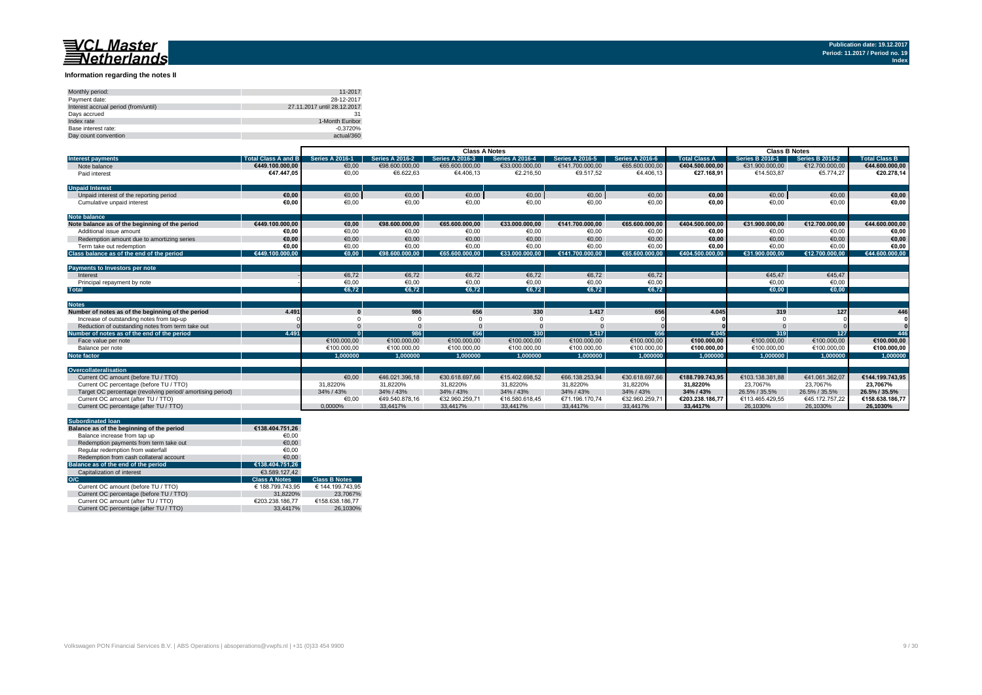#### **Information regarding the notes II**

| Monthly period:                      | 11-2017                     |
|--------------------------------------|-----------------------------|
| Payment date:                        | 28-12-2017                  |
| Interest accrual period (from/until) | 27.11.2017 until 28.12.2017 |
| Davs accrued                         |                             |
| Index rate                           | 1-Month Euribor             |
| Base interest rate:                  | $-0.3720%$                  |
| Day count convention                 | actual/360                  |

|                                                           |                            | <b>Class A Notes</b>   |                        |                        |                        |                        |                        | <b>Class B Notes</b> |                        |                        |                      |
|-----------------------------------------------------------|----------------------------|------------------------|------------------------|------------------------|------------------------|------------------------|------------------------|----------------------|------------------------|------------------------|----------------------|
| <b>Interest payments</b>                                  | <b>Total Class A and B</b> | <b>Series A 2016-1</b> | <b>Series A 2016-2</b> | <b>Series A 2016-3</b> | <b>Series A 2016-4</b> | <b>Series A 2016-5</b> | <b>Series A 2016-6</b> | <b>Total Class A</b> | <b>Series B 2016-1</b> | <b>Series B 2016-2</b> | <b>Total Class B</b> |
| Note balance                                              | €449.100.000.00            | €0,00                  | €98.600.000,00         | €65,600,000,00         | €33.000.000.00         | €141.700.000.00        | €65.600.000,00         | €404.500.000.00      | €31.900.000.00         | €12.700.000.00         | €44.600.000,00       |
| Paid interest                                             | €47.447.05                 | €0,00                  | €6.622,63              | €4.406,13              | €2.216,50              | €9.517,52              | €4.406,13              | €27.168.91           | €14.503,87             | €5.774.27              | €20.278,14           |
| <b>Unpaid Interest</b>                                    |                            |                        |                        |                        |                        |                        |                        |                      |                        |                        |                      |
| Unpaid interest of the reporting period                   | €0.00                      | €0,00                  | $\epsilon$ 0,00        | €0,00                  | €0,00                  | $\epsilon$ 0,00        | €0,00                  | €0,00                | €0,00                  | €0,00                  | €0,00                |
| Cumulative unpaid interest                                | €0.00                      | €0.00                  | €0.00                  | €0.00                  | €0.00                  | €0.00                  | €0.00                  | €0.00                | €0.00                  | €0.00                  | €0,00                |
| <b>Note balance</b>                                       |                            |                        |                        |                        |                        |                        |                        |                      |                        |                        |                      |
| Note balance as of the beginning of the period            | €449.100.000.00            | €0.00                  | €98.600.000,00         | €65.600.000.00         | €33.000.000.00         | €141.700.000.00        | €65.600.000,00         | €404.500.000.00      | €31.900.000.00         | €12.700.000,00         | €44.600.000,00       |
| Additional issue amount                                   | €0.00                      | €0.00                  | €0.00                  | €0.00                  | €0.00                  | €0.00                  | €0,00                  | €0.00                | €0.00                  | €0.00                  | €0,00                |
| Redemption amount due to amortizing series                | €0,00                      | €0,00                  | €0,00                  | €0,00                  | €0,00                  | €0.00                  | €0,00                  | €0,00                | €0.00                  | €0,00                  | €0,00                |
| Term take out redemption                                  | €0.00                      | €0.00                  | €0.00                  | €0.00                  | €0.00                  | €0.00                  | €0.00                  | €0.00                | €0.00                  | €0.00                  | €0,00                |
| Class balance as of the end of the period                 | €449.100.000.00            | $\epsilon$ 0.00        | €98,600,000,00         | €65.600.000.00         | €33.000.000.00         | €141.700.000.00        | €65,600,000,00         | €404.500.000.00      | €31.900.000.00         | €12.700.000.00         | €44.600.000.00       |
|                                                           |                            |                        |                        |                        |                        |                        |                        |                      |                        |                        |                      |
| <b>Payments to Investors per note</b>                     |                            |                        |                        |                        |                        |                        |                        |                      |                        |                        |                      |
| Interest                                                  |                            | €6.72                  | €6.72                  | €6,72                  | €6.72                  | €6.72                  | €6,72                  |                      | €45.47                 | €45.47                 |                      |
| Principal repayment by note                               |                            | €0,00                  | €0,00                  | €0,00                  | €0,00                  | €0,00                  | €0,00                  |                      | €0,00                  | €0,00                  |                      |
| <b>Total</b>                                              |                            | €6.72                  | €6.72                  | €6.72                  | €6.72                  | €6.72                  | €6.72                  |                      | $\epsilon$ 0.00        | €0.00                  |                      |
|                                                           |                            |                        |                        |                        |                        |                        |                        |                      |                        |                        |                      |
| <b>Notes</b>                                              |                            |                        |                        |                        |                        |                        |                        |                      |                        |                        |                      |
| Number of notes as of the beginning of the period         | 4.491                      |                        | 986                    | 656                    | 330                    | 1.417                  | 656                    | 4.045                | 319                    | 127                    | 446                  |
| Increase of outstanding notes from tap-up                 |                            |                        |                        |                        |                        |                        |                        |                      |                        |                        |                      |
| Reduction of outstanding notes from term take out         |                            |                        |                        |                        |                        |                        |                        |                      |                        |                        |                      |
| Number of notes as of the end of the period               | 4.491                      |                        | 986                    | 656                    | 330                    | 1.417                  | 656                    | 4.045                | 319                    | 127                    | 446                  |
| Face value per note                                       |                            | €100.000,00            | €100.000,00            | €100.000,00            | €100.000,00            | €100.000,00            | €100.000,00            | €100.000.00          | €100.000,00            | €100.000,00            | €100.000,00          |
| Balance per note                                          |                            | €100.000,00            | €100.000.00            | €100.000,00            | €100.000,00            | €100.000,00            | €100.000,00            | €100.000,00          | €100.000,00            | €100.000,00            | €100.000,00          |
| <b>Note factor</b>                                        |                            | 1.000000               | 1.000000               | 1.000000               | 1.000000               | 1.000000               | 1.000000               | 1.000000             | 1.000000               | 1.000000               | 1.000000             |
|                                                           |                            |                        |                        |                        |                        |                        |                        |                      |                        |                        |                      |
| Overcollateralisation                                     |                            |                        |                        |                        |                        |                        |                        |                      |                        |                        |                      |
| Current OC amount (before TU / TTO)                       |                            | €0.00                  | €46.021.396.18         | €30.618.697.66         | €15.402.698.52         | €66.138.253.94         | €30.618.697.66         | €188.799.743.95      | €103.138.381.88        | €41.061.362.07         | €144.199.743.95      |
| Current OC percentage (before TU / TTO)                   |                            | 31.8220%               | 31,8220%               | 31,8220%               | 31,8220%               | 31,8220%               | 31.8220%               | 31.8220%             | 23.7067%               | 23.7067%               | 23.7067%             |
| Target OC percentage (revolving period/amortising period) |                            | 34% / 43%              | 34% / 43%              | 34% / 43%              | 34% / 43%              | 34% / 43%              | 34% / 43%              | 34% / 43%            | 26.5% / 35.5%          | 26.5% / 35.5%          | 26.5% / 35.5%        |
| Current OC amount (after TU / TTO)                        |                            | €0,00                  | €49.540.878.16         | €32.960.259.71         | €16.580.618.45         | €71.196.170.74         | €32.960.259.71         | €203.238.186.77      | €113.465.429.55        | €45.172.757.22         | €158.638.186.77      |
| Current OC percentage (after TU / TTO)                    |                            | 0.0000%                | 33.4417%               | 33.4417%               | 33.4417%               | 33.4417%               | 33.4417%               | 33.4417%             | 26.1030%               | 26,1030%               | 26.1030%             |

|     | <b>Subordinated loan</b>                  |                      |                      |
|-----|-------------------------------------------|----------------------|----------------------|
|     | Balance as of the beginning of the period | €138.404.751.26      |                      |
|     | Balance increase from tap up              | €0.00                |                      |
|     | Redemption payments from term take out    | €0.00                |                      |
|     | Regular redemption from waterfall         | €0.00                |                      |
|     | Redemption from cash collateral account   | €0.00                |                      |
|     | Balance as of the end of the period       | €138.404.751.26      |                      |
|     | Capitalization of interest                | €3.589.127.42        |                      |
| O/C |                                           | <b>Class A Notes</b> | <b>Class B Notes</b> |
|     | Current OC amount (before TU / TTO)       | € 188.799.743.95     | € 144.199.743.95     |
|     | Current OC percentage (before TU / TTO)   | 31.8220%             | 23.7067%             |
|     | Current OC amount (after TU / TTO)        | €203.238.186.77      | €158.638.186.77      |
|     | Current OC percentage (after TU / TTO)    | 33.4417%             | 26.1030%             |
|     |                                           |                      |                      |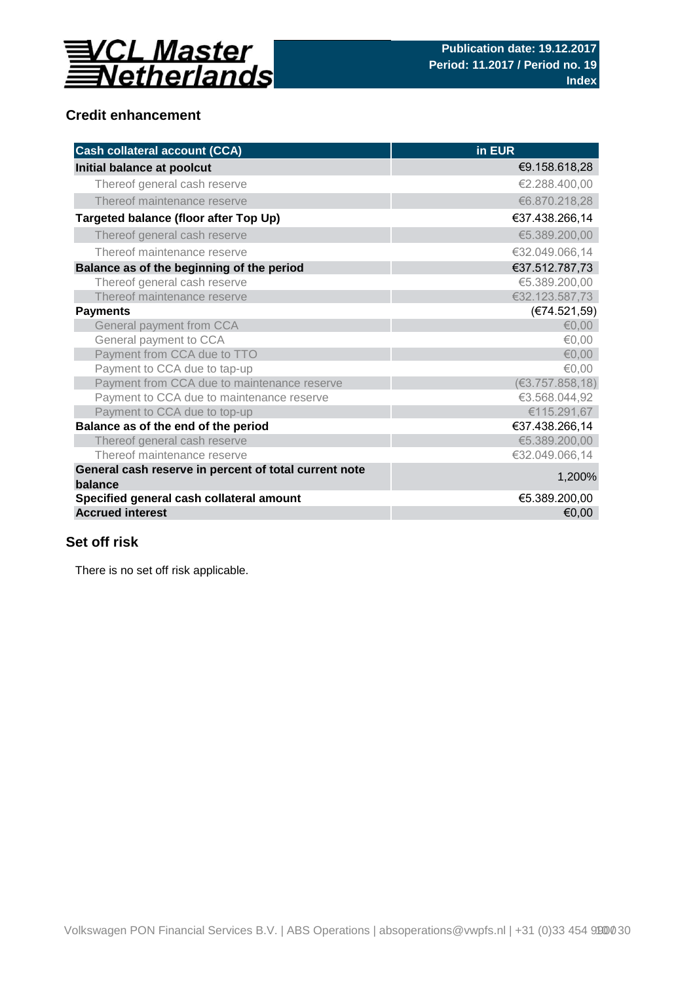

# **Credit enhancement**

| <b>Cash collateral account (CCA)</b>                             | in EUR           |
|------------------------------------------------------------------|------------------|
| Initial balance at poolcut                                       | €9.158.618,28    |
| Thereof general cash reserve                                     | €2.288.400,00    |
| Thereof maintenance reserve                                      | €6.870.218,28    |
| Targeted balance (floor after Top Up)                            | €37.438.266,14   |
| Thereof general cash reserve                                     | €5.389.200,00    |
| Thereof maintenance reserve                                      | €32.049.066,14   |
| Balance as of the beginning of the period                        | €37.512.787,73   |
| Thereof general cash reserve                                     | €5.389.200,00    |
| Thereof maintenance reserve                                      | €32.123.587,73   |
| <b>Payments</b>                                                  | (E74.521,59)     |
| General payment from CCA                                         | € $0,00$         |
| General payment to CCA                                           | €0,00            |
| Payment from CCA due to TTO                                      | € $0,00$         |
| Payment to CCA due to tap-up                                     | €0,00            |
| Payment from CCA due to maintenance reserve                      | (63.757.858, 18) |
| Payment to CCA due to maintenance reserve                        | €3.568.044,92    |
| Payment to CCA due to top-up                                     | €115.291,67      |
| Balance as of the end of the period                              | €37.438.266,14   |
| Thereof general cash reserve                                     | €5.389.200,00    |
| Thereof maintenance reserve                                      | €32.049.066,14   |
| General cash reserve in percent of total current note<br>balance | 1,200%           |
| Specified general cash collateral amount                         | €5.389.200,00    |
| <b>Accrued interest</b>                                          | €0,00            |

# **Set off risk**

There is no set off risk applicable.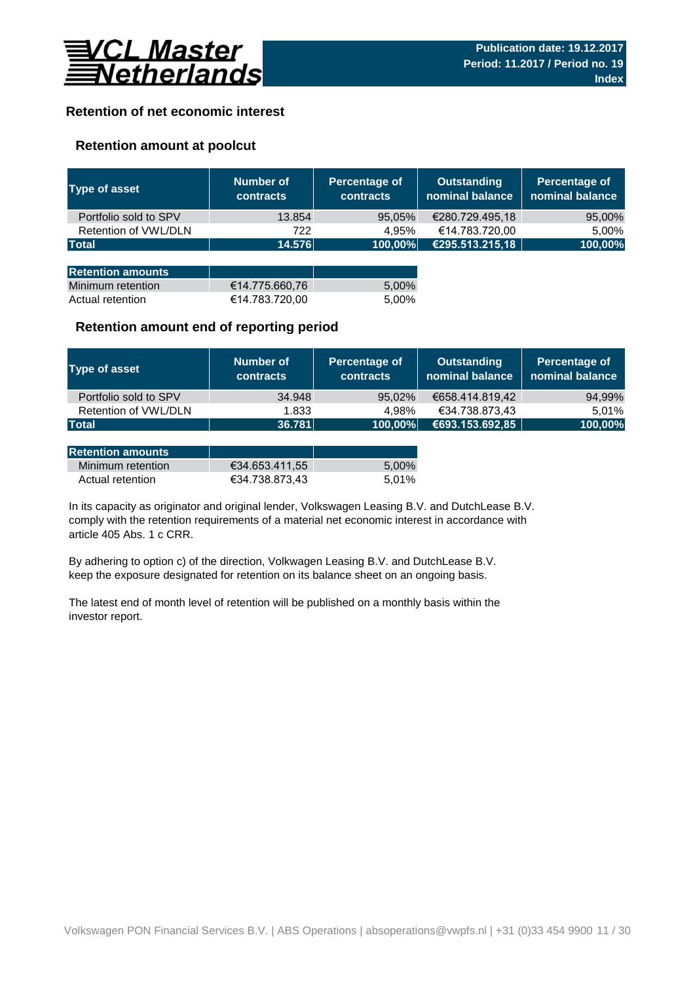

# **Retention of net economic interest**

# **Retention amount at poolcut**

| <b>Type of asset</b>     | Number of<br><b>contracts</b> | Percentage of<br><b>contracts</b> | <b>Outstanding</b><br>nominal balance | Percentage of<br>nominal balance |
|--------------------------|-------------------------------|-----------------------------------|---------------------------------------|----------------------------------|
| Portfolio sold to SPV    | 13.854                        | 95,05%                            | €280.729.495,18                       | 95,00%                           |
| Retention of VWL/DLN     | 722                           | 4.95%                             | €14.783.720,00                        | 5,00%                            |
| <b>Total</b>             | 14.576                        | 100,00%                           | €295.513.215,18                       | 100,00%                          |
|                          |                               |                                   |                                       |                                  |
| <b>Retention amounts</b> |                               |                                   |                                       |                                  |
| Minimum retention        | €14.775.660,76                | 5,00%                             |                                       |                                  |
| Actual retention         | €14.783.720,00                | 5.00%                             |                                       |                                  |

## **Retention amount end of reporting period**

| Type of asset         | Number of<br><b>contracts</b> | Percentage of<br><b>contracts</b> | <b>Outstanding</b><br>nominal balance | Percentage of<br>nominal balance |
|-----------------------|-------------------------------|-----------------------------------|---------------------------------------|----------------------------------|
| Portfolio sold to SPV | 34.948                        | 95,02%                            | €658.414.819.42                       | 94,99%                           |
| Retention of VWL/DLN  | 1.833                         | 4.98%                             | €34.738.873.43                        | 5.01%                            |
| <b>Total</b>          | 36.781                        | 100,00%                           | €693.153.692,85                       | 100,00%                          |

| <b>Retention amounts</b> |                |       |
|--------------------------|----------------|-------|
| Minimum retention        | €34.653.411.55 | 5.00% |
| Actual retention         | €34.738.873.43 | 5.01% |

article 405 Abs. 1 c CRR. In its capacity as originator and original lender, Volkswagen Leasing B.V. and DutchLease B.V. comply with the retention requirements of a material net economic interest in accordance with

By adhering to option c) of the direction, Volkwagen Leasing B.V. and DutchLease B.V. keep the exposure designated for retention on its balance sheet on an ongoing basis.

The latest end of month level of retention will be published on a monthly basis within the investor report.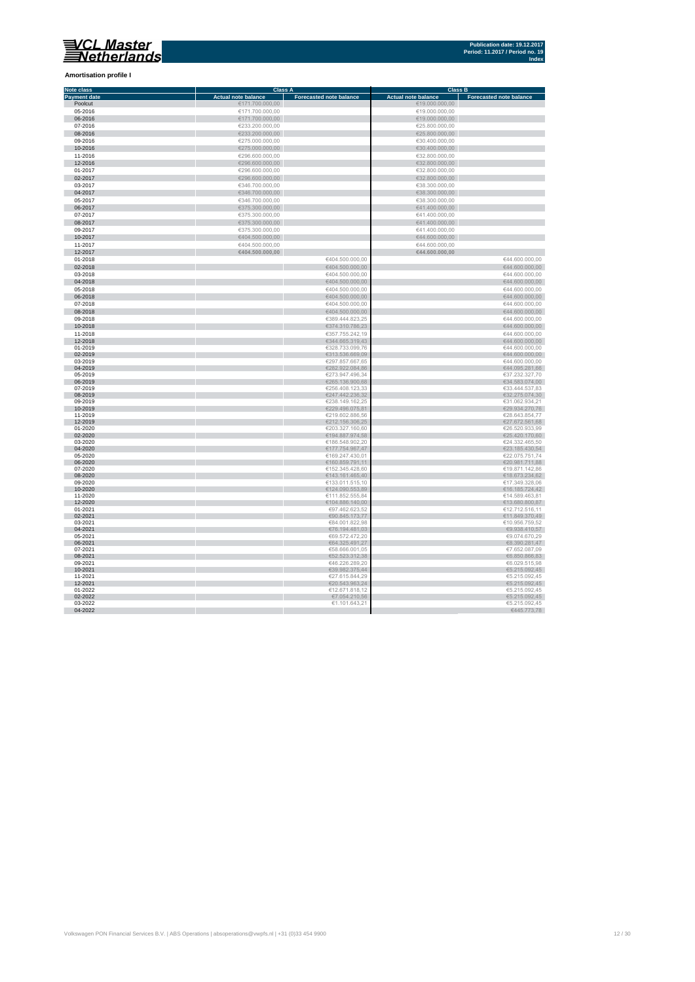### **Amortisation profile I**

| Note class          |                            | <b>Class A</b>                 |                            | <b>Class B</b>                 |
|---------------------|----------------------------|--------------------------------|----------------------------|--------------------------------|
| <b>Payment date</b> | <b>Actual note balance</b> | <b>Forecasted note balance</b> | <b>Actual note balance</b> | <b>Forecasted note balance</b> |
| Poolcut             | €171.700.000,00            |                                | €19.000.000,00             |                                |
| 05-2016             |                            |                                |                            |                                |
|                     | €171.700.000,00            |                                | €19.000.000,00             |                                |
| 06-2016             | €171.700.000,00            |                                | €19.000.000,00             |                                |
| 07-2016             | €233.200.000,00            |                                | €25.800.000,00             |                                |
| 08-2016             | €233.200.000,00            |                                | €25.800.000,00             |                                |
| 09-2016             | €275.000.000,00            |                                | €30.400.000,00             |                                |
|                     |                            |                                |                            |                                |
| 10-2016             | €275.000.000,00            |                                | €30.400.000,00             |                                |
| 11-2016             | €296.600.000,00            |                                | €32.800.000,00             |                                |
| 12-2016             | €296.600.000,00            |                                | €32.800.000,00             |                                |
| 01-2017             | €296.600.000.00            |                                | €32.800.000.00             |                                |
|                     |                            |                                |                            |                                |
| 02-2017             | €296.600.000,00            |                                | €32.800.000,00             |                                |
| 03-2017             | €346.700.000,00            |                                | €38.300.000,00             |                                |
| 04-2017             | €346.700.000,00            |                                | €38.300.000,00             |                                |
| 05-2017             | €346.700.000,00            |                                | €38.300.000,00             |                                |
|                     |                            |                                |                            |                                |
| 06-2017             | €375.300.000,00            |                                | €41.400.000,00             |                                |
| 07-2017             | €375.300.000,00            |                                | €41.400.000,00             |                                |
| 08-2017             | €375.300.000,00            |                                | €41.400.000,00             |                                |
| 09-2017             | €375.300.000,00            |                                | €41.400.000,00             |                                |
|                     |                            |                                |                            |                                |
| 10-2017             | €404.500.000,00            |                                | €44.600.000,00             |                                |
| 11-2017             | €404.500.000,00            |                                | €44.600.000,00             |                                |
| 12-2017             | €404.500.000,00            |                                | €44.600.000,00             |                                |
| 01-2018             |                            | €404.500.000.00                |                            | €44.600.000,00                 |
| 02-2018             |                            | €404.500.000,00                |                            | €44.600.000,00                 |
|                     |                            |                                |                            |                                |
| 03-2018             |                            | €404.500.000,00                |                            | €44.600.000,00                 |
| 04-2018             |                            | €404.500.000,00                |                            | €44.600.000,00                 |
| 05-2018             |                            | €404.500.000,00                |                            | €44.600.000,00                 |
| 06-2018             |                            | €404.500.000,00                |                            | €44.600.000,00                 |
|                     |                            |                                |                            |                                |
| 07-2018             |                            | €404.500.000,00                |                            | €44.600.000,00                 |
| 08-2018             |                            | €404.500.000,00                |                            | €44.600.000,00                 |
| 09-2018             |                            | €389.444.823,25                |                            | €44.600.000,00                 |
| 10-2018             |                            | €374.310.786,23                |                            | €44.600.000,00                 |
|                     |                            |                                |                            |                                |
| 11-2018             |                            | €357.755.242,19                |                            | €44.600.000,00                 |
| 12-2018             |                            | €344.665.319,43                |                            | €44.600.000,00                 |
| 01-2019             |                            | €328.733.099,76                |                            | €44.600.000,00                 |
| 02-2019             |                            | €313.536.669,09                |                            | €44.600.000,00                 |
| 03-2019             |                            | €297.857.667,65                |                            | €44.600.000,00                 |
| 04-2019             |                            | €282.922.084,86                |                            | €44.095.281,66                 |
| 05-2019             |                            | €273.947.496,34                |                            | €37.232.327,70                 |
| 06-2019             |                            | €265.136.900,68                |                            | €34.583.074,00                 |
|                     |                            |                                |                            |                                |
| 07-2019             |                            | €256.408.123,33                |                            | €33.444.537,83                 |
| 08-2019             |                            | €247.442.236,32                |                            | €32.275.074,30                 |
| 09-2019             |                            | €238.149.162,25                |                            | €31.062.934,21                 |
| 10-2019             |                            | €229.496.075,81                |                            | €29.934.270,76                 |
| 11-2019             |                            | €219.602.886,56                |                            | €28.643.854,77                 |
| 12-2019             |                            | €212.156.306,25                |                            | €27.672.561,68                 |
| 01-2020             |                            | €203.327.160,60                |                            | €26.520.933,99                 |
| 02-2020             |                            | €194.887.974,58                |                            | €25.420.170,60                 |
| 03-2020             |                            | €186.548.902,20                |                            | €24.332.465,50                 |
| 04-2020             |                            | €177.754.967,47                |                            | €23.185.430,54                 |
|                     |                            |                                |                            |                                |
| 05-2020             |                            | €169.247.430,01                |                            | €22.075.751,74                 |
| 06-2020             |                            | €160.859.791,11                |                            | €20.981.711,88                 |
| 07-2020             |                            | €152.345.428,60                |                            | €19.871.142,86                 |
| 08-2020             |                            | €143.161.465,40                |                            | €18.673.234,62                 |
| 09-2020             |                            | €133.011.515,10                |                            | €17.349.328,06                 |
| 10-2020             |                            | €124.090.553,89                |                            | €16.185.724,42                 |
| 11-2020             |                            | €111.852.555,84                |                            | €14.589.463,81                 |
| 12-2020             |                            | €104.886.140,00                |                            | €13.680.800,87                 |
| 01-2021             |                            | €97.462.623,52                 |                            | €12.712.516,11                 |
| 02-2021             |                            |                                |                            |                                |
|                     |                            | €90.845.173,77                 |                            | €11.849.370,49                 |
| 03-2021             |                            | €84.001.822,98                 |                            | €10.956.759,52                 |
| 04-2021             |                            | €76.194.481,03                 |                            | €9.938.410,57                  |
| 05-2021             |                            | €69.572.472,20                 |                            | €9.074.670,29                  |
| 06-2021             |                            | €64.325.491,27                 |                            | €8.390.281,47                  |
| 07-2021             |                            | €58.666.001,05                 |                            | €7.652.087,09                  |
| 08-2021             |                            | €52.523.312,38                 |                            | €6.850.866,83                  |
| 09-2021             |                            | €46.226.289,20                 |                            | €6.029.515,98                  |
| 10-2021             |                            | €39.982.375,44                 |                            | €5.215.092,45                  |
|                     |                            |                                |                            |                                |
| 11-2021             |                            | €27.615.844,29                 |                            | €5.215.092,45                  |
| 12-2021             |                            | €20.543.963,24                 |                            | €5.215.092,45                  |
| 01-2022             |                            | €12.671.818,12                 |                            | €5.215.092,45                  |
| 02-2022             |                            | €7.054.210,56                  |                            | €5.215.092,45                  |
| 03-2022             |                            | €1.101.643,21                  |                            | €5.215.092,45                  |
| 04-2022             |                            |                                |                            | €445.773,78                    |
|                     |                            |                                |                            |                                |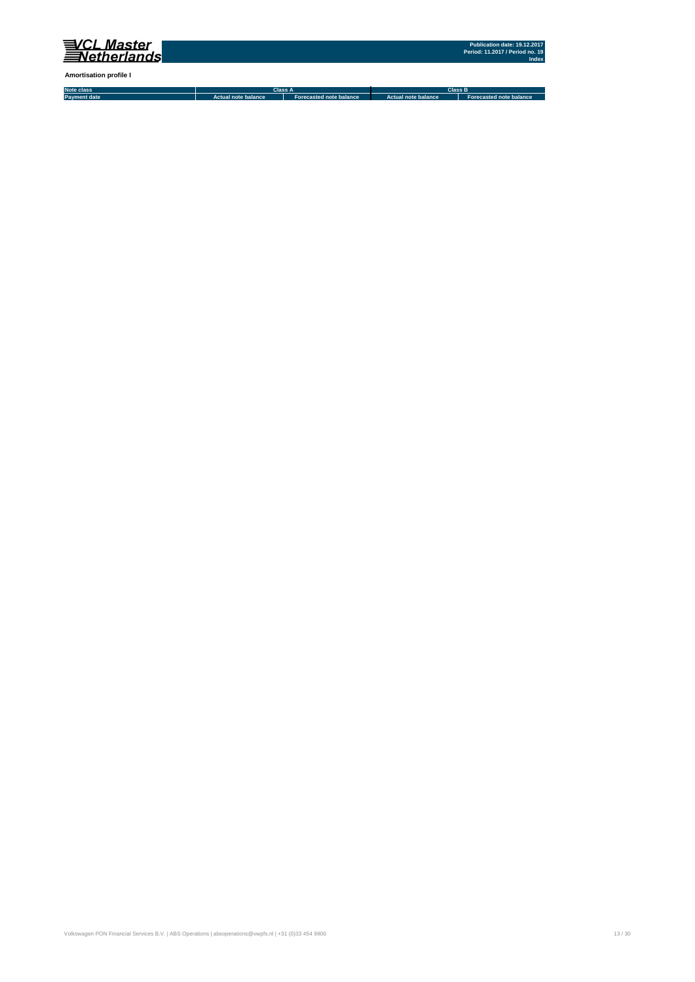

**Amortisation profile I**

**Note class Payment date Actual note balance Forecasted note balance Actual note balance2 Forecasted note balance3 Class A Class B**

Volkswagen PON Financial Services B.V. | ABS Operations | absoperations@vwpfs.nl | +31 (0)33 454 9900 13 / 30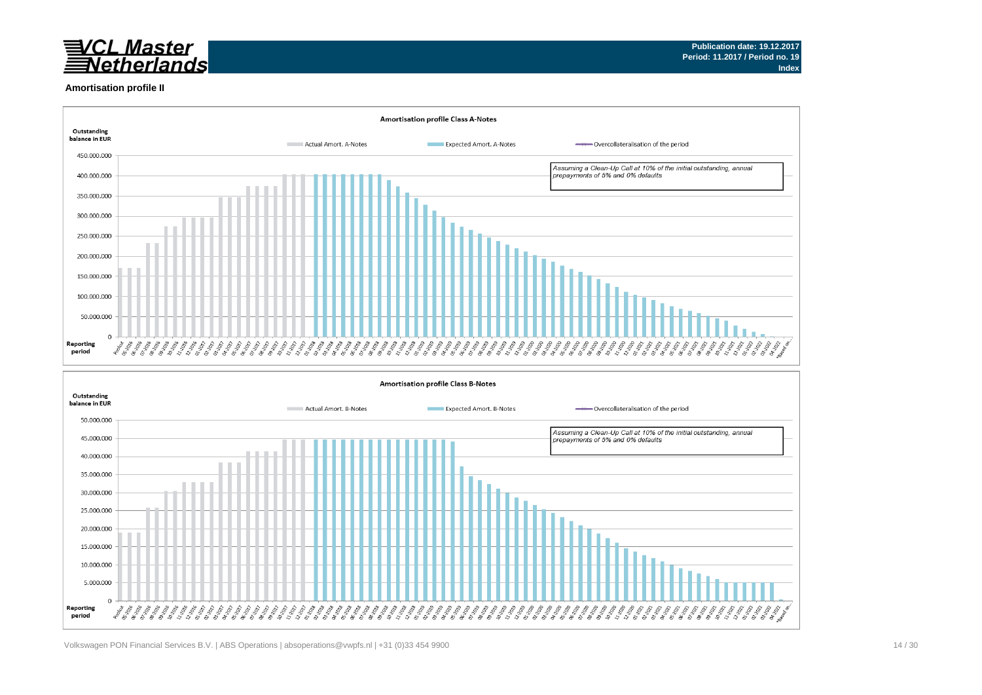

#### **Amortisation profile II**

5.000.000  $\Omega$ 

Reporting

period



ૺ૱૱૱૱૱૱૱૱૱૱૱

2028 ಕ್ಲಿ ಕ್ಲಿ EE EE EE EE EE EE EE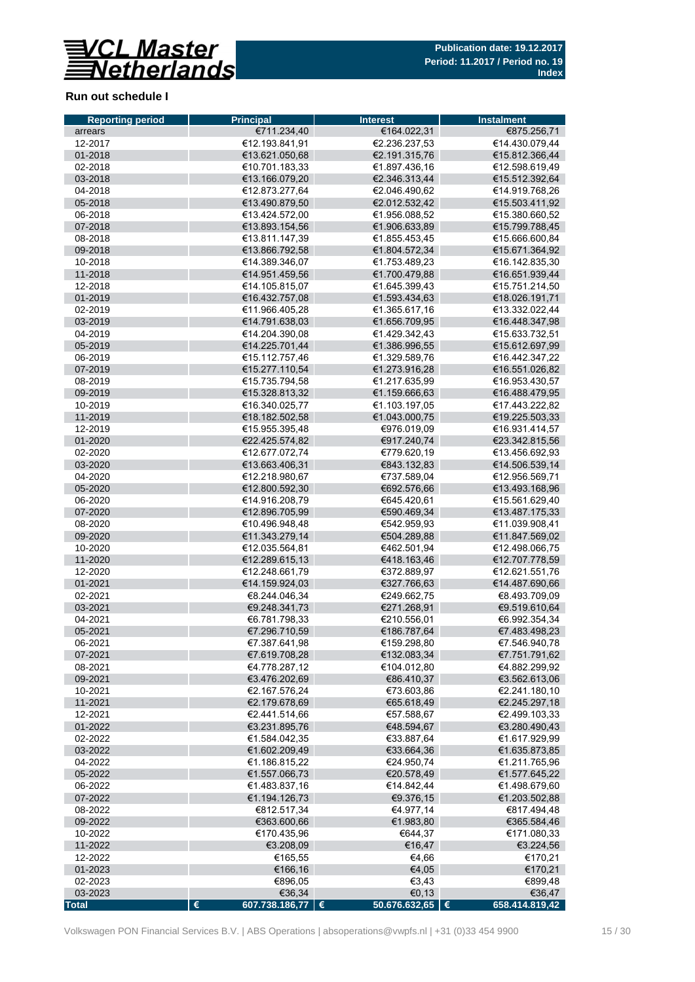

# **Run out schedule I**

| <b>Reporting period</b> | <b>Principal</b>                       | <b>Interest</b>                | <b>Instalment</b>                |
|-------------------------|----------------------------------------|--------------------------------|----------------------------------|
| arrears                 | €711.234,40                            | €164.022,31                    | €875.256,71                      |
| 12-2017                 | €12.193.841.91                         | €2.236.237.53                  | €14.430.079,44                   |
| 01-2018                 | €13.621.050.68                         | €2.191.315,76                  | €15.812.366,44                   |
| 02-2018                 | €10.701.183,33                         | €1.897.436,16                  | €12.598.619,49                   |
| 03-2018                 | €13.166.079,20                         | €2.346.313,44                  | €15.512.392,64                   |
| 04-2018                 | €12.873.277,64                         | €2.046.490,62                  | €14.919.768,26                   |
| 05-2018                 | €13.490.879,50                         | €2.012.532,42                  | €15.503.411,92                   |
| 06-2018                 | €13.424.572,00                         | €1.956.088,52                  | €15.380.660,52                   |
| 07-2018                 | €13.893.154,56                         | €1.906.633,89                  | €15.799.788,45                   |
| 08-2018                 | €13.811.147,39                         | €1.855.453,45                  | €15.666.600,84                   |
| 09-2018                 | €13.866.792,58                         | €1.804.572,34                  | €15.671.364,92                   |
| 10-2018                 | €14.389.346.07                         | €1.753.489,23                  | €16.142.835,30                   |
| 11-2018                 | €14.951.459.56                         | €1.700.479,88                  | €16.651.939,44                   |
| 12-2018                 | €14.105.815,07                         | €1.645.399,43                  | €15.751.214,50                   |
| 01-2019                 | €16.432.757,08                         | €1.593.434,63                  | €18.026.191,71                   |
| 02-2019                 | €11.966.405,28                         | €1.365.617,16                  | €13.332.022,44<br>€16.448.347,98 |
| 03-2019                 | €14.791.638,03                         | €1.656.709,95                  |                                  |
| 04-2019<br>05-2019      | €14.204.390,08<br>€14.225.701,44       | €1.429.342,43<br>€1.386.996,55 | €15.633.732,51<br>€15.612.697,99 |
| 06-2019                 | €15.112.757,46                         | €1.329.589,76                  | €16.442.347,22                   |
| 07-2019                 | €15.277.110,54                         | €1.273.916,28                  | €16.551.026,82                   |
| 08-2019                 | €15.735.794.58                         | €1.217.635,99                  | €16.953.430,57                   |
| 09-2019                 | €15.328.813,32                         | €1.159.666,63                  | €16.488.479,95                   |
| 10-2019                 | €16.340.025,77                         | €1.103.197,05                  | €17.443.222,82                   |
| 11-2019                 | €18.182.502,58                         | €1.043.000,75                  | €19.225.503,33                   |
| 12-2019                 | €15.955.395,48                         | €976.019.09                    | €16.931.414,57                   |
| 01-2020                 | €22.425.574,82                         | €917.240,74                    | €23.342.815,56                   |
| 02-2020                 | €12.677.072,74                         | €779.620,19                    | €13.456.692,93                   |
| 03-2020                 | €13.663.406,31                         | €843.132,83                    | €14.506.539,14                   |
| 04-2020                 | €12.218.980,67                         | €737.589,04                    | €12.956.569,71                   |
| 05-2020                 | €12.800.592,30                         | €692.576,66                    | €13.493.168,96                   |
| 06-2020                 | €14.916.208,79                         | €645.420,61                    | €15.561.629,40                   |
| 07-2020                 | €12.896.705,99                         | €590.469,34                    | €13.487.175,33                   |
| 08-2020                 | €10.496.948,48                         | €542.959,93                    | €11.039.908,41                   |
| 09-2020                 | €11.343.279,14                         | €504.289,88                    | €11.847.569,02                   |
| 10-2020                 | €12.035.564,81                         | €462.501,94                    | €12.498.066,75                   |
| 11-2020                 | €12.289.615,13                         | €418.163,46                    | €12.707.778,59                   |
| 12-2020                 | €12.248.661.79                         | €372.889,97                    | €12.621.551,76                   |
| 01-2021                 | €14.159.924,03                         | €327.766,63                    | €14.487.690,66                   |
| 02-2021                 | €8.244.046.34                          | €249.662,75                    | €8.493.709.09                    |
| 03-2021                 | €9.248.341.73                          | €271.268,91                    | €9.519.610,64                    |
| 04-2021                 | €6.781.798.33                          | €210.556.01                    | €6.992.354.34                    |
| 05-2021                 | €7.296.710,59                          | €186.787,64                    | €7.483.498,23                    |
| 06-2021                 | €7.387.641,98                          | €159.298,80                    | €7.546.940,78                    |
| 07-2021                 | €7.619.708,28                          | €132.083,34                    | €7.751.791,62                    |
| 08-2021                 | €4.778.287,12                          | €104.012,80                    | €4.882.299,92                    |
| 09-2021                 | €3.476.202,69                          | €86.410,37                     | €3.562.613,06                    |
| 10-2021                 | €2.167.576,24                          | €73.603,86                     | €2.241.180,10                    |
| 11-2021<br>12-2021      | €2.179.678,69<br>€2.441.514,66         | €65.618,49<br>€57.588,67       | €2.245.297,18<br>€2.499.103,33   |
| 01-2022                 | €3.231.895,76                          | €48.594,67                     | €3.280.490,43                    |
| 02-2022                 | €1.584.042,35                          | €33.887,64                     | €1.617.929,99                    |
| 03-2022                 | €1.602.209,49                          | €33.664,36                     | €1.635.873,85                    |
| 04-2022                 | €1.186.815,22                          | €24.950,74                     | €1.211.765,96                    |
| 05-2022                 | €1.557.066,73                          | €20.578,49                     | €1.577.645,22                    |
| 06-2022                 | €1.483.837,16                          | €14.842,44                     | €1.498.679,60                    |
| 07-2022                 | €1.194.126,73                          | €9.376,15                      | €1.203.502,88                    |
| 08-2022                 | €812.517,34                            | €4.977,14                      | €817.494,48                      |
| 09-2022                 | €363.600,66                            | €1.983,80                      | €365.584,46                      |
| 10-2022                 | €170.435,96                            | €644,37                        | €171.080,33                      |
| 11-2022                 | €3.208,09                              | €16,47                         | €3.224,56                        |
| 12-2022                 | €165,55                                | €4,66                          | €170,21                          |
| 01-2023                 | €166,16                                | €4,05                          | €170,21                          |
| 02-2023                 | €896,05                                | €3,43                          | €899,48                          |
| 03-2023                 | €36,34                                 | €0,13                          | €36,47                           |
| <b>Total</b>            | $\pmb{\epsilon}$<br>607.738.186,77   € | 50.676.632,65 $\in$            | 658.414.819,42                   |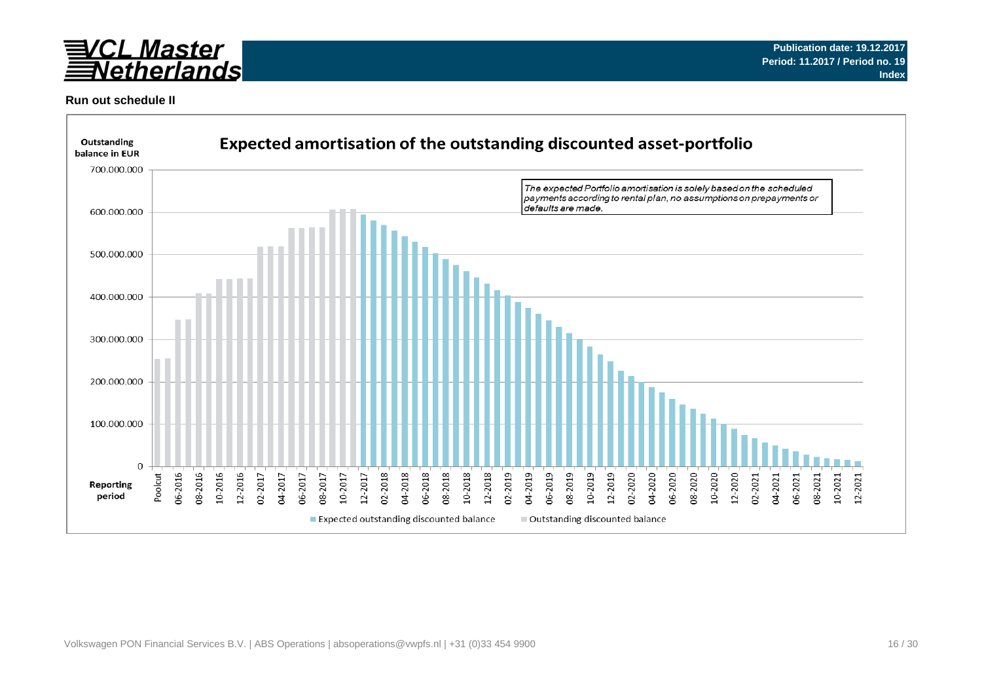

### **Run out schedule II**

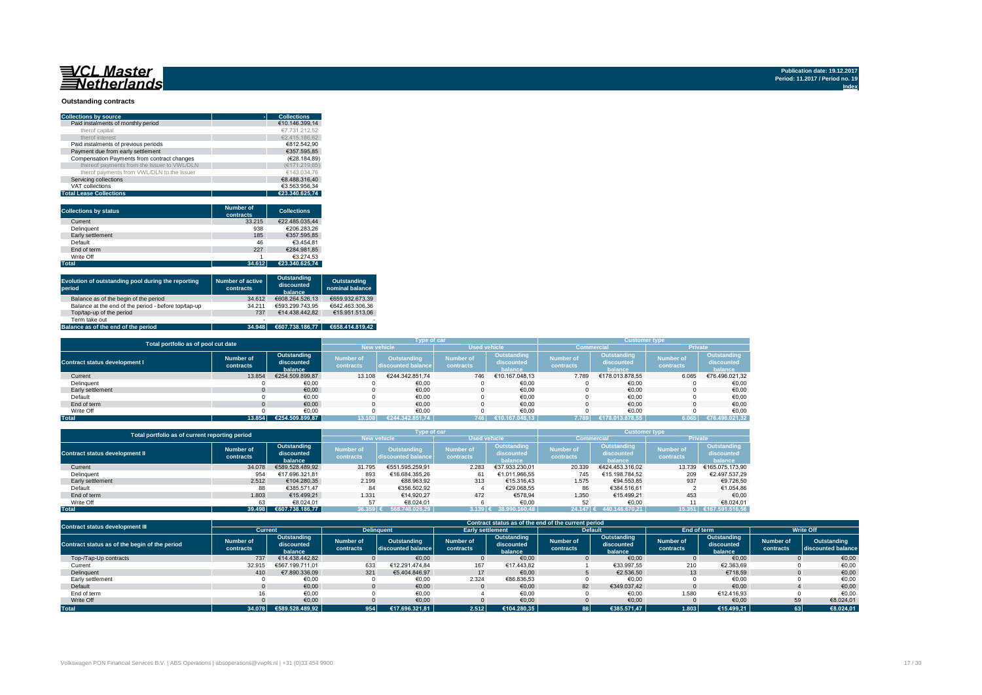# 

#### **Outstanding contracts**

| <b>Collections by source</b>                | <b>Collections</b> |
|---------------------------------------------|--------------------|
| Paid instalments of monthly period          | €10.146.399.14     |
| therof capital                              | €7.731.212.52      |
| therof interest                             | €2.415.186.62      |
| Paid instalments of previous periods        | €812.542.90        |
| Payment due from early settlement           | €357.595.85        |
| Compensation Payments from contract changes | (€28.184.89)       |
| thereof payments from the Issuer to VWL/DLN | (€171.219.65)      |
| therof payments from VWL/DLN to the Issuer  | €143.034.76        |
| Servicing collections                       | €8.488.316.40      |
| VAT collections                             | €3.563.956.34      |
| <b>Total Lease Collections</b>              | €23.340.625.74     |

| <b>Collections by status</b> | <b>Number of</b><br>contracts | <b>Collections</b> |
|------------------------------|-------------------------------|--------------------|
| Current                      | 33.215                        | €22.485.035.44     |
| <b>Delinquent</b>            | 938                           | €206.283.26        |
| Early settlement             | 185                           | €357.595.85        |
| Default                      | 46                            | €3.454.81          |
| End of term                  | 227                           | €284.981.85        |
| Write Off                    |                               | €3.274.53          |
| <b>Total</b>                 | 34.612                        | €23.340.625.74     |

| Evolution of outstanding pool during the reporting<br>period | <b>Number of active</b><br>contracts | Outstanding<br>discounted<br>balance | Outstanding<br>nominal balance |
|--------------------------------------------------------------|--------------------------------------|--------------------------------------|--------------------------------|
| Balance as of the begin of the period                        | 34.612                               | €608.264.526.13                      | €659.932.673.39                |
| Balance at the end of the period - before top/tap-up         | 34.211                               | €593.299.743.95                      | €642.463.306.36                |
| Top/tap-up of the period                                     | 737                                  | €14.438.442.82                       | €15.951.513.06                 |
| Term take out                                                | $\overline{\phantom{a}}$             |                                      |                                |
| Balance as of the end of the period                          | 34.948                               | €607.738.186.77                      | €658.414.819.42                |

|                                      | Total portfolio as of pool cut date |                                      |                               |                                   | Type of car                   |                                      | <b>Customer type</b>          |                                      |                               |                                      |
|--------------------------------------|-------------------------------------|--------------------------------------|-------------------------------|-----------------------------------|-------------------------------|--------------------------------------|-------------------------------|--------------------------------------|-------------------------------|--------------------------------------|
|                                      |                                     |                                      | <b>New vehicle</b>            |                                   | <b>Used vehicle</b>           |                                      | <b>Commercial</b>             |                                      | Private                       |                                      |
| <b>Contract status development I</b> | Number of<br>contracts              | Outstanding<br>discounted<br>balance | <b>Number of</b><br>contracts | Outstanding<br>discounted balance | <b>Number of</b><br>contracts | Outstanding<br>discounted<br>halance | <b>Number of</b><br>contracts | Outstanding<br>discounted<br>halance | <b>Number of</b><br>contracts | Outstanding<br>discounted<br>balance |
| Current                              | 13.854                              | €254.509.899.87                      | 13.108                        | €244.342.851.74                   | 746                           | €10.167.048.13                       | 7.789                         | €178.013.878.55                      | 6.065                         | €76.496.021,32                       |
| Delinquent                           |                                     | €0.00                                |                               | €0.00                             |                               | €0,00                                |                               | €0,00                                |                               | €0,00                                |
| Early settlement                     |                                     | €0,00                                |                               | €0,00                             |                               | €0,00                                |                               | €0,00                                |                               | €0,00                                |
| Default                              |                                     | €0.00                                |                               | €0,00                             |                               | €0.00                                |                               | €0,00                                |                               | €0,00                                |
| End of term                          |                                     | €0,00                                |                               | €0.00                             |                               | €0.00                                |                               | €0.00                                |                               | €0,00                                |
| Write Off                            |                                     | €0.00                                |                               | €0.00                             |                               | €0.00                                |                               | €0.00                                |                               | €0.00                                |
| <b>Total</b>                         | 13.854                              | €254.509.899.87                      |                               | €244.342.851.74                   | 746                           | €10.167.048.13                       | 7.789                         | €178.013.878.55                      | 6.065                         | €76.496.021.32                       |

|                                       | Total portfolio as of current reporting period |                                      |                        |                                   | <b>Type of car</b>            |                                      | <b>Customer type</b>          |                                      |                               |                                      |  |
|---------------------------------------|------------------------------------------------|--------------------------------------|------------------------|-----------------------------------|-------------------------------|--------------------------------------|-------------------------------|--------------------------------------|-------------------------------|--------------------------------------|--|
|                                       |                                                |                                      | <b>New vehicle</b>     |                                   | <b>Used vehicle</b>           |                                      | Commercial                    |                                      | <b>Private</b>                |                                      |  |
| <b>Contract status development II</b> | Number of<br>contracts                         | Outstanding<br>discounted<br>balance | Number of<br>contracts | Outstanding<br>discounted balance | <b>Number of</b><br>contracts | Outstanding<br>discounted<br>balance | <b>Number of</b><br>contracts | Outstanding<br>discounted<br>halance | <b>Number of</b><br>contracts | Outstanding<br>discounted<br>balance |  |
| Current                               | 34.078                                         | €589.528.489.92                      | 31.795                 | €551.595.259.91                   | 2.283                         | €37.933.230.01                       | 20,339                        | €424.453.316.02                      | 13.739                        | €165.075.173.90                      |  |
| Delinquent                            | 954                                            | €17.696.321.81                       | 893                    | €16.684.355.26                    | 61                            | €1.011.966.55                        | 745                           | €15.198.784.52                       | 209                           | €2.497.537.29                        |  |
| Early settlement                      | 2.512                                          | €104.280.35                          | 2.199                  | €88.963.92                        | 313                           | €15.316.43                           | 1.575                         | €94.553.85                           | 937                           | €9.726.50                            |  |
| Default                               | 88                                             | €385.571.47                          | 84                     | €356.502.92                       |                               | €29.068.55                           | 86                            | €384.516.61                          |                               | €1.054.86                            |  |
| End of term                           | 1.803                                          | €15.499.21                           | 1.331                  | €14.920.27                        | 472                           | €578.94                              | 1.350                         | €15.499.21                           | 453                           | €0,00                                |  |
| Write Off                             | 63                                             | €8.024.01                            | 57                     | €8.024.01                         |                               | €0.00                                | 52                            | €0.00                                |                               | €8.024.01                            |  |
| <b>Total</b>                          |                                                | 39.498 €607.738.186.77               | $36.359$ $6$           | 568.748.026.29                    | M139 E                        | 38.990.160.48                        | $24.147$ $\approx$            | 440.146.670.21                       | 15.351                        | €167.591.516.56                      |  |

| Contract status development III               | Contract status as of the end of the current period |                                       |                               |                                   |                        |                                      |                        |                                      |                        |                                      |                               |                                   |
|-----------------------------------------------|-----------------------------------------------------|---------------------------------------|-------------------------------|-----------------------------------|------------------------|--------------------------------------|------------------------|--------------------------------------|------------------------|--------------------------------------|-------------------------------|-----------------------------------|
|                                               | Current                                             |                                       | <b>Delinguent</b>             |                                   |                        | <b>Early settlement</b>              |                        | <b>Default</b>                       | End of term            |                                      | <b>Write Off</b>              |                                   |
| Contract status as of the begin of the period | <b>Number of</b><br>contracts                       | Outstanding<br>discounted<br>balance. | <b>Number of</b><br>contracts | Outstanding<br>discounted balance | Number of<br>contracts | Outstanding<br>discounted<br>balance | Number of<br>contracts | Outstanding<br>discounted<br>balance | Number of<br>contracts | Outstanding<br>discounted<br>balance | <b>Number of</b><br>contracts | Outstanding<br>discounted balance |
| Top-/Tap-Up contracts                         | 737                                                 | €14.438.442.82                        |                               | €0.00                             |                        | €0.00                                |                        | €0.00                                |                        | €0.00                                |                               | €0,00                             |
| Current                                       | 32.915                                              | €567.199.711.01                       | 633                           | €12.291.474.84                    | 167                    | €17.443.82                           |                        | €33.997,55                           | 210                    | €2.363,69                            |                               | €0,00                             |
| Delinquent                                    | 410                                                 | €7.890.336.09                         | 321                           | €5.404.846.97                     | 17                     | €0.00                                |                        | €2.536.50                            | 13                     | €718.59                              |                               | €0,00                             |
| Early settlement                              |                                                     | €0,00                                 |                               | €0,00                             | 2.324                  | €86.836,53                           |                        | €0,00                                |                        | €0,00                                |                               | €0,00                             |
| Default                                       |                                                     | €0.00                                 |                               | €0,00                             |                        | €0,00                                | 82                     | €349.037.42                          |                        | €0.00                                |                               | €0,00                             |
| End of term                                   |                                                     | €0.00                                 |                               | €0,00                             |                        | €0,00                                |                        | €0,00                                | 1.580                  | €12.416.93                           |                               | €0,00                             |
| Write Off                                     |                                                     | €0.00                                 |                               | €0,00                             |                        | €0,00                                |                        | €0,00                                |                        | €0,00                                | 59                            | €8.024,01                         |
| <b>Total</b>                                  | 34.078                                              | €589.528.489.92                       | 954                           | €17.696.321.81                    | 2.512                  | €104.280,35                          |                        | €385.571.47                          | 1.803                  | €15.499.21                           | 631                           | €8.024,01                         |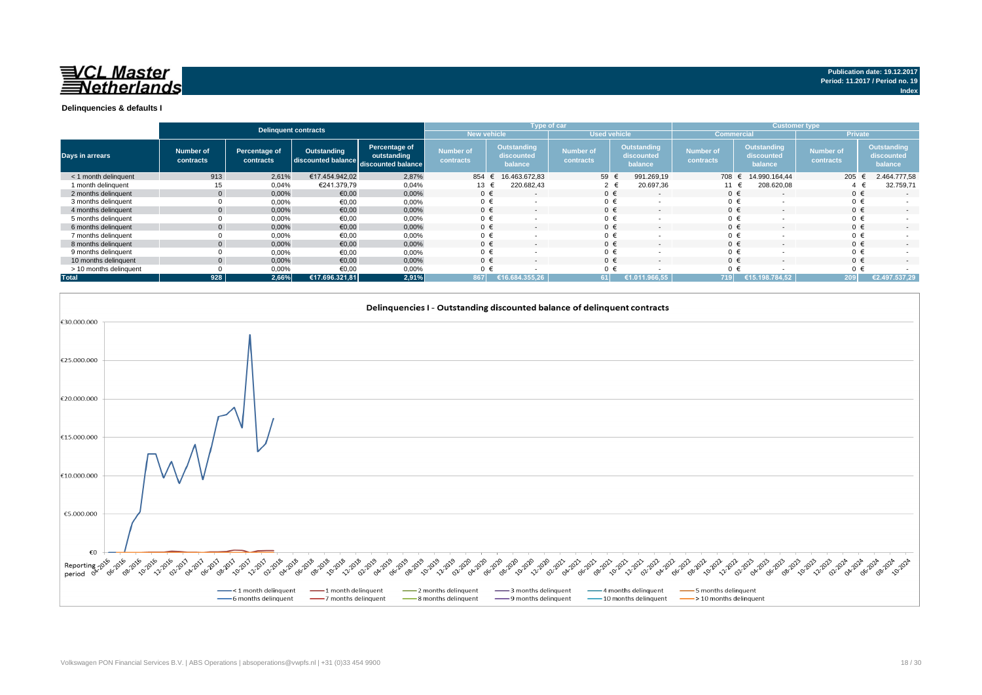

|                        | Delinquent contracts   |                            |                                                      |                              |                               |                                             | Type of car                   |                                      | <b>Customer type</b>          |                                      |                               |                                             |
|------------------------|------------------------|----------------------------|------------------------------------------------------|------------------------------|-------------------------------|---------------------------------------------|-------------------------------|--------------------------------------|-------------------------------|--------------------------------------|-------------------------------|---------------------------------------------|
|                        |                        |                            |                                                      |                              |                               | New vehicle<br><b>Used vehicle</b>          |                               |                                      | <b>Commercial</b>             |                                      | <b>Private</b>                |                                             |
| <b>Days in arrears</b> | Number of<br>contracts | Percentage of<br>contracts | Outstanding<br>discounted balance discounted balance | Percentage of<br>outstanding | <b>Number of</b><br>contracts | <b>Outstanding</b><br>discounted<br>balance | <b>Number of</b><br>contracts | Outstanding<br>discounted<br>balance | <b>Number of</b><br>contracts | Outstanding<br>discounted<br>balance | <b>Number of</b><br>contracts | <b>Outstanding</b><br>discounted<br>balance |
| < 1 month delinquent   | 913                    | 2,61%                      | €17.454.942.02                                       | 2,87%                        | 854                           | 16.463.672.83                               | 59                            | 991.269,19                           | 708 €                         | 14.990.164.44                        | 205                           | 2.464.777,58                                |
| 1 month delinguent     | 15                     | 0,04%                      | €241.379.79                                          | 0,04%                        | 13 €                          | 220.682,43                                  | $2 \in$                       | 20.697,36                            | 11 €                          | 208.620,08                           |                               | 32.759,71                                   |
| 2 months delinquent    |                        | 0,00%                      | €0,00                                                | 0,00%                        | $0 \in$                       | $\overline{a}$                              | $0 \in$                       | $\sim$                               | $0 \in$                       |                                      | $0 \in$                       | $\overline{a}$                              |
| 3 months delinquent    |                        | 0,00%                      | €0,00                                                | 0,00%                        | $0 \in$                       |                                             | $0 \in$                       |                                      | $0 \in$                       |                                      | $0 \in$                       | $\sim$                                      |
| 4 months delinquent    |                        | 0,00%                      | €0,00                                                | 0,00%                        | $0 \in$                       | $\overline{\phantom{a}}$                    | $0 \in$                       | $\overline{a}$                       | $0 \in$                       |                                      | $0 \in$                       | $\sim$                                      |
| 5 months delinguent    |                        | 0,00%                      | €0,00                                                | 0,00%                        |                               | $\overline{\phantom{a}}$                    | $0 \in$                       | $\overline{\phantom{a}}$             | $0 \in$                       |                                      | $0 \in$                       | $\sim$                                      |
| 6 months delinquent    |                        | 0,00%                      | €0,00                                                | 0,00%                        | $0 \in$                       | $\overline{\phantom{a}}$                    | $0 \in$                       | $\overline{\phantom{a}}$             | $0 \in$                       |                                      | $0 \in$                       | $\overline{\phantom{a}}$                    |
| 7 months delinquent    |                        | 0,00%                      | €0,00                                                | 0,00%                        |                               |                                             | $0 \in$                       |                                      | 0 €                           |                                      | $0 \in$                       |                                             |
| 8 months delinguent    |                        | 0,00%                      | €0,00                                                | 0,00%                        | $0 \in$                       | $\overline{\phantom{a}}$                    | $0 \in$                       | $\overline{a}$                       | $0 \in$                       |                                      | $0 \in$                       | $\overline{\phantom{a}}$                    |
| 9 months delinquent    |                        | 0,00%                      | €0.00                                                | 0,00%                        |                               |                                             | $0 \in$                       |                                      | $0 \in$                       |                                      | $0 \in$                       |                                             |
| 10 months delinquent   |                        | 0.00%                      | €0.00                                                | 0.00%                        | $0 \in$                       | $\overline{\phantom{a}}$                    | $0 \in$                       | $\overline{a}$                       | $0 \in$                       | $\sim$                               | $0 \in$                       | $\sim$                                      |
| > 10 months delinquent |                        | 0,00%                      | €0.00                                                | 0,00%                        |                               |                                             |                               |                                      | $0 \in$                       |                                      | $0 \in$                       |                                             |
| <b>Total</b>           | 928                    | 2.66%                      | €17.696.321.81                                       | 2,91%                        | 867                           | .355.26                                     | 61                            | €1.011.966.55                        | <b>719 N</b>                  | €15.198.784.52                       | 209                           | €2.497.537.29                               |



**Publication date: 19.12.2017 Period: 11.2017 / Period no. 19**

**Index**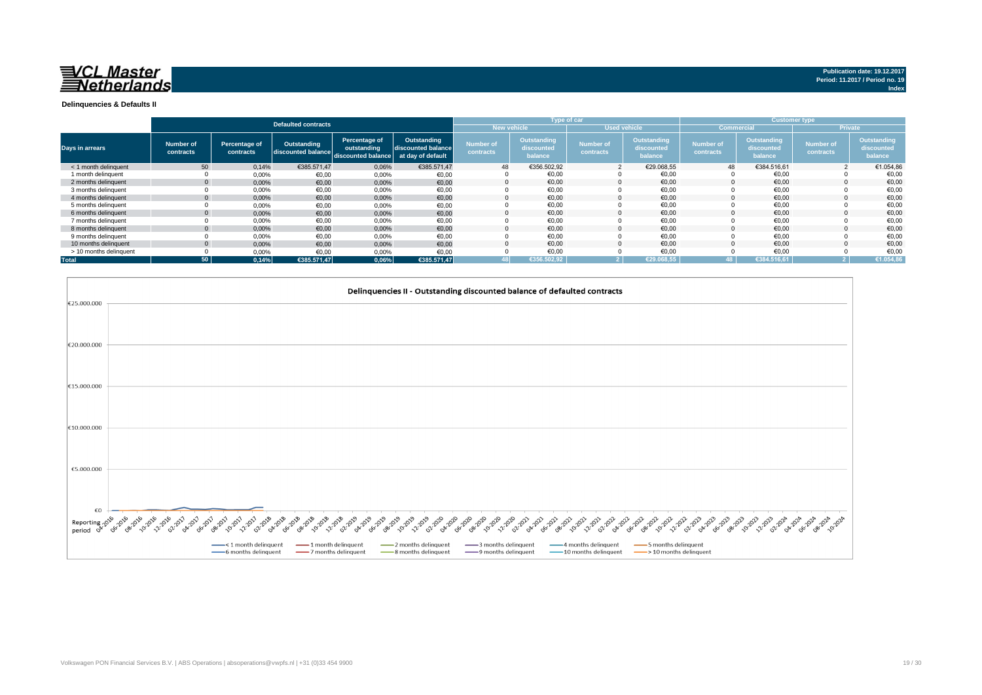

**Index**

**Delinquencies & Defaults II**

|                        |                        |                            |                                   |                                                    |                                                        |                                    |                                      | Type of car                   |                                      |                               |                                      | <b>Customer type</b>          |                                      |  |
|------------------------|------------------------|----------------------------|-----------------------------------|----------------------------------------------------|--------------------------------------------------------|------------------------------------|--------------------------------------|-------------------------------|--------------------------------------|-------------------------------|--------------------------------------|-------------------------------|--------------------------------------|--|
|                        |                        |                            | <b>Defaulted contracts</b>        |                                                    |                                                        | New vehicle<br><b>Used vehicle</b> |                                      |                               |                                      |                               | <b>Commercial</b>                    |                               | <b>Private</b>                       |  |
| Days in arrears        | Number of<br>contracts | Percentage of<br>contracts | Outstanding<br>discounted balance | Percentage of<br>outstanding<br>discounted balance | Outstanding<br>discounted balance<br>at day of default | <b>Number of</b><br>contracts      | Outstanding<br>discounted<br>balance | <b>Number of</b><br>contracts | Outstanding<br>discounted<br>balance | <b>Number of</b><br>contracts | Outstanding<br>discounted<br>balance | <b>Number of</b><br>contracts | Outstanding<br>discounted<br>balance |  |
| < 1 month delinquent   | 50                     | 0,14%                      | €385.571,47                       | 0,06%                                              | €385.571,47                                            | 48                                 | €356.502.92                          |                               | €29.068.55                           | 48                            | €384.516.61                          |                               | €1.054,86                            |  |
| 1 month delinquent     |                        | 0,00%                      | €0.00                             | 0,00%                                              | €0,00                                                  |                                    | €0,00                                |                               | €0,00                                |                               | €0,00                                |                               | €0,00                                |  |
| 2 months delinguent    |                        | 0,00%                      | €0,00                             | 0,00%                                              | €0,00                                                  | $\Omega$                           | €0.00                                |                               | €0.00                                |                               | €0,00                                |                               | €0,00                                |  |
| 3 months delinquent    |                        | 0,00%                      | €0,00                             | 0,00%                                              | €0,00                                                  |                                    | €0.00                                |                               | €0.00                                |                               | €0.00                                |                               | €0,00                                |  |
| 4 months delinquent    |                        | 0,00%                      | €0.00                             | 0,00%                                              | €0,00                                                  |                                    | €0.00                                |                               | €0.00                                |                               | €0.00                                |                               | €0,00                                |  |
| 5 months delinguent    |                        | 0,00%                      | €0,00                             | 0,00%                                              | €0,00                                                  |                                    | €0,00                                |                               | €0,00                                |                               | €0,00                                |                               | €0,00                                |  |
| 6 months delinquent    |                        | 0,00%                      | €0,00                             | 0,00%                                              | €0,00                                                  |                                    | €0.00                                |                               | €0.00                                |                               | €0.00                                |                               | €0,00                                |  |
| 7 months delinguent    |                        | 0,00%                      | €0,00                             | 0,00%                                              | €0,00                                                  |                                    | €0,00                                |                               | €0.00                                |                               | €0,00                                |                               | €0,00                                |  |
| 8 months delinquent    |                        | 0,00%                      | €0,00                             | 0,00%                                              | €0,00                                                  |                                    | €0,00                                |                               | €0,00                                |                               | €0,00                                |                               | €0,00                                |  |
| 9 months delinquent    |                        | 0,00%                      | €0,00                             | 0,00%                                              | €0,00                                                  |                                    | €0,00                                |                               | €0,00                                |                               | €0,00                                |                               | €0,00                                |  |
| 10 months delinguent   |                        | 0,00%                      | €0,00                             | 0,00%                                              | €0,00                                                  |                                    | €0.00                                |                               | €0.00                                |                               | €0.00                                |                               | €0,00                                |  |
| > 10 months delinquent |                        | 0,00%                      | €0,00                             | 0,00%                                              | €0,00                                                  |                                    | €0,00                                |                               | €0,00                                |                               | €0,00                                |                               | €0,00                                |  |
| <b>Total</b>           | 50                     | 0.14%                      | €385.571.47                       | 0,06%                                              | €385.571,47                                            |                                    | €356.502.92                          |                               | €29.068.55                           |                               | €384.516.61                          |                               | €1.054,86                            |  |

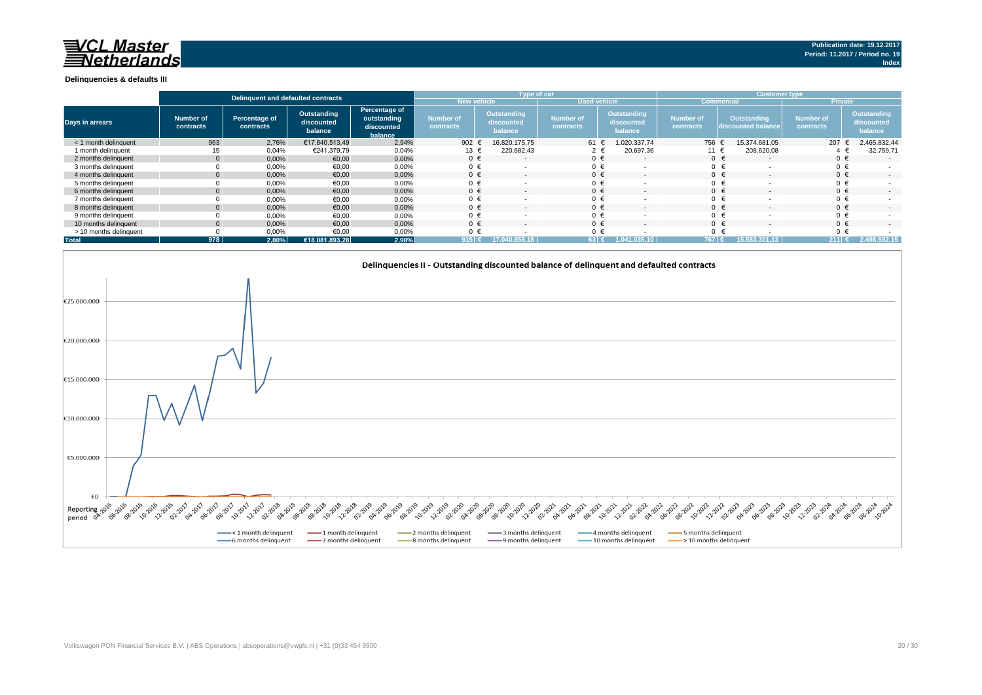# **NOL Master**<br>*Netherlands*

#### **Delinquencies & defaults III**

|                        | Delinguent and defaulted contracts |                            |                                      |                                                       |                                      |                                             | Type of car                   |                                             | <b>Customer type</b>   |                                   |                               |                                             |
|------------------------|------------------------------------|----------------------------|--------------------------------------|-------------------------------------------------------|--------------------------------------|---------------------------------------------|-------------------------------|---------------------------------------------|------------------------|-----------------------------------|-------------------------------|---------------------------------------------|
|                        |                                    |                            |                                      |                                                       |                                      | <b>New vehicle</b><br><b>Used vehicle</b>   |                               |                                             |                        | <b>Commercial</b>                 | <b>Private</b>                |                                             |
| <b>Days in arrears</b> | Number of<br>contracts             | Percentage of<br>contracts | Outstanding<br>discounted<br>balance | Percentage of<br>outstanding<br>discounted<br>balance | <b>Number of</b><br><b>contracts</b> | <b>Outstanding</b><br>discounted<br>balance | <b>Number of</b><br>contracts | <b>Outstanding</b><br>discounted<br>balance | Number of<br>contracts | Outstanding<br>discounted balance | <b>Number of</b><br>contracts | <b>Outstanding</b><br>discounted<br>balance |
| < 1 month delinguent   | 963                                | 2,76%                      | €17.840.513.49                       | 2,94%                                                 | 902 $\epsilon$                       | 16.820.175.75                               | 61 €                          | 1.020.337,74                                | 756                    | 15.374.681.05                     | 207                           | 2.465.832,44                                |
| 1 month delinquent     |                                    | 0,04%                      | €241.379,79                          | 0,04%                                                 | 13 €                                 | 220.682,43                                  |                               | 20.697,36                                   | 11 €                   | 208.620,08                        |                               | 32.759,71                                   |
| 2 months delinquent    |                                    | 0,00%                      | €0,00                                | 0,00%                                                 | $0 \in$                              | $\overline{\phantom{a}}$                    | $0 \in$                       |                                             |                        | $0 \in$<br>$\sim$                 | $0 \in$                       | $\sim$                                      |
| 3 months delinguent    |                                    | 0,00%                      | €0,00                                | 0,00%                                                 | $0 \in$                              |                                             | $0 \in$                       |                                             |                        | $0 \in$                           |                               |                                             |
| 4 months delinquent    |                                    | 0,00%                      | €0,00                                | 0,00%                                                 | $0 \in$                              | $\overline{\phantom{a}}$                    | $0 \in$                       |                                             |                        | $0 \in$                           | $0 \in$                       | $\sim$                                      |
| 5 months delinquent    |                                    | 0,00%                      | €0,00                                | 0,00%                                                 | $0 \in$                              |                                             | $0 \in$                       |                                             |                        | $0 \in$                           | $0 \in$                       |                                             |
| 6 months delinguent    |                                    | 0,00%                      | €0,00                                | 0,00%                                                 | $0 \in$                              |                                             | $0 \in$                       |                                             |                        | $0 \in$                           | $0 \in$                       | $\sim$                                      |
| 7 months delinguent    |                                    | 0,00%                      | €0,00                                | 0,00%                                                 | $0 \in$                              |                                             | $0 \in$                       |                                             |                        | $0 \in$                           | $0 \in$                       |                                             |
| 8 months delinguent    |                                    | 0,00%                      | €0,00                                | 0,00%                                                 | $0 \in$                              |                                             | $0 \in$                       |                                             |                        | $0 \in$                           | $0 \in$                       | $\sim$                                      |
| 9 months delinguent    |                                    | 0,00%                      | €0,00                                | 0,00%                                                 | $0 \in$                              |                                             | $0 \in$                       |                                             |                        | $0 \in$                           | $0 \in$                       |                                             |
| 10 months delinquent   |                                    | 0,00%                      | €0,00                                | 0,00%                                                 | $0 \in$                              | $\overline{\phantom{a}}$                    | $0 \in$                       |                                             |                        | $0 \in$                           | $0 \in$                       | $\sim$                                      |
| > 10 months delinquent |                                    | 0,00%                      | €0,00                                | 0,00%                                                 | 0 €                                  |                                             | 0 €                           |                                             |                        | $0 \in$                           | $0 \in$                       |                                             |
| <b>Total</b>           | 978                                | 2,80%                      | €18.081.893,28                       | 2,98%                                                 | 915 (                                | 0.858.18<br>17.04                           | $63 \in$                      | 1.041.035.10                                | 767 €                  | 15.583.301.13                     | $211$ €                       | 2.498.592.15                                |

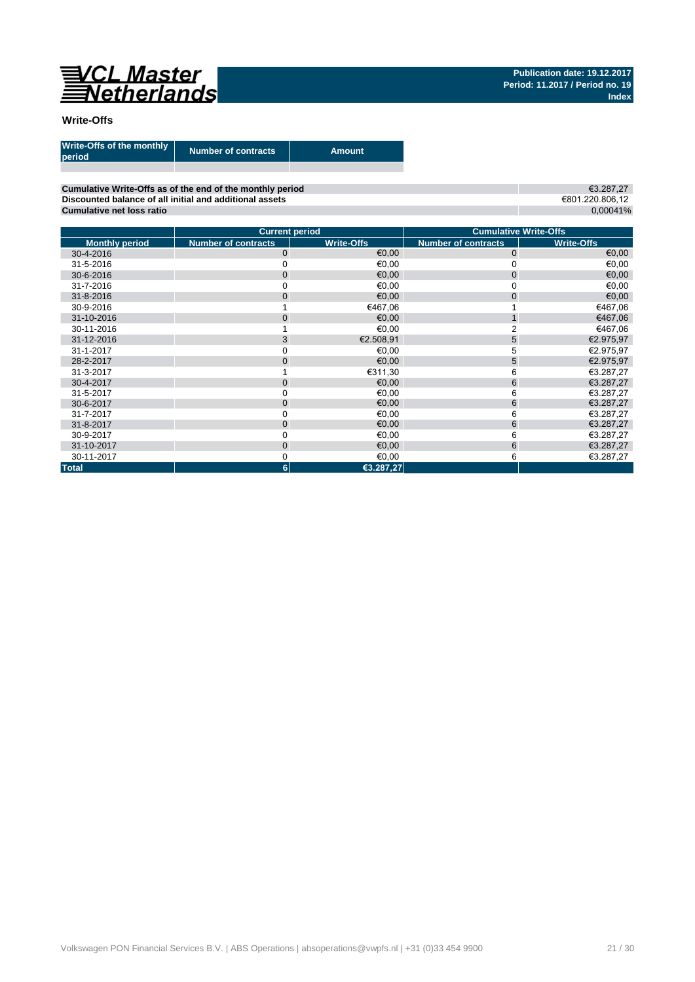

€3.287,27 €801.220.806,12 0,00041%

## **Write-Offs**

| Write-Offs of the monthly<br>period | <b>Number of contracts</b> | Amount. |
|-------------------------------------|----------------------------|---------|
|                                     |                            |         |

**Cumulative Write-Offs as of the end of the monthly period Discounted balance of all initial and additional assets Cumulative net loss ratio**

|                       | <b>Current period</b>      |                   | <b>Cumulative Write-Offs</b> |                   |
|-----------------------|----------------------------|-------------------|------------------------------|-------------------|
| <b>Monthly period</b> | <b>Number of contracts</b> | <b>Write-Offs</b> | <b>Number of contracts</b>   | <b>Write-Offs</b> |
| 30-4-2016             | $\mathbf 0$                | €0,00             | $\mathbf 0$                  | €0,00             |
| 31-5-2016             |                            | €0,00             |                              | €0,00             |
| 30-6-2016             | $\mathbf{0}$               | €0.00             | $\mathbf 0$                  | €0,00             |
| 31-7-2016             |                            | €0,00             | 0                            | €0,00             |
| 31-8-2016             | $\mathbf{0}$               | €0,00             | $\mathbf{0}$                 | €0,00             |
| 30-9-2016             |                            | €467,06           |                              | €467,06           |
| 31-10-2016            | $\overline{0}$             | €0,00             |                              | €467,06           |
| 30-11-2016            |                            | €0,00             |                              | €467,06           |
| 31-12-2016            | 3                          | €2.508,91         | 5                            | €2.975,97         |
| 31-1-2017             | 0                          | €0,00             | 5                            | €2.975,97         |
| 28-2-2017             | $\overline{0}$             | €0,00             | 5                            | €2.975,97         |
| 31-3-2017             |                            | €311.30           | 6                            | €3.287,27         |
| 30-4-2017             | $\overline{0}$             | €0,00             | 6                            | €3.287,27         |
| 31-5-2017             | 0                          | €0,00             | 6                            | €3.287,27         |
| 30-6-2017             | 0                          | €0,00             | 6                            | €3.287,27         |
| 31-7-2017             | 0                          | €0,00             | 6                            | €3.287,27         |
| 31-8-2017             | $\mathbf{0}$               | €0,00             | 6                            | €3.287,27         |
| 30-9-2017             | 0                          | €0,00             | 6                            | €3.287,27         |
| 31-10-2017            | $\mathbf 0$                | €0,00             | 6                            | €3.287,27         |
| 30-11-2017            | 0                          | €0,00             | 6                            | €3.287,27         |
| <b>Total</b>          | $6\phantom{1}$             | €3.287,27         |                              |                   |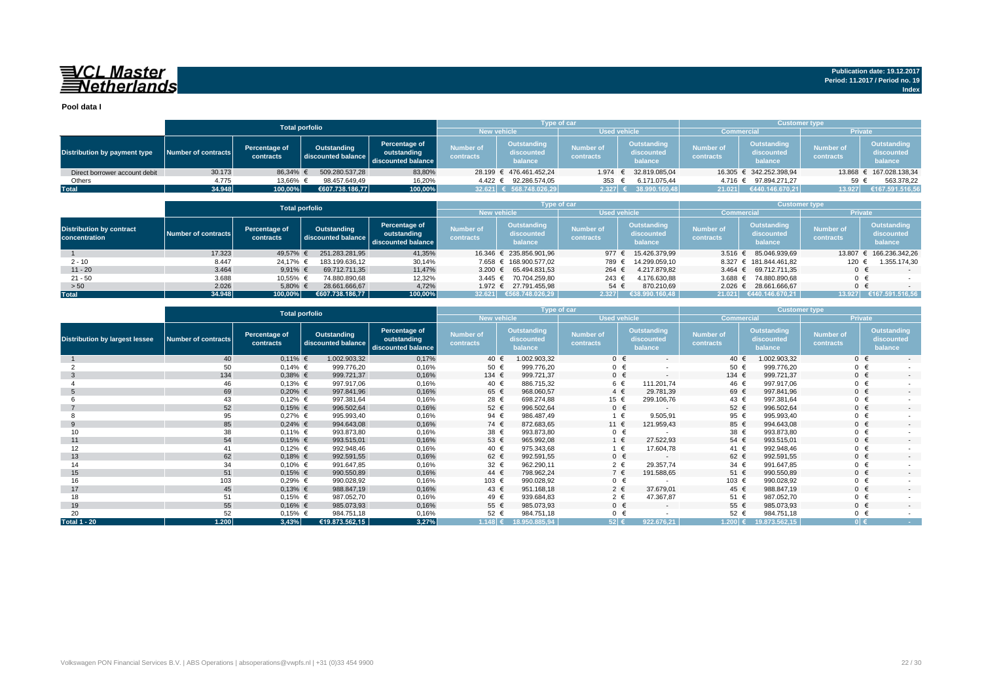# VCL Master<br>ENetherlands

**Pool data I**

|                               |                     |                            | <b>Total porfolio</b>             |                                                    |                               | <b>Type of car</b>                   |                        |                                      | <b>Customer type</b>          |                                             |                               |                                             |
|-------------------------------|---------------------|----------------------------|-----------------------------------|----------------------------------------------------|-------------------------------|--------------------------------------|------------------------|--------------------------------------|-------------------------------|---------------------------------------------|-------------------------------|---------------------------------------------|
|                               |                     |                            |                                   |                                                    | <b>New vehicle</b>            |                                      | <b>Used vehicle</b>    |                                      | <b>Commercial</b>             |                                             | <b>Private</b>                |                                             |
| Distribution by payment type  | Number of contracts | Percentage of<br>contracts | Outstanding<br>discounted balance | Percentage of<br>outstanding<br>discounted balance | <b>Number of</b><br>contracts | Outstanding<br>discounted<br>balance | Number of<br>contracts | Outstanding<br>discounted<br>balance | <b>Number of</b><br>contracts | <b>Outstanding</b><br>discounted<br>balance | <b>Number of</b><br>contracts | <b>Outstanding</b><br>discounted<br>balance |
| Direct borrower account debit | 30.173              | 86.34% €                   | 509.280.537.28                    | 83,80%                                             |                               | 28.199 € 476.461.452.24              | 1.974 €                | 32.819.085,04                        |                               | 16.305 € 342.252.398.94                     |                               | 13.868 € 167.028.138,34                     |
| Others                        | 4.775               | 13,66% €                   | 98.457.649.49                     | 16,20%                                             |                               | 4.422 € 92.286.574.05                | 353                    | 6.171.075.44                         | 4.716 €                       | 97.894.271.27                               | 59                            | 563.378,22                                  |
| <b>Total</b>                  | 34.948              | 100,00%                    | €607.738.186.77                   | 100,00%                                            |                               | 32.621 € 568.748.026,29              | 2.327 $\epsilon$       | 38.990.160.48                        | 21.021                        | €440.146.670.21                             | 13.927                        | €167.591.516,56                             |

|                                                  |                     | <b>Total porfolio</b>      |                                   |                                                    |                               | <b>Type of car</b>                   |                                      |                                      | <b>Customer type</b>          |                                      |                               |                                      |
|--------------------------------------------------|---------------------|----------------------------|-----------------------------------|----------------------------------------------------|-------------------------------|--------------------------------------|--------------------------------------|--------------------------------------|-------------------------------|--------------------------------------|-------------------------------|--------------------------------------|
|                                                  |                     |                            |                                   |                                                    | <b>New vehicle</b>            |                                      | <b>Used vehicle</b>                  |                                      | <b>Commercial</b>             |                                      | <b>Private</b>                |                                      |
| <b>Distribution by contract</b><br>concentration | Number of contracts | Percentage of<br>contracts | Outstanding<br>discounted balance | Percentage of<br>outstanding<br>discounted balance | <b>Number of</b><br>contracts | Outstanding<br>discounted<br>balance | <b>Number of</b><br><b>contracts</b> | Outstanding<br>discounted<br>balance | <b>Number of</b><br>contracts | Outstanding<br>discounted<br>balance | <b>Number of</b><br>contracts | Outstanding<br>discounted<br>balance |
|                                                  | 17.323              | 49.57% €                   | 251.283.281.95                    | 41,35%                                             |                               | 16.346 € 235.856.901.96              | 977 €                                | 15.426.379.99                        | 3.516 $\epsilon$              | 85.046.939.69                        | 13,807                        | € 166.236.342,26                     |
| $2 - 10$                                         | 8.447               | 24.17% €                   | 183.199.636.12                    | 30,14%                                             |                               | 7.658 € 168.900.577.02               | 789                                  | 14.299.059.10                        |                               | 8.327 € 181.844.461.82               | 120                           | 1.355.174,30                         |
| $11 - 20$                                        | 3.464               | 9.91% $\in$                | 69.712.711.35                     | 11,47%                                             |                               | 3.200 € 65.494.831,53                | 264 €                                | 4.217.879.82                         | $3.464 \text{ } \in$          | 69.712.711.35                        | $0 \in$                       |                                      |
| $21 - 50$                                        | 3.688               | 10,55% €                   | 74.880.890.68                     | 12,32%                                             |                               | 3.445 € 70.704.259.80                | $243 \text{ }$                       | 4.176.630,88                         | 3.688 $\in$                   | 74.880.890.68                        | $0 \in$                       |                                      |
| > 50                                             | 2.026               | 5,80% €                    | 28.661.666,67                     | 4,72%                                              |                               | 1.972 € 27.791.455,98                | 54 €                                 | 870.210,69                           |                               | 2.026 € 28.661.666,67                | $0 \in$                       |                                      |
| <b>Total</b>                                     | 34.948              | $100,00\%$                 | €607.738.186.77                   | 100,00%                                            | 32.621                        | 6668.748.026.29                      | 2.327                                | $\epsilon$ 38.990.160.48             | 21.021                        | €440.146.670.21                      | 13.927                        | €167.591.516,56                      |

|                                       | <b>Total porfolio</b>      |                            |                                   |                                                    |                               | Type of car                          |                               |                                      | <b>Customer type</b>          |                                             |                               |                                             |
|---------------------------------------|----------------------------|----------------------------|-----------------------------------|----------------------------------------------------|-------------------------------|--------------------------------------|-------------------------------|--------------------------------------|-------------------------------|---------------------------------------------|-------------------------------|---------------------------------------------|
|                                       |                            |                            |                                   |                                                    | <b>New vehicle</b>            |                                      |                               | <b>Used vehicle</b>                  | <b>Commercial</b>             |                                             | Private                       |                                             |
| <b>Distribution by largest lessee</b> | <b>Number of contracts</b> | Percentage of<br>contracts | Outstanding<br>discounted balance | Percentage of<br>outstanding<br>discounted balance | <b>Number of</b><br>contracts | Outstanding<br>discounted<br>balance | <b>Number of</b><br>contracts | Outstanding<br>discounted<br>balance | <b>Number of</b><br>contracts | <b>Outstanding</b><br>discounted<br>balance | <b>Number of</b><br>contracts | <b>Outstanding</b><br>discounted<br>balance |
|                                       | 40                         | $0,11\%$ €                 | 1.002.903,32                      | 0,17%                                              | 40 €                          | 1.002.903,32                         |                               | $0 \in$<br>$\sim$                    | 40 €                          | 1.002.903,32                                | $0 \in$                       | $\sim$                                      |
|                                       | 50                         | $0,14%$ €                  | 999.776,20                        | 0,16%                                              | 50 €                          | 999.776,20                           |                               | $0 \in$                              | 50 €                          | 999.776,20                                  | $0 \in$                       |                                             |
| -3                                    | 134                        | $0,38%$ €                  | 999.721,37                        | 0,16%                                              | 134 €                         | 999.721,37                           |                               | $0 \in$<br>$\overline{a}$            | 134 €                         | 999.721,37                                  | $0 \in$                       | $\sim$                                      |
|                                       | 46                         | $0,13%$ €                  | 997.917,06                        | 0,16%                                              | 40 €                          | 886.715,32                           |                               | 6 €<br>111.201,74                    | 46 €                          | 997.917,06                                  | $0 \in$                       |                                             |
|                                       | 69                         | $0,20%$ €                  | 997.841,96                        | 0,16%                                              | 65 €                          | 968.060,57                           | $4 \in$                       | 29.781,39                            | 69 €                          | 997.841,96                                  | $0 \in$                       | $\sim$                                      |
|                                       | 43                         | $0,12%$ €                  | 997.381,64                        | 0,16%                                              | 28 €                          | 698.274,88                           | 15 €                          | 299.106,76                           | 43 €                          | 997.381,64                                  | $0 \in$                       |                                             |
|                                       | 52                         | $0,15%$ €                  | 996.502,64                        | 0,16%                                              | 52 €                          | 996.502,64                           |                               | $0 \in$<br>$\sim$                    | 52 €                          | 996.502,64                                  | $0 \in$                       | $\sim$                                      |
|                                       | 95                         | $0,27%$ €                  | 995.993,40                        | 0,16%                                              | 94 €                          | 986.487,49                           | 1 €                           | 9.505,91                             | 95 €                          | 995.993,40                                  | $0 \in$                       |                                             |
| 9                                     | 85                         | $0,24%$ €                  | 994.643,08                        | 0,16%                                              | 74 €                          | 872.683,65                           | 11 €                          | 121.959,43                           | 85 €                          | 994.643,08                                  | $0 \in$                       | $\sim$                                      |
| 10                                    | 38                         | $0,11\%$ €                 | 993.873,80                        | 0,16%                                              | 38 €                          | 993.873,80                           |                               | $0 \in$                              | 38 €                          | 993.873,80                                  | $0 \in$                       |                                             |
| 11                                    | 54                         | $0,15%$ €                  | 993.515,01                        | 0,16%                                              | 53 €                          | 965.992,08                           |                               | $1 \in$<br>27.522.93                 | 54 €                          | 993.515,01                                  | $0 \in$                       | $\sim$                                      |
| 12                                    | 41                         | $0,12%$ €                  | 992.948,46                        | 0,16%                                              | 40 €                          | 975.343,68                           | 1 €                           | 17.604,78                            | 41 €                          | 992.948.46                                  | $0 \in$                       |                                             |
| 13                                    | 62                         | $0,18%$ €                  | 992.591,55                        | 0,16%                                              | 62 €                          | 992.591,55                           |                               | $0 \in$<br>$\overline{a}$            | 62 €                          | 992.591,55                                  | $0 \in$                       | $\sim$                                      |
| 14                                    | 34                         | $0,10%$ €                  | 991.647,85                        | 0,16%                                              | 32 €                          | 962.290,11                           | $2 \in$                       | 29.357,74                            | 34 $\in$                      | 991.647,85                                  | $0 \in$                       |                                             |
| 15                                    | 51                         | $0,15%$ €                  | 990.550,89                        | 0,16%                                              | 44 €                          | 798.962,24                           | $7 \in$                       | 191.588,65                           | 51 €                          | 990.550,89                                  | $0 \in$                       | $\sim$                                      |
| 16                                    | 103                        | $0,29%$ €                  | 990.028,92                        | 0,16%                                              | 103 €                         | 990.028,92                           |                               | $0 \in$                              | 103 €                         | 990.028,92                                  | $0 \in$                       |                                             |
| 17                                    | 45                         | $0,13%$ €                  | 988.847,19                        | 0,16%                                              | 43 $\epsilon$                 | 951.168,18                           |                               | $2 \in$<br>37.679,01                 | 45 €                          | 988.847,19                                  | $0 \in$                       | $\sim$                                      |
| 18                                    | 51                         | $0,15%$ €                  | 987.052,70                        | 0,16%                                              | 49 €                          | 939.684,83                           |                               | $2 \in$<br>47.367,87                 | 51 €                          | 987.052,70                                  | $0 \in$                       |                                             |
| 19                                    | 55                         | $0,16%$ €                  | 985.073,93                        | 0,16%                                              | 55 €                          | 985.073,93                           |                               | $0 \in$<br>$\overline{\phantom{a}}$  | 55 €                          | 985.073,93                                  | $0 \in$                       | $\sim$                                      |
| 20                                    | 52                         | $0,15%$ €                  | 984.751,18                        | 0,16%                                              | 52 €                          | 984.751,18                           |                               | $0 \in$                              | 52 €                          | 984.751,18                                  | $0 \in$                       |                                             |
| <b>Total 1 - 20</b>                   | 1.200                      | 3,43%                      | €19.873.562,15                    | 3,27%                                              | 1.148 €                       | 18.950.885.94                        | $52 \in$                      | 922.676,21                           | $1.200$ €                     | 19.873.562,15                               | $0 \in$                       | <b>Contract</b>                             |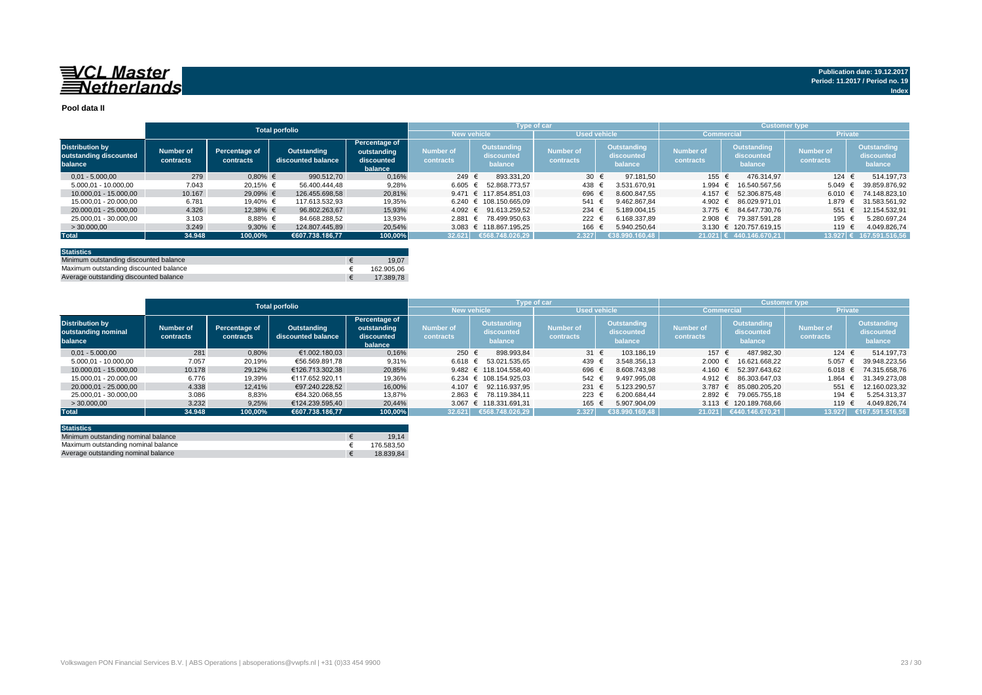# 

#### **Pool data II**

|                                                             |                        |                            | <b>Total porfolio</b>             |                                                       |                               | Type of car                                 |                               |                                      | <b>Customer type</b>          |                                             |                               |                                      |
|-------------------------------------------------------------|------------------------|----------------------------|-----------------------------------|-------------------------------------------------------|-------------------------------|---------------------------------------------|-------------------------------|--------------------------------------|-------------------------------|---------------------------------------------|-------------------------------|--------------------------------------|
|                                                             |                        |                            |                                   |                                                       | <b>New vehicle</b>            |                                             | <b>Used vehicle</b>           |                                      | <b>Commercial</b>             |                                             | <b>Private</b>                |                                      |
| <b>Distribution by</b><br>outstanding discounted<br>balance | Number of<br>contracts | Percentage of<br>contracts | Outstanding<br>discounted balance | Percentage of<br>outstanding<br>discounted<br>balance | <b>Number of</b><br>contracts | <b>Outstanding</b><br>discounted<br>balance | <b>Number of</b><br>contracts | Outstanding<br>discounted<br>balance | <b>Number of</b><br>contracts | <b>Outstanding</b><br>discounted<br>balance | <b>Number of</b><br>contracts | Outstanding<br>discounted<br>balance |
| $0.01 - 5.000.00$                                           | 279                    | $0,80%$ €                  | 990.512.70                        | 0,16%                                                 | 249 €                         | 893.331.20                                  | 30 $\epsilon$                 | 97.181.50                            | 155 €                         | 476.314.97                                  | 124 $\in$                     | 514.197.73                           |
| 5.000.01 - 10.000.00                                        | 7.043                  | 20.15% €                   | 56.400.444.48                     | 9,28%                                                 | 6.605 €                       | 52.868.773.57                               | 438                           | 3.531.670.91                         | 1.994                         | 16.540.567.56                               | 5.049                         | 39.859.876.92                        |
| 10.000.01 - 15.000.00                                       | 10.167                 | 29,09% €                   | 126.455.698.58                    | 20.81%                                                |                               | 9.471 $\in$ 117.854.851.03                  | 696 €                         | 8.600.847.55                         | 4.157                         | 52.306.875.48                               | 6.010                         | 74.148.823.10                        |
| 15.000.01 - 20.000.00                                       | 6.781                  | 19.40% €                   | 117.613.532.93                    | 19,35%                                                |                               | $6.240 \text{ } \in 108.150.665.09$         | 541                           | 9.462.867.84                         | $4.902 \text{ }€$             | 86.029.971.01                               | 1.879                         | 31.583.561.92                        |
| 20.000.01 - 25.000.00                                       | 4.326                  | 12,38% €                   | 96.802.263.67                     | 15,93%                                                |                               | 4.092 € 91.613.259.52                       | 234                           | 5.189.004.15                         | $3.775 \in$                   | 84.647.730.76                               | 551                           | 12.154.532.91                        |
| 25.000.01 - 30.000.00                                       | 3.103                  | $8,88%$ €                  | 84.668.288.52                     | 13,93%                                                | $2.881 \in$                   | 78.499.950.63                               | 222                           | 6.168.337.89                         | 2.908 ∈                       | 79.387.591.28                               | 195 €                         | 5.280.697.24                         |
| > 30,000,00                                                 | 3.249                  | 9,30% $\in$                | 124.807.445.89                    | 20,54%                                                |                               | 3.083 € 118.867.195.25                      | 166                           | 5.940.250.64                         |                               | 3.130 € 120.757.619.15                      | 119 €                         | 4.049.826,74                         |
| <b>Total</b>                                                | 34.948                 | 100,00%                    | €607.738.186.77                   | 100,00%                                               |                               | 32.621 €568.748.026,29                      | 2.327                         | $\sqrt{638.990.160.48}$              |                               | $21.021$ € 440.146.670.21                   | $13.927 \in$                  | 167.591.516.56                       |
|                                                             |                        |                            |                                   |                                                       |                               |                                             |                               |                                      |                               |                                             |                               |                                      |

| <b>Statistics</b>                      |            |
|----------------------------------------|------------|
| Minimum outstanding discounted balance | 19.07      |
| Maximum outstanding discounted balance | 162.905.06 |
| Average outstanding discounted balance | 17,389.78  |

|                                                          | <b>Total porfolio</b>         |                            |                                   |                                                              |                        | <b>Type of car</b>                   |                                      |                                      | <b>Customer type</b>                 |                                      |                               |                                      |
|----------------------------------------------------------|-------------------------------|----------------------------|-----------------------------------|--------------------------------------------------------------|------------------------|--------------------------------------|--------------------------------------|--------------------------------------|--------------------------------------|--------------------------------------|-------------------------------|--------------------------------------|
|                                                          |                               |                            |                                   |                                                              |                        | <b>New vehicle</b>                   | <b>Used vehicle</b>                  |                                      | <b>Commercial</b>                    |                                      | <b>Private</b>                |                                      |
| <b>Distribution by</b><br>outstanding nominal<br>balance | <b>Number of</b><br>contracts | Percentage of<br>contracts | Outstanding<br>discounted balance | <b>Percentage of</b><br>outstanding<br>discounted<br>balance | Number of<br>contracts | Outstanding<br>discounted<br>balance | <b>Number of</b><br><b>contracts</b> | Outstanding<br>discounted<br>balance | <b>Number of</b><br><b>contracts</b> | Outstanding<br>discounted<br>balance | <b>Number of</b><br>contracts | Outstanding<br>discounted<br>balance |
| $0.01 - 5.000.00$                                        | 281                           | 0.80%                      | €1.002.180.03                     | 0,16%                                                        | 250 €                  | 898.993.84                           | 31 $\epsilon$                        | 103.186.19                           | 157 €                                | 487.982.30                           | 124 €                         | 514.197.73                           |
| 5.000,01 - 10.000,00                                     | 7.057                         | 20,19%                     | €56.569.891.78                    | 9,31%                                                        | $6.618 \in$            | 53.021.535.65                        | 439                                  | 3.548.356.13                         | 2.000                                | 16.621.668.22                        | 5.057                         | 39.948.223.56                        |
| 10.000.01 - 15.000.00                                    | 10.178                        | 29,12%                     | €126.713.302,38                   | 20,85%                                                       |                        | 9.482 € 118.104.558.40               | 696                                  | 8.608.743.98                         | 4.160                                | 52.397.643.62<br>$\ddot{ }$          | 6.018 $\in$                   | 74.315.658,76                        |
| 15.000.01 - 20.000.00                                    | 6.776                         | 19,39%                     | €117.652.920.11                   | 19,36%                                                       |                        | $6.234 \text{ } \in 108.154.925.03$  | 542                                  | 9.497.995.08                         | $4.912 \text{ }€$                    | 86.303.647.03                        | 1.864 €                       | 31.349.273.08                        |
| 20.000.01 - 25.000.00                                    | 4.338                         | 12.41%                     | €97.240.228.52                    | 16,00%                                                       |                        | 4.107 € 92.116.937.95                | 231                                  | 5.123.290.57                         | 3.787 $\epsilon$                     | 85.080.205.20                        | 551                           | 12.160.023.32                        |
| 25.000.01 - 30.000.00                                    | 3.086                         | 8,83%                      | €84.320.068,55                    | 13,87%                                                       | $2.863 \in$            | 78.119.384.11                        | 223                                  | 6.200.684.44                         | $2.892 \in$                          | 79.065.755.18                        | 194 +                         | 5.254.313,37                         |
| > 30.000.00                                              | 3.232                         | 9,25%                      | €124.239.595.40                   | 20.44%                                                       |                        | 3.067 € 118.331.691.31               | 165                                  | 5.907.904.09                         |                                      | 3.113 € 120.189.768.66               | 119                           | 4.049.826.74                         |
| <b>Total</b>                                             | 34.948                        | 100.00%                    | €607.738.186.77                   | 100.00%                                                      | 32.621                 | €568.748.026,29                      | 2.327                                | 638.990.160,48                       | 21.021                               | €440.146.670.21                      | 13.927                        | €167.591.516,56                      |

| <b>Statistics</b>                   |            |
|-------------------------------------|------------|
| Minimum outstanding nominal balance | 19.14      |
| Maximum outstanding nominal balance | 176.583.50 |
| Average outstanding nominal balance | 18.839.84  |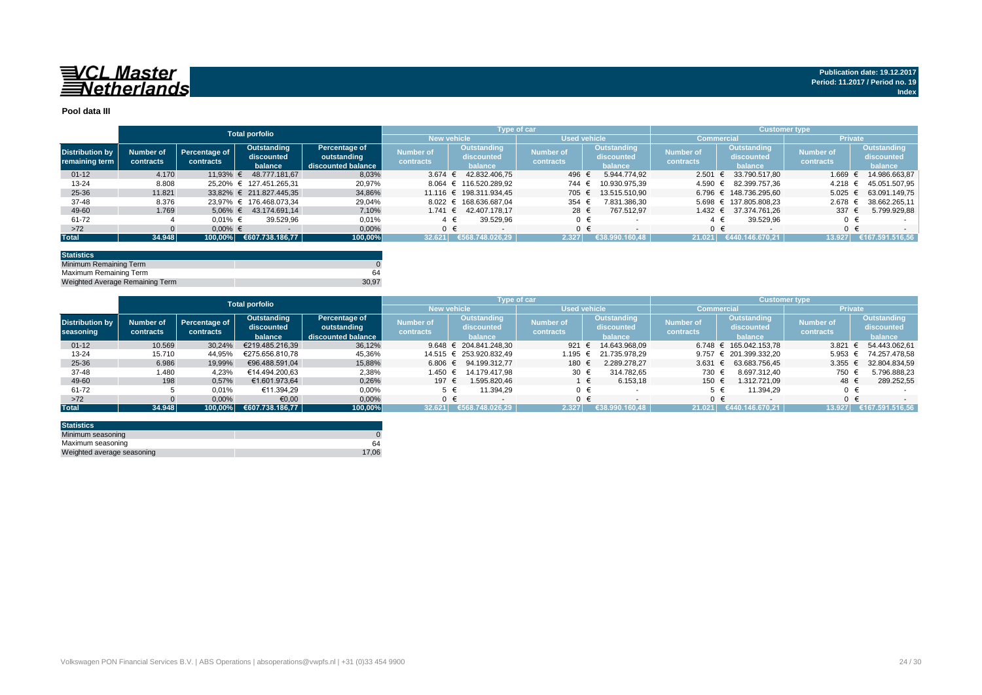

#### **Pool data III**

|                        |           |               | <b>Total porfolio</b>   |                    |                  |                         | Type of car      |                     |                  |                        | Customer type, |                    |
|------------------------|-----------|---------------|-------------------------|--------------------|------------------|-------------------------|------------------|---------------------|------------------|------------------------|----------------|--------------------|
|                        |           |               |                         |                    |                  | <b>New vehicle</b>      |                  | <b>Used vehicle</b> | Commercia        |                        | <b>Private</b> |                    |
| <b>Distribution by</b> | Number of | Percentage of | Outstanding             | Percentage of      | <b>Number of</b> | <b>Outstanding</b>      | <b>Number of</b> | <b>Outstanding</b>  | <b>Number of</b> | Outstanding            | Number of      | <b>Outstanding</b> |
|                        |           | contracts     | discounted              | outstanding        |                  | discounted              | contracts        | discounted          | contracts        | discounted             | contracts      | discounted         |
| remaining term         | contracts |               | balance                 | discounted balance | contracts        | balance                 |                  | balance             |                  | balance                |                | balance            |
| $01 - 12$              | 4.170     | $11.93%$ €    | 48.777.181.67           | 8.03%              | 3.674            | 42.832.406.75           | 496              | 5.944.774.92        | 2.501            | 33.790.517.80          | $1.669$ €      | 14.986.663.87      |
| $13 - 24$              | 8.808     |               | 25.20% € 127.451.265.31 | 20,97%             |                  | 8.064 € 116.520.289,92  | 744              | 10.930.975.39       | 4.590 €          | 82.399.757.36          | 4.218 ∈        | 45.051.507.95      |
| 25-36                  | 11.821    |               | 33.82% € 211.827.445.35 | 34,86%             |                  | 11.116 € 198.311.934.45 | 705              | 13.515.510.90       |                  | 6.796 € 148.736.295.60 | $5.025 \in$    | 63.091.149.75      |
| 37-48                  | 8.376     |               | 23.97% € 176.468.073.34 | 29,04%             |                  | 8.022 € 168.636.687.04  | 354              | 7.831.386,30        |                  | 5.698 € 137.805.808,23 | 2.678 ∈        | 38.662.265.11      |
| 49-60                  | 1.769     | $5.06\% \in$  | 43.174.691.14           | 7.10%              | 1.741 $∈$        | 42.407.178.17           | 28 €             | 767.512.97          |                  | 1.432 € 37.374.761.26  | 337 $\epsilon$ | 5.799.929,88       |
| 61-72                  |           | $0.01\%$ €    | 39.529.96               | 0,01%              |                  | 39.529.96               | $0 \in$          |                     |                  | 39.529.96              |                |                    |
| $>72$                  |           | $0.00\%$ €    |                         | 0,00%              |                  |                         | $0 \in$          | $\sim$              |                  | $0 \in$                |                |                    |
| <b>Total</b>           | 34.948    |               | 100.00% €607.738.186.77 | 100,00%            | 32.621           | 6568.748.026.29         | 2.327            | €38.990.160.48      | 21.021           | (€440.146.670.21       | 13.927         | €167.591.516.56    |

| <b>Statistics</b>               |       |
|---------------------------------|-------|
| Minimum Remaining Term          |       |
| Maximum Remaining Term          | 64    |
| Weighted Average Remaining Term | 30.97 |

|                        |           |               | <b>Total porfolio</b> |                    |           |                            | Type of car      |                | <b>Customer type</b> |                        |                |                 |
|------------------------|-----------|---------------|-----------------------|--------------------|-----------|----------------------------|------------------|----------------|----------------------|------------------------|----------------|-----------------|
|                        |           |               |                       |                    |           | <b>New vehicle</b>         | Used vehicle     |                |                      | Commercial             | <b>Private</b> |                 |
|                        |           |               | Outstanding           | Percentage of      |           | Outstanding                |                  | Outstanding    |                      | Outstanding            |                | Outstanding     |
| <b>Distribution by</b> | Number of | Percentage of | discounted            | outstanding        | Number of | discounted                 | <b>Number of</b> | discounted     | <b>Number of</b>     | discounted             | Number of      | discounted      |
| seasoning              | contracts | contracts     | balance               | discounted balance | contracts | balance                    | contracts        | balance        | contracts            | balance                | contracts      | balance         |
| $01 - 12$              | 10.569    | 30,24%        | €219.485.216.39       | 36,12%             |           | 9.648 $\in$ 204.841.248.30 | 921 $\epsilon$   | 14.643.968.09  |                      | 6.748 € 165.042.153.78 | 3.821          | 54.443.062.61   |
| $13 - 24$              | 15.710    | 44,95%        | €275.656.810.78       | 45,36%             |           | 14.515 € 253.920.832.49    | 1.195            | 21.735.978.29  |                      | 9.757 € 201.399.332.20 | 5.953          | 74.257.478.58   |
| $25 - 36$              | 6.986     | 19,99%        | €96.488.591.04        | 15,88%             |           | 6.806 € 94.199.312.77      | 180 €            | 2.289.278.27   | 3.631                | 63.683.756.45          | 3.355          | 32.804.834.59   |
| 37-48                  | 1.480     | 4,23%         | €14.494.200.63        | 2,38%              | 1.450 €   | 14.179.417.98              | 30 €             | 314.782.65     | 730 €                | 8.697.312.40           | 750            | 5.796.888,23    |
| 49-60                  | 198       | 0,57%         | €1.601.973,64         | 0,26%              | 197 €     | 1.595.820.46               |                  | 6.153,18       | 150 €                | 1.312.721.09           | 48 €           | 289.252,55      |
| 61-72                  |           | 0,01%         | €11.394,29            | 0,00%              |           | 11.394.29<br>5 €           | $0 \in$          |                |                      | 11.394.29              |                |                 |
| $>72$                  |           | 0,00%         | €0,00                 | 0,00%              |           | $0 \in$                    | $0 \in$          |                | $0 \in$              |                        |                |                 |
| <b>Total</b>           | 34.948    | 100.00%       | €607.738.186,77       | 100,00%            | 32.621    | €568.748.026.29            | 2.327            | €38.990.160.48 | 21.021               | €440.146.670.21        | 13.927         | €167.591.516.56 |

| <b>Statistics</b>          |       |
|----------------------------|-------|
| Minimum seasoning          |       |
| Maximum seasoning          | 64    |
| Weighted average seasoning | 17.06 |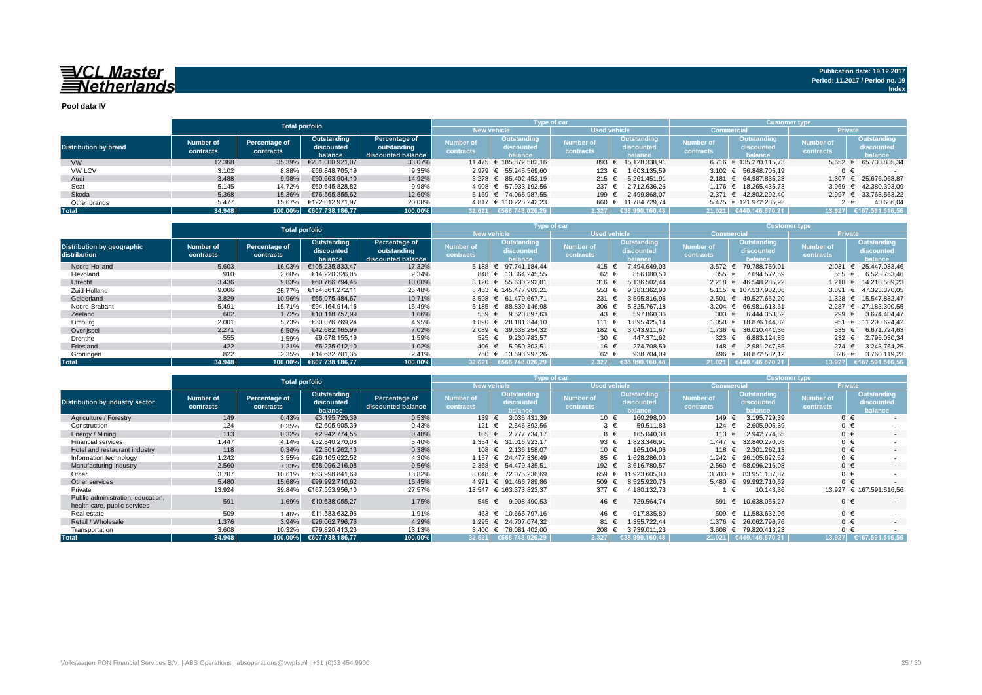# 

**Pool data IV**

|                              |           |               | <b>Total porfolio</b>   |                    |                  | Type of car                           |                                           |                     | <b>Customer type</b>            |                                     |                        |                 |  |  |  |
|------------------------------|-----------|---------------|-------------------------|--------------------|------------------|---------------------------------------|-------------------------------------------|---------------------|---------------------------------|-------------------------------------|------------------------|-----------------|--|--|--|
|                              |           |               |                         |                    |                  |                                       | <b>Used vehicle</b><br><b>New vehicle</b> |                     |                                 | <b>Commercial</b>                   | <b>Private</b>         |                 |  |  |  |
|                              | Number of | Percentage of | Outstanding             | Percentage of      | Number of        | Outstanding                           | <b>Number of</b>                          | Outstanding         | Outstanding<br><b>Number of</b> |                                     | Mumber of <sup>1</sup> | Outstanding     |  |  |  |
| <b>Distribution by brand</b> |           | contracts     | discounted              | outstanding        |                  | discounted                            | contracts                                 | discounted          | contracts                       | discounted                          | contracts              | discounted      |  |  |  |
|                              | contracts |               | balance                 | discounted balance | <b>contracts</b> | halance                               |                                           | balance             |                                 | halance                             |                        | <b>balance</b>  |  |  |  |
| <b>VW</b>                    | 12.368    | 35,39%        | €201.000.921.07         | 33,07%             |                  | 11.475 € 185.872.582.16               | 893 €                                     | 15.128.338.91       |                                 | $6.716 \text{ } \in 135.270.115.73$ | 5.652                  | 65.730.805,34   |  |  |  |
| <b>VW LCV</b>                | 3.102     | 8,88%         | €56.848.705.19          | 9,35%              |                  | 2.979 € 55.245.569.60                 | $123$ €                                   | 1.603.135,59        |                                 | 3.102 € 56.848.705.19               |                        |                 |  |  |  |
| Audi                         | 3.488     | 9,98%         | €90.663.904.10          | 14,92%             |                  | $3.273 \quad \in \quad 85.402.452.19$ | 215 $\epsilon$                            | 5.261.451.91        |                                 | 2.181 € 64.987.835.23               | 1.307                  | 25.676.068.87   |  |  |  |
| Seat                         | 5.145     | 14.72%        | €60.645.828.82          | 9,98%              |                  | 4.908 € 57.933.192.56                 | 237 $\epsilon$                            | 2.712.636,26        |                                 | 1.176 € 18.265.435.73               | 3.969                  | € 42.380.393,09 |  |  |  |
| Skoda                        | 5.368     | 15.36%        | €76.565.855.62          | 12,60%             |                  | 5.169 € 74.065.987.55                 | 199 €                                     | 2.499.868.07        |                                 | 2.371 € 42.802.292.40               | 2.997                  | € 33.763.563.22 |  |  |  |
| Other brands                 | 5.477     | 15.67%        | €122.012.971.97         | 20.08%             |                  | 4.817 € 110.228.242.23                |                                           | 660 € 11.784.729.74 |                                 | 5.475 € 121.972.285.93              |                        | 40.686.04       |  |  |  |
| <b>Total</b>                 | 34.948    |               | 100,00% €607.738.186,77 | 100,00%            |                  | 32.621 €568.748.026,29                | 2.327                                     | €38.990.160.48      |                                 | 21.021 €440.146.670.21              | 13.927                 | €167.591.516.56 |  |  |  |

|                                                   |                        |                                                                                                                          | <b>Total porfolio</b> |                               | <b>Customer type</b><br><b>Type of car</b>  |                               |                                                    |                               |                                      |                               |                                             |                    |
|---------------------------------------------------|------------------------|--------------------------------------------------------------------------------------------------------------------------|-----------------------|-------------------------------|---------------------------------------------|-------------------------------|----------------------------------------------------|-------------------------------|--------------------------------------|-------------------------------|---------------------------------------------|--------------------|
|                                                   |                        |                                                                                                                          |                       |                               | New vehicle                                 |                               | <b>Used vehicle</b>                                |                               |                                      | Commercia                     | <b>Private</b>                              |                    |
| <b>Distribution by geographic</b><br>distribution | Number of<br>contracts | Percentage of<br>Outstanding<br>Percentage of<br>outstanding<br>discounted<br>contracts<br>discounted balance<br>balance |                       | <b>Number of</b><br>contracts | <b>Outstanding</b><br>discounted<br>balance | <b>Number of</b><br>contracts | <b>Outstanding</b><br>discounted<br><b>balance</b> | <b>Number of</b><br>contracts | Outstanding<br>discounted<br>balance | <b>Number of</b><br>contracts | <b>Outstanding</b><br>discounted<br>balance |                    |
| Noord-Holland                                     | 5.603                  | 16.03%                                                                                                                   | €105.235.833.47       | 17,32%                        |                                             | $5.188 \t∈ 97.741.184.44$     | 415 €                                              | 7.494.649.03                  | 3.572 $\epsilon$                     | 79.788.750.01                 | 2.031                                       | 25.447.083,46      |
| Flevoland                                         | 910                    | 2,60%                                                                                                                    | €14.220.326,05        | 2,34%                         |                                             | 848 € 13.364.245.55           | 62 €                                               | 856.080,50                    | 355 €                                | 7.694.572,59                  | 555                                         | 6.525.753,46       |
| Utrecht                                           | 3.436                  | 9,83%                                                                                                                    | €60.766.794.45        | 10,00%                        |                                             | 3.120 € 55.630.292.01         | 316 $\epsilon$                                     | 5.136.502.44                  | 2.218 ∈                              | 46.548.285.22                 | 1.218                                       | 14.218.509.23<br>€ |
| Zuid-Holland                                      | 9.006                  | 25.77%                                                                                                                   | €154.861.272.11       | 25,48%                        |                                             | 8.453 € 145.477.909.21        | 553                                                | 9.383.362.90                  |                                      | 5.115 € 107.537.902.06        | 3.891                                       | € 47.323.370.05    |
| Gelderland                                        | 3.829                  | 10.96%                                                                                                                   | €65.075.484.67        | 10,71%                        |                                             | 3.598 € 61.479.667,71         | 231 $\epsilon$                                     | 3.595.816.96                  | $2.501 \in$                          | 49.527.652.20                 | 1.328                                       | 15.547.832.47<br>€ |
| Noord-Brabant                                     | 5.491                  | 15,71%                                                                                                                   | €94.164.914,16        | 15,49%                        |                                             | 5.185 € 88.839.146.98         | 306 €                                              | 5.325.767.18                  | $3.204 \text{ } \in$                 | 66.981.613.61                 | 2.287                                       | € 27.183.300,55    |
| Zeeland                                           | 602                    | 1,72%                                                                                                                    | €10.118.757.99        | 1,66%                         | 559 €                                       | 9.520.897.63                  | 43 $\epsilon$                                      | 597.860.36                    | 303 $\epsilon$                       | 6.444.353.52                  | 299 €                                       | 3.674.404.47       |
| Limburg                                           | 2.001                  | 5,73%                                                                                                                    | €30.076.769.24        | 4,95%                         |                                             | 1.890 € 28.181.344,10         | 111 €                                              | 1.895.425.14                  | 1.050 €                              | 18.876.144.82                 | 951 €                                       | 11.200.624.42      |
| Overijssel                                        | 2.271                  | 6,50%                                                                                                                    | €42.682.165.99        | 7,02%                         |                                             | 2.089 € 39.638.254.32         | 182 €                                              | 3.043.911.67                  | 1.736 $∈$                            | 36.010.441.36                 | 535 €                                       | 6.671.724,63       |
| Drenthe                                           | 555                    | 1,59%                                                                                                                    | €9.678.155.19         | 1,59%                         | 525 €                                       | 9.230.783.57                  | 30 €                                               | 447.371.62                    | 323                                  | 6.883.124.85                  | 232 €                                       | 2.795.030,34       |
| Friesland                                         | 422                    | 1.21%                                                                                                                    | €6.225.012.10         | 1,02%                         | 406 €                                       | 5.950.303,51                  | 16 €                                               | 274.708.59                    | 148 €                                | 2.981.247.85                  | $274 \t∈$                                   | 3.243.764,25       |
| Groningen                                         | 822                    | 2,35%                                                                                                                    | €14.632.701.35        | 2,41%                         | 760 €                                       | 13.693.997,26                 | 62 €                                               | 938.704,09                    | 496 €                                | 10.872.582,12                 | 326                                         | 3.760.119,23       |
| <b>Total</b>                                      | 34.948                 | $100.00\%$                                                                                                               | €607.738.186.77       | 100,00%                       |                                             | 32.621 €568.748.026.29        | 2.327                                              | €38.990.160.48                |                                      | 21.021 €440.146.670.21        | 13.927                                      | €167.591.516.56    |

|                                                                   |                               | <b>Total porfolio</b>      |                                      |                                     |                               | Type of car                                 |                     |                                             | <b>Customer type</b>          |                                                    |                               |                                             |  |  |
|-------------------------------------------------------------------|-------------------------------|----------------------------|--------------------------------------|-------------------------------------|-------------------------------|---------------------------------------------|---------------------|---------------------------------------------|-------------------------------|----------------------------------------------------|-------------------------------|---------------------------------------------|--|--|
|                                                                   |                               |                            |                                      |                                     |                               | <b>New vehicle</b>                          | <b>Used vehicle</b> |                                             | Commercial                    |                                                    | <b>Private</b>                |                                             |  |  |
| <b>Distribution by industry sector</b>                            | <b>Number of</b><br>contracts | Percentage of<br>contracts | Outstanding<br>discounted<br>balance | Percentage of<br>discounted balance | <b>Number of</b><br>contracts | <b>Outstanding</b><br>discounted<br>balance |                     | <b>Outstanding</b><br>discounted<br>balance | <b>Number of</b><br>contracts | <b>Outstanding</b><br>discounted<br><b>palance</b> | <b>Number of</b><br>contracts | <b>Outstanding</b><br>discounted<br>balance |  |  |
| Agriculture / Forestry                                            | 149                           | 0,43%                      | €3.195.729.39                        | 0,53%                               | 139 €                         | 3.035.431.39                                | 10 €                | 160.298,00                                  | 149 €                         | 3.195.729.39                                       | $0 \in$                       |                                             |  |  |
| Construction                                                      | 124                           | 0,35%                      | €2.605.905.39                        | 0,43%                               | 121                           | 2.546.393.56                                | $3 \in$             | 59.511,83                                   | 124 €                         | 2.605.905.39                                       | $0 \in$                       |                                             |  |  |
| Energy / Mining                                                   | 113                           | 0,32%                      | €2.942.774.55                        | 0,48%                               | 105 €                         | 2.777.734.17                                | 8 €                 | 165.040,38                                  | 113 €                         | 2.942.774.55                                       | $0 \in$                       |                                             |  |  |
| <b>Financial services</b>                                         | 1.447                         | 4.14%                      | €32.840.270.08                       | 5,40%                               | 1.354                         | 31.016.923.17<br>€                          | 93 €                | .823.346.91                                 | 1.447 €                       | 32.840.270.08                                      | $0 \in$                       |                                             |  |  |
| Hotel and restaurant industry                                     | 118                           | 0,34%                      | €2.301.262.13                        | 0,38%                               | 108 €                         | 2.136.158.07                                | 10 €                | 165.104.06                                  | 118 €                         | 2.301.262.13                                       | $0 \in$                       | $\sim$                                      |  |  |
| Information technology                                            | 1.242                         | 3,55%                      | €26.105.622.52                       | 4,30%                               | 1.157 €                       | 24.477.336.49                               | 85 €                | .628.286,03                                 | 1.242 $∈$                     | 26.105.622.52                                      | $0 \in$                       |                                             |  |  |
| Manufacturing industry                                            | 2.560                         | 7,33%                      | €58,096,216,08                       | 9,56%                               |                               | 2.368 € 54.479.435.51                       | 192 €               | 3.616.780.57                                | $2.560 \in$                   | 58.096.216,08                                      | $0 \in$                       |                                             |  |  |
| Other                                                             | 3.707                         | 10,61%                     | €83.998.841.69                       | 13,82%                              |                               | 3.048 € 72.075.236.69                       | 659                 | 11.923.605.00                               | $3.703$ €                     | 83.951.137.87                                      | $0 \in$                       |                                             |  |  |
| Other services                                                    | 5.480                         | 15,68%                     | €99.992.710.62                       | 16.45%                              | 4.971                         | € 91.466.789.86                             | 509 €               | 8.525.920.76                                | 5.480 $€$                     | 99.992.710.62                                      | $0 \in$                       |                                             |  |  |
| Private                                                           | 13.924                        | 39,84%                     | €167.553.956,10                      | 27,57%                              |                               | 13.547 € 163.373.823,37                     | 377 €               | 4.180.132,73                                |                               | 10.143.36                                          |                               | 13.927 € 167.591.516,56                     |  |  |
| Public administration, education,<br>health care, public services | 591                           | 1,69%                      | €10.638.055.27                       | 1,75%                               | 545                           | 9.908.490.53<br>€                           | 46 €                | 729.564,74                                  | 591 €                         | 10.638.055.27                                      | $0 \in$                       |                                             |  |  |
| Real estate                                                       | 509                           | 1,46%                      | €11.583.632.96                       | 1,91%                               | 463                           | 10.665.797.16                               | 46 €                | 917.835,80                                  | 509 €                         | 11.583.632.96                                      | $0 \in$                       |                                             |  |  |
| Retail / Wholesale                                                | 1.376                         | 3,94%                      | €26.062.796.76                       | 4,29%                               | 1.295 €                       | 24.707.074.32                               | 81 €                | 1.355.722.44                                | 1.376 $€$                     | 26.062.796.76                                      | $0 \in$                       |                                             |  |  |
| Transportation                                                    | 3.608                         | 10,32%                     | €79.820.413.23                       | 13,13%                              |                               | 3.400 € 76.081.402.00                       | 208                 | 3.739.011.23                                |                               | 3.608 € 79.820.413.23                              | $0 \in$                       |                                             |  |  |
| <b>Total</b>                                                      | 34.948                        | 100,00%                    | €607.738.186,77                      | 100,00%                             |                               | 32.621 €568.748.026.29                      | 2.327               | €38.990.160.48                              |                               | 21.021 €440.146.670,21                             | 13.927                        | €167.591.516.56                             |  |  |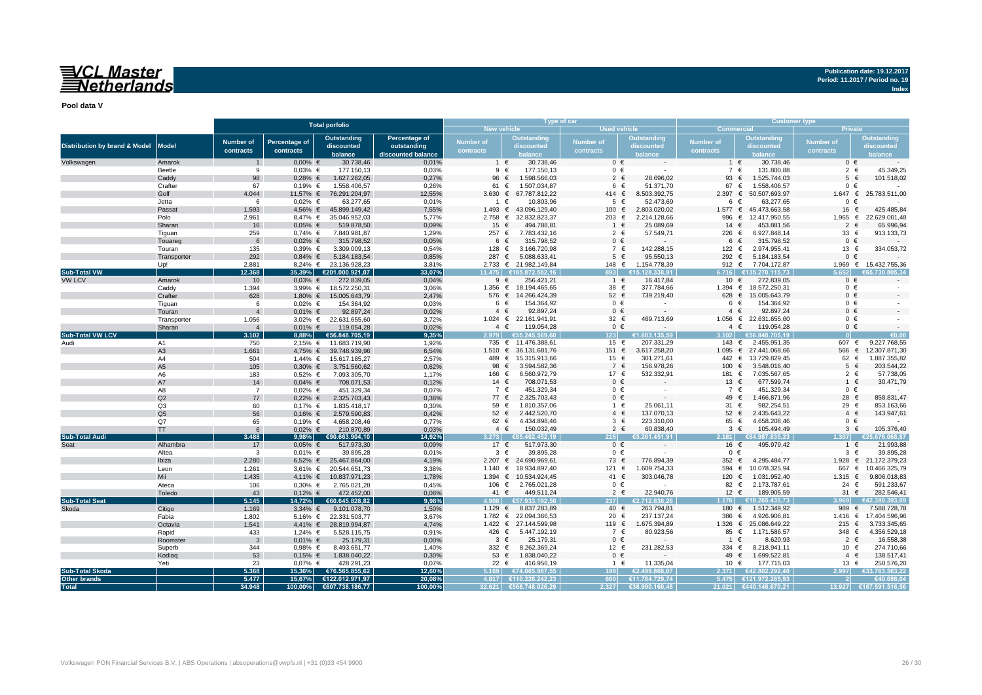# VCL Master<br>ENetherlands

**Publication date: 19.12.2017 Period: 11.2017 / Period no. 19**

**Index**

**Pool data V**

|                                          |                       |                         |               | <b>Total porfolio</b>               |                    |                    |                            | Type of car         |                          | <b>Customer type</b>         |                             |                |                       |  |  |
|------------------------------------------|-----------------------|-------------------------|---------------|-------------------------------------|--------------------|--------------------|----------------------------|---------------------|--------------------------|------------------------------|-----------------------------|----------------|-----------------------|--|--|
|                                          |                       |                         |               |                                     |                    | <b>New vehicle</b> |                            | <b>Used vehicle</b> |                          | <b>Commercial</b><br>Private |                             |                |                       |  |  |
|                                          |                       | <b>Number of</b>        |               | <b>Outstanding</b>                  | Percentage of      | Number of          | <b>Outstanding</b>         | <b>Number of</b>    | Outstanding              | Number of                    | <b>Outstanding</b>          | Number of      | <b>Outstanding</b>    |  |  |
| <b>Distribution by brand &amp; Model</b> | <b>Model</b>          |                         | Percentage of | discounted                          | outstanding        |                    | discounted                 |                     | discounted               |                              | discounted                  |                | discounted            |  |  |
|                                          |                       | contracts               | contracts     | balance                             | discounted balance | contracts          | balance                    | contracts           | balance                  | contracts                    | balance                     | contracts      | palance               |  |  |
| Volkswagen                               | Amarok                | $\mathbf{1}$            | $0,00%$ €     | 30.738,46                           | 0,01%              | $\overline{1}$     | 30.738,46<br>$\epsilon$    | $0 \in$             |                          | $1 \in$                      | 30.738,46                   | $0 \in$        |                       |  |  |
|                                          | Beetle                | 9                       | $0,03%$ €     | 177.150,13                          | 0,03%              | $9 \in$            | 177.150,13                 | $0 \in$             |                          | 7 €                          | 131.800,88                  | $2 \in$        | 45.349,25             |  |  |
|                                          | Caddy                 | 98                      | $0,28%$ €     | 1.627.262,05                        | 0,27%              | 96                 | €<br>1.598.566,03          | $2 \in$             | 28.696,02                | 93                           | €<br>1.525.744,03           | $5 \in$        | 101.518,02            |  |  |
|                                          | Crafter               | 67                      | $0,19%$ €     | 1.558.406,57                        | 0,26%              | 61                 | €<br>1.507.034,87          | 6 €                 | 51.371,70                | 67                           | 1.558.406,57<br>€           | $0 \in$        |                       |  |  |
|                                          | Golf                  | 4.044                   | 11,57% €      | 76.291.204,97                       | 12,55%             | 3.630 $\epsilon$   | 67.787.812,22              | 414 €               | 8.503.392,75             | 2.397 ∈                      | 50.507.693,97               | 1.647 €        | 25.783.511,00         |  |  |
|                                          | Jetta                 | 6                       | $0,02%$ €     | 63.277,65                           | 0,01%              | 1 €                | 10.803,96                  | $5 \in$             | 52.473,69                | 6 €                          | 63.277,65                   | $0 \in$        |                       |  |  |
|                                          | Passat                | 1.593                   |               | 4,56% € 45.899.149,42               | 7,55%              | 1.493 $∈$          | 43.096.129,40              | 100 €               | 2.803.020,02             |                              | 1.577 € 45.473.663,58       | 16 €           | 425.485,84            |  |  |
|                                          | Polo                  | 2.961                   | 8,47% €       | 35.046.952,03                       | 5,77%              | 2.758 ∈            | 32.832.823,37              | 203 €               | 2.214.128,66             | 996                          | 12.417.950,55<br>€          | 1.965 €        | 22.629.001,48         |  |  |
|                                          | Sharan                | 16                      | $0,05%$ €     | 519.878,50                          | 0,09%              | 15 €               | 494.788,81                 | $1 \in$             | 25.089,69                | 14 $\in$                     | 453.881,56                  | $2 \in$        | 65.996,94             |  |  |
|                                          | Tiguan                | 259                     | $0,74%$ €     | 7.840.981,87                        | 1,29%              | 257 €              | 7.783.432,16               | 2 $\epsilon$        | 57.549,71                | 226 €                        | 6.927.848,14                | 33 €           | 913.133,73            |  |  |
|                                          | Touareg               | 6                       | $0,02%$ €     | 315.798,52                          | 0,05%              | 6                  | $\epsilon$<br>315.798,52   | $0 \in$             |                          | $6 \in$                      | 315.798,52                  | $0 \in$        |                       |  |  |
|                                          | Touran                | 135                     | $0,39%$ €     | 3.309.009,13                        | 0,54%              | 128 €              | 3.166.720,98               | 7 €                 | 142.288,15               | 122 €                        | 2.974.955,41                | 13 €           | 334.053,72            |  |  |
|                                          | Transporter           | 292                     | $0,84%$ €     | 5.184.183,54                        | 0,85%              | 287 €              | 5.088.633,41               | $5 \in$             | 95.550,13                | 292 €                        | 5.184.183,54                | $0 \in$        |                       |  |  |
|                                          | Up!                   | 2.881                   |               | 8,24% € 23.136.928,23               | 3,81%              |                    | 2.733 € 21.982.149,84      | 148 €               | 1.154.778,39             | 912 €                        | 7.704.172,87                |                | 1.969 € 15.432.755,36 |  |  |
| <b>Sub-Total VW</b>                      |                       | 12.368                  |               | 35,39% €201.000.921,07              | 33,07%             | 11.475             | €185.872.582.16            | 893                 | €15.128.338.91           | 6.716                        | €135.270.115.73             | 5.652          | 66573080534           |  |  |
| <b>VW LCV</b>                            | Amarok                | 10 <sup>10</sup>        | $0,03%$ €     | 272.839,05                          | 0,04%              |                    | 9 €<br>256.421,21          | $1 \in$             | 16.417,84                | 10 $\epsilon$                | 272.839,05                  | $0 \in$        |                       |  |  |
|                                          |                       | 1.394                   |               | 3,99% € 18.572.250,31               | 3,06%              | $1.356$ €          | 18.194.465,65              | 38 €                | 377.784,66               | 1.394 $∈$                    | 18.572.250,31               | $0 \in$        |                       |  |  |
|                                          | Caddy<br>Crafter      | 628                     |               |                                     | 2,47%              |                    | 576 € 14.266.424,39        | 52 €                | 739.219,40               | 628                          | $\epsilon$<br>15.005.643,79 | $0 \in$        |                       |  |  |
|                                          |                       | 6                       |               | 1,80% € 15.005.643,79               | 0,03%              | 6                  | 154.364,92<br>$\epsilon$   | $0 \in$             | $\sim$                   | 6 €                          | 154.364,92                  | $0 \in$        |                       |  |  |
|                                          | Tiguan                |                         | $0,02%$ €     | 154.364,92                          |                    | $4 \in$            | 92.897,24                  | $0 \in$             |                          | $4 \in$                      | 92.897,24                   | $0 \in$        |                       |  |  |
|                                          | Touran                | $\overline{4}$          | $0,01\%$ €    | 92.897,24                           | 0,02%              | 1.024 $∈$          | 22.161.941,91              | 32 $\epsilon$       | 469.713.69               |                              | 1.056 € 22.631.655,60       | $0 \in$        |                       |  |  |
|                                          | Transporter<br>Sharan | 1.056<br>$\overline{4}$ | $0,01\%$ €    | 3,02% € 22.631.655,60<br>119.054,28 | 3,72%<br>0,02%     |                    | 119.054,28                 | $0 \in$             |                          | $4 \in$                      | 119.054,28                  | $0 \in$        |                       |  |  |
| <b>Sub-Total VW LCV</b>                  |                       | 3.102                   | 8.88%         | €56.848.705.19                      | 9.35%              | $4 \in$<br>2.979   | €55.245.569.60             | 123 <sup>1</sup>    | €1.603.135.59            | 3.102                        | €56.848.705.19              |                | €0.00                 |  |  |
|                                          | A1                    |                         |               |                                     |                    |                    |                            |                     |                          |                              |                             |                |                       |  |  |
| Audi                                     |                       | 750                     |               | 2,15% € 11.683.719,90               | 1,92%              |                    | 735 € 11.476.388,61        | 15 €                | 207.331,29               | 143 €                        | 2.455.951,35                | 607 €<br>566 € | 9.227.768,55          |  |  |
|                                          | A <sub>3</sub>        | 1.661                   |               | 4,75% € 39.748.939,96               | 6,54%              | $1.510 \in$        | 36.131.681,76              | 151 €               | 3.617.258,20             | $1.095 \in$                  | 27.441.068,66               |                | 12.307.871,30         |  |  |
|                                          | A4                    | 504                     | 1,44% €       | 15.617.185,27                       | 2,57%              |                    | 489 € 15.315.913,66        | 15 €                | 301.271,61               | 442 €                        | 13.729.829,45               | 62 €           | 1.887.355,82          |  |  |
|                                          | A <sub>5</sub>        | 105                     | $0,30%$ €     | 3.751.560,62                        | 0,62%              | 98                 | $\epsilon$<br>3.594.582,36 | 7 €                 | 156.978,26               | 100                          | €<br>3.548.016,40           | $5 \in$        | 203.544,22            |  |  |
|                                          | A6                    | 183                     | $0,52%$ €     | 7.093.305,70                        | 1,17%              | 166 €              | 6.560.972,79               | 17 €                | 532.332,91               | 181                          | 7.035.567,65<br>€           | 2 €            | 57.738,05             |  |  |
|                                          | A7                    | 14                      | $0,04%$ €     | 708.071,53                          | 0,12%              | 14 $\in$           | 708.071,53                 | $0 \in$             |                          | 13 €                         | 677.599,74                  | $1 \in$        | 30.471,79             |  |  |
|                                          | A8                    | $\overline{7}$          | $0,02%$ €     | 451.329,34                          | 0,07%              | 7 €                | 451.329,34                 | $0 \in$             |                          | 7 €                          | 451.329,34                  | 0 €            |                       |  |  |
|                                          | Q2                    | 77                      | $0,22%$ €     | 2.325.703,43                        | 0,38%              | 77 €               | 2.325.703,43               | $0 \in$             |                          | 49 $\in$                     | 1.466.871,96                | 28 €           | 858.831,47            |  |  |
|                                          | Q <sub>3</sub>        | 60                      | $0,17%$ €     | 1.835.418,17                        | 0.30%              | 59 €               | 1.810.357,06               | 1 €                 | 25.061,11                | 31 $\in$                     | 982.254,51                  | 29 €           | 853.163,66            |  |  |
|                                          | Q <sub>5</sub>        | 56                      | $0,16%$ €     | 2.579.590,83                        | 0,42%              | $52 \epsilon$      | 2.442.520,70               | $4 \in$             | 137.070,13               | $52 \in$                     | 2.435.643,22                | $4 \in$        | 143.947,61            |  |  |
|                                          | Q7                    | 65                      | $0,19%$ €     | 4.658.208,46                        | 0,77%              | 62 $\epsilon$      | 4.434.898,46               | $3 \in$             | 223.310,00               | 65 €                         | 4.658.208,46                | $0 \in$        |                       |  |  |
|                                          | <b>TT</b>             | 6                       | $0.02\% \in$  | 210.870,89                          | 0.03%              | $4 \in$            | 150.032,49                 | $2 \in$             | 60.838,40                | $3 \in$                      | 105.494,49                  | $3 \in$        | 105.376,40            |  |  |
| <b>Sub-Total Audi</b>                    |                       | 3.488                   | 9.98%         | €90.663.904.10                      | 14.92%             | 3.273              | €85.402.452.19             | 215                 | €5.261.451.91            | 2.181                        | €64.987.835.23              | -307           | .676.068.87           |  |  |
|                                          | Alhambra              | 17                      | $0,05%$ €     | 517.973,30                          | 0,09%              | 17 $\epsilon$      | 517.973,30                 | $0 \in$             |                          | 16 €                         | 495.979,42                  | $1 \in$        | 21.993,88             |  |  |
|                                          | Altea                 | 3                       | $0,01%$ €     | 39.895,28                           | 0,01%              | $3 \in$            | 39.895,28                  | $0 \in$             |                          | $0 \in$                      |                             | $3 \in$        | 39.895,28             |  |  |
|                                          | Ibiza                 | 2.280                   |               | 6,52% € 25.467.864,00               | 4,19%              |                    | 2.207 € 24.690.969,61      | 73 €                | 776.894,39               | 352 €                        | 4.295.484,77                |                | 1.928 € 21.172.379,23 |  |  |
|                                          | Leon                  | 1.261                   | $3.61\%$ €    | 20.544.651,73                       | 3.38%              |                    | 1.140 € 18.934.897,40      | 121 €               | 1.609.754,33             | 594<br>$\epsilon$            | 10.078.325,94               | 667            | 10.466.325,79<br>€    |  |  |
|                                          | Mii                   | 1.435                   | 4,11% €       | 10.837.971,23                       | 1,78%              | 1.394 $∈$          | 10.534.924,45              | 41 €                | 303.046,78               | 120 €                        | 1.031.952,40                | $1.315 \in$    | 9.806.018,83          |  |  |
|                                          | Ateca                 | 106                     | $0,30%$ €     | 2.765.021,28                        | 0,45%              | 106 €              | 2.765.021,28               | $0 \in$             | $\overline{\phantom{a}}$ | 82 $\in$                     | 2.173.787,61                | 24 $\in$       | 591.233,67            |  |  |
|                                          | Toledo                | 43                      | $0,12%$ €     | 472.452,00                          | 0,08%              | 41 $\in$           | 449.511,24                 | $2 \in$             | 22.940,76                | 12 $\epsilon$                | 189.905,59                  | 31 $\epsilon$  | 282.546,41            |  |  |
| <b>Sub-Total Seat</b>                    |                       | 5.145                   | 14.72%        | €60.645.828.82                      | 9,98%              |                    | 4.908 €57.933.192.56       | 237                 | €2.712.636.26            | 1.176                        | €18.265.435.73              | 3.969          | €42.380.393.09        |  |  |
| Skoda                                    | Citigo                | 1.169                   | $3,34%$ €     | 9.101.078,70                        | 1,50%              | 1.129 €            | 8.837.283,89               | 40 €                | 263.794,81               | 180<br>$\epsilon$            | 1.512.349,92                | 989            | 7.588.728,78<br>€     |  |  |
|                                          | Fabia                 | 1.802                   |               | 5,16% € 22.331.503,77               | 3,67%              |                    | 1.782 € 22.094.366,53      | 20 €                | 237.137,24               | 386 €                        | 4.926.906,81                | 1.416 €        | 17.404.596,96         |  |  |
|                                          | Octavia               | 1.541                   |               | 4,41% € 28.819.994,87               | 4,74%              |                    | 1.422 € 27.144.599,98      | 119 €               | 1.675.394,89             | 1.326 $∈$                    | 25.086.649,22               | $215 \epsilon$ | 3.733.345,65          |  |  |
|                                          | Rapid                 | 433                     | 1,24% €       | 5.528.115,75                        | 0,91%              | 426 €              | 5.447.192,19               | 7 €                 | 80.923,56                | 85 €                         | 1.171.586,57                | 348 €          | 4.356.529,18          |  |  |
|                                          | Roomster              | $\mathbf{3}$            | $0,01\%$ €    | 25.179,31                           | 0,00%              | $3 \in$            | 25.179,31                  | $0 \in$             | $\overline{\phantom{a}}$ | 1 €                          | 8.620,93                    | $2 \in$        | 16.558,38             |  |  |
|                                          | Superb                | 344                     | $0,98%$ €     | 8.493.651,77                        | 1,40%              | 332 $\epsilon$     | 8.262.369,24               | 12 €                | 231.282,53               | 334 $\epsilon$               | 8.218.941,11                | 10 €           | 274.710,66            |  |  |
|                                          | Kodiaq                | 53                      | $0,15%$ €     | 1.838.040,22                        | 0,30%              |                    | 53 € 1.838.040,22          | $0 \in$             |                          | 49 €                         | 1.699.522,81                | $4 \in$        | 138.517,41            |  |  |
|                                          | Yeti                  | 23                      | $0,07%$ €     | 428.291,23                          | 0,07%              | 22 $\epsilon$      | 416.956,19                 | 1 €                 | 11.335,04                | 10 €                         | 177.715,03                  | 13 €           | 250.576,20            |  |  |
| <b>Sub-Total Skoda</b>                   |                       | 5.368                   | 15,36%        | €76.565.855,62                      | 12,60%             | 5.169              | €74.065.987,55             | 199                 | €2.499.868,07            | 2.371                        | €42.802.292,40              | 2.997          | €33.763.563,22        |  |  |
| Other brands                             |                       | 5.477                   |               | 15,67% €122.012.971,97              | 20,08%             |                    | 4.817 €110.228.242,23      | 660                 | €11.784.729,74           | 5.475                        | €121.972.285.93             |                | €40.686.04            |  |  |
| <b>Total</b>                             |                       | 34.948                  |               | 100,00% €607.738.186,77             | 100,00%            |                    | 32.621 €568.748.026,29     | 2.327               | €38.990.160,48           |                              | 21.021 €440.146.670,21      | 13.927         | €167.591.516,56       |  |  |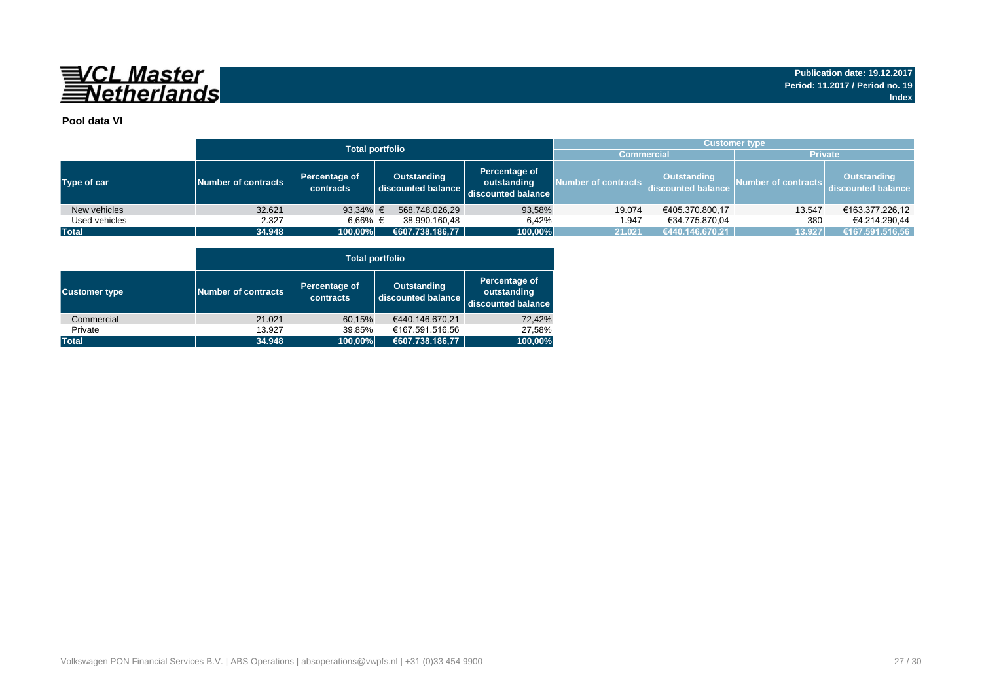

## **Pool data VI**

|               |                     | <b>Total portfolio</b>     | <b>Customer type</b>                     |                                                    |                   |                                                            |                     |                                          |  |  |  |
|---------------|---------------------|----------------------------|------------------------------------------|----------------------------------------------------|-------------------|------------------------------------------------------------|---------------------|------------------------------------------|--|--|--|
|               |                     |                            |                                          |                                                    | <b>Commercial</b> |                                                            | <b>Private</b>      |                                          |  |  |  |
| Type of car   | Number of contracts | Percentage of<br>contracts | <b>Outstanding</b><br>discounted balance | Percentage of<br>outstanding<br>discounted balance |                   | Outstanding<br>Number of contracts discounted balance Des- | Number of contracts | <b>Outstanding</b><br>discounted balance |  |  |  |
| New vehicles  | 32.621              | 93,34% $\in$               | 568.748.026,29                           | 93,58%                                             | 19.074            | €405.370.800,17                                            | 13.547              | €163.377.226,12                          |  |  |  |
| Used vehicles | 2.327               | 6.66% €                    | 38.990.160.48                            | 6.42%                                              | 1.947             | €34.775.870.04                                             | 380                 | €4.214.290.44                            |  |  |  |
| <b>Total</b>  | 34.948              | 100,00%                    | €607.738.186,77                          | 100,00%                                            | 21.021            | €440.146.670,21                                            | 13.927              | €167.591.516,56                          |  |  |  |

|                      |                     | <b>Total portfolio</b>     |                                          |                                                    |  |  |  |  |  |  |  |  |  |
|----------------------|---------------------|----------------------------|------------------------------------------|----------------------------------------------------|--|--|--|--|--|--|--|--|--|
| <b>Customer type</b> | Number of contracts | Percentage of<br>contracts | <b>Outstanding</b><br>discounted balance | Percentage of<br>outstanding<br>discounted balance |  |  |  |  |  |  |  |  |  |
| Commercial           | 21.021              | 60,15%                     | €440.146.670.21                          | 72,42%                                             |  |  |  |  |  |  |  |  |  |
| Private              | 13.927              | 39,85%                     | €167.591.516,56                          | 27,58%                                             |  |  |  |  |  |  |  |  |  |
| <b>Total</b>         | 34.948              | 100,00%                    | €607.738.186,77                          | 100,00%                                            |  |  |  |  |  |  |  |  |  |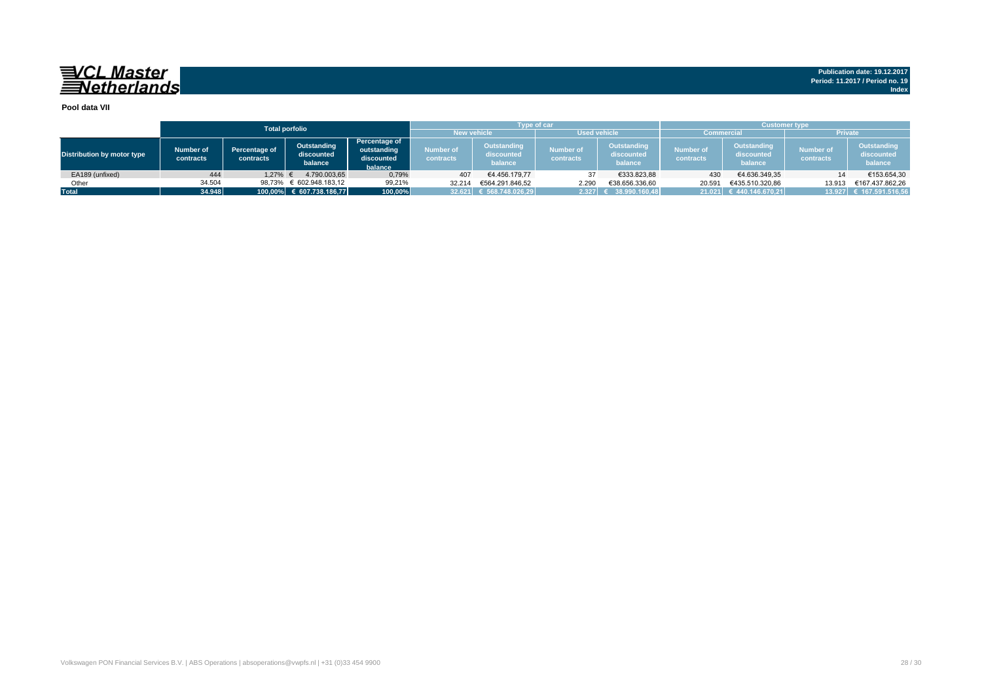# 

#### **Pool data VII**

|                                   |                        |                                   | <b>Total porfolio</b>                |                                                       |                                           | <b>Type of car</b>                   |                               |                                      | <b>Customer type</b>   |                                      |                               |                                      |  |  |
|-----------------------------------|------------------------|-----------------------------------|--------------------------------------|-------------------------------------------------------|-------------------------------------------|--------------------------------------|-------------------------------|--------------------------------------|------------------------|--------------------------------------|-------------------------------|--------------------------------------|--|--|
|                                   |                        |                                   |                                      |                                                       | <b>Used vehicle</b><br><b>New vehicle</b> |                                      |                               |                                      | <b>Commercial</b>      |                                      |                               | <b>Private</b>                       |  |  |
| <b>Distribution by motor type</b> | Number of<br>contracts | <b>Percentage of</b><br>contracts | Outstanding<br>discounted<br>balance | Percentage of<br>outstanding<br>discounted<br>balance | Number of<br>contracts                    | Outstanding<br>discounted<br>balance | <b>Number of</b><br>contracts | Outstanding<br>discounted<br>balance | Number of<br>contracts | Outstanding<br>discounted<br>balance | <b>Number of</b><br>contracts | Outstanding<br>discounted<br>balance |  |  |
| EA189 (unfixed)                   | 444                    | 1.27%                             | 4.790.003.65                         | 0,79%                                                 | 407                                       | €4.456.179.77                        | 37                            | €333.823,88                          | 430                    | €4.636.349,35                        |                               | €153.654,30                          |  |  |
| Other                             | 34.504                 | 98,73%                            | € 602.948.183,12                     | 99,21%                                                | 32.214                                    | €564.291.846.52                      | 2.290                         | €38.656.336,60                       | 20.591                 | €435.510.320,86                      | 13.913                        | €167.437.862.26                      |  |  |
| <b>Total</b>                      | 34.948                 |                                   | 100,00% € 607.738.186,77             | 100,00%                                               |                                           | 32.621 € 568.748.026.29              | 2.327                         | 38.990.160,48                        |                        | $21.021$ € 440.146.670.21            |                               | 13.927 € 167.591.516,56              |  |  |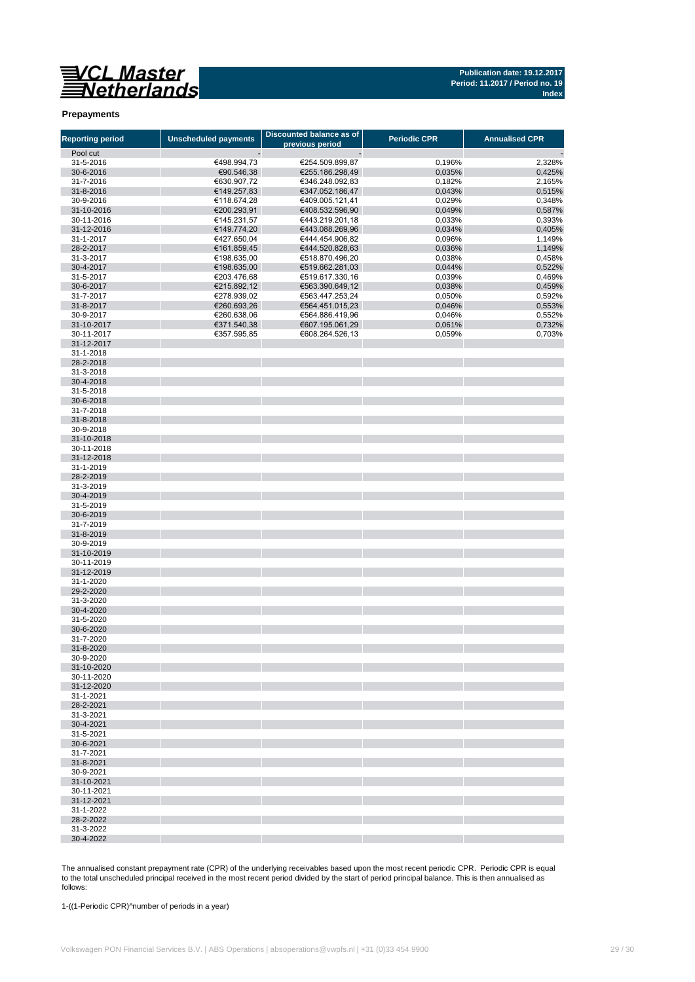

#### **Prepayments**

| <b>Reporting period</b>  | <b>Unscheduled payments</b> | Discounted balance as of           | <b>Periodic CPR</b> | <b>Annualised CPR</b> |
|--------------------------|-----------------------------|------------------------------------|---------------------|-----------------------|
| Pool cut                 |                             | previous period                    |                     |                       |
| 31-5-2016                | €498.994,73                 | €254.509.899,87                    | 0,196%              | 2,328%                |
| 30-6-2016                | €90.546,38                  | €255.186.298,49                    | 0,035%              | 0,425%                |
| 31-7-2016                | €630.907,72                 | €346.248.092,83                    | 0,182%              | 2,165%                |
| 31-8-2016                | €149.257,83                 | €347.052.186,47                    | 0,043%              | 0,515%                |
| 30-9-2016                | €118.674,28                 | €409.005.121,41                    | 0,029%              | 0,348%                |
| 31-10-2016               | €200.293,91                 | €408.532.596,90                    | 0,049%              | 0,587%                |
| 30-11-2016               | €145.231,57                 | €443.219.201,18                    | 0,033%              | 0,393%                |
| 31-12-2016               | €149.774,20                 | €443.088.269,96                    | 0,034%              | 0,405%                |
| 31-1-2017                | €427.650,04                 | €444.454.906,82                    | 0,096%              | 1,149%                |
| 28-2-2017                | €161.859,45                 | €444.520.828,63                    | 0,036%              | 1,149%                |
| 31-3-2017                | €198.635,00                 | €518.870.496,20                    | 0,038%              | 0,458%                |
| 30-4-2017                | €198.635,00                 | €519.662.281,03                    | 0,044%              | 0,522%                |
| 31-5-2017<br>30-6-2017   | €203.476,68<br>€215.892,12  | €519.617.330,16<br>€563.390.649,12 | 0,039%              | 0,469%                |
| 31-7-2017                | €278.939,02                 | €563.447.253,24                    | 0,038%              | 0,459%                |
| 31-8-2017                | €260.693,26                 | €564.451.015,23                    | 0,050%<br>0,046%    | 0,592%<br>0,553%      |
| 30-9-2017                | €260.638,06                 | €564.886.419,96                    | 0,046%              | 0,552%                |
| 31-10-2017               | €371.540,38                 | €607.195.061,29                    | 0,061%              | 0,732%                |
| 30-11-2017               | €357.595,85                 | €608.264.526,13                    | 0,059%              | 0,703%                |
| 31-12-2017               |                             |                                    |                     |                       |
| 31-1-2018                |                             |                                    |                     |                       |
| 28-2-2018                |                             |                                    |                     |                       |
| 31-3-2018                |                             |                                    |                     |                       |
| 30-4-2018                |                             |                                    |                     |                       |
| 31-5-2018                |                             |                                    |                     |                       |
| 30-6-2018                |                             |                                    |                     |                       |
| 31-7-2018                |                             |                                    |                     |                       |
| 31-8-2018                |                             |                                    |                     |                       |
| 30-9-2018                |                             |                                    |                     |                       |
| 31-10-2018               |                             |                                    |                     |                       |
| 30-11-2018               |                             |                                    |                     |                       |
| 31-12-2018<br>31-1-2019  |                             |                                    |                     |                       |
| 28-2-2019                |                             |                                    |                     |                       |
| 31-3-2019                |                             |                                    |                     |                       |
| 30-4-2019                |                             |                                    |                     |                       |
| 31-5-2019                |                             |                                    |                     |                       |
| 30-6-2019                |                             |                                    |                     |                       |
| 31-7-2019                |                             |                                    |                     |                       |
| 31-8-2019                |                             |                                    |                     |                       |
| 30-9-2019                |                             |                                    |                     |                       |
| 31-10-2019               |                             |                                    |                     |                       |
| 30-11-2019               |                             |                                    |                     |                       |
| 31-12-2019               |                             |                                    |                     |                       |
| 31-1-2020                |                             |                                    |                     |                       |
| 29-2-2020                |                             |                                    |                     |                       |
| 31-3-2020                |                             |                                    |                     |                       |
| 30-4-2020                |                             |                                    |                     |                       |
| 31-5-2020                |                             |                                    |                     |                       |
| 30-6-2020<br>31-7-2020   |                             |                                    |                     |                       |
| 31-8-2020                |                             |                                    |                     |                       |
| 30-9-2020                |                             |                                    |                     |                       |
| 31-10-2020               |                             |                                    |                     |                       |
| 30-11-2020               |                             |                                    |                     |                       |
| 31-12-2020               |                             |                                    |                     |                       |
| 31-1-2021                |                             |                                    |                     |                       |
| 28-2-2021                |                             |                                    |                     |                       |
| 31-3-2021                |                             |                                    |                     |                       |
| 30-4-2021                |                             |                                    |                     |                       |
| 31-5-2021                |                             |                                    |                     |                       |
| 30-6-2021                |                             |                                    |                     |                       |
| 31-7-2021                |                             |                                    |                     |                       |
| 31-8-2021                |                             |                                    |                     |                       |
| 30-9-2021                |                             |                                    |                     |                       |
| 31-10-2021               |                             |                                    |                     |                       |
| 30-11-2021<br>31-12-2021 |                             |                                    |                     |                       |
| 31-1-2022                |                             |                                    |                     |                       |
| 28-2-2022                |                             |                                    |                     |                       |
| 31-3-2022                |                             |                                    |                     |                       |
| 30-4-2022                |                             |                                    |                     |                       |

The annualised constant prepayment rate (CPR) of the underlying receivables based upon the most recent periodic CPR. Periodic CPR is equal to the total unscheduled principal received in the most recent period divided by the start of period principal balance. This is then annualised as follows:

1-((1-Periodic CPR)^number of periods in a year)